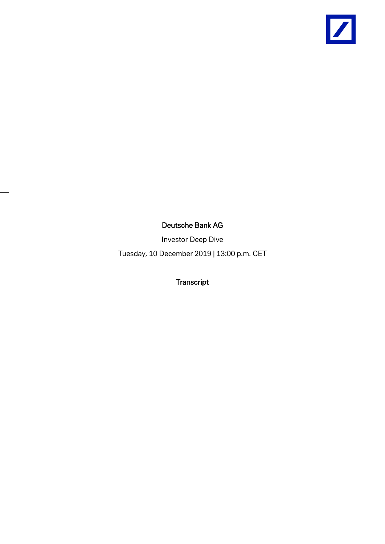

## Deutsche Bank AG

Investor Deep Dive

Tuesday, 10 December 2019 | 13:00 p.m. CET

Transcript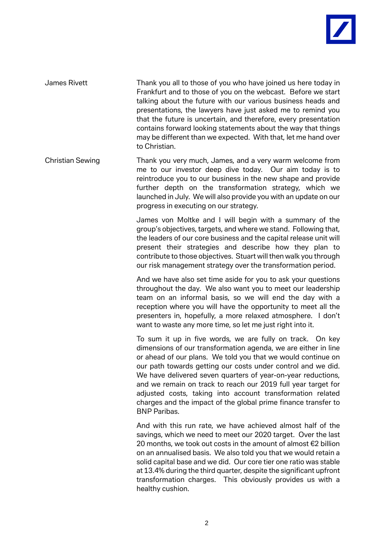

James Rivett Thank you all to those of you who have joined us here today in Frankfurt and to those of you on the webcast. Before we start talking about the future with our various business heads and presentations, the lawyers have just asked me to remind you that the future is uncertain, and therefore, every presentation contains forward looking statements about the way that things may be different than we expected. With that, let me hand over to Christian.

Christian Sewing Thank you very much, James, and a very warm welcome from me to our investor deep dive today. Our aim today is to reintroduce you to our business in the new shape and provide further depth on the transformation strategy, which we launched in July. We will also provide you with an update on our progress in executing on our strategy.

> James von Moltke and I will begin with a summary of the group's objectives, targets, and where we stand. Following that, the leaders of our core business and the capital release unit will present their strategies and describe how they plan to contribute to those objectives. Stuart will then walk you through our risk management strategy over the transformation period.

> And we have also set time aside for you to ask your questions throughout the day. We also want you to meet our leadership team on an informal basis, so we will end the day with a reception where you will have the opportunity to meet all the presenters in, hopefully, a more relaxed atmosphere. I don't want to waste any more time, so let me just right into it.

> To sum it up in five words, we are fully on track. On key dimensions of our transformation agenda, we are either in line or ahead of our plans. We told you that we would continue on our path towards getting our costs under control and we did. We have delivered seven quarters of year-on-year reductions, and we remain on track to reach our 2019 full year target for adjusted costs, taking into account transformation related charges and the impact of the global prime finance transfer to BNP Paribas.

> And with this run rate, we have achieved almost half of the savings, which we need to meet our 2020 target. Over the last 20 months, we took out costs in the amount of almost €2 billion on an annualised basis. We also told you that we would retain a solid capital base and we did. Our core tier one ratio was stable at 13.4% during the third quarter, despite the significant upfront transformation charges. This obviously provides us with a healthy cushion.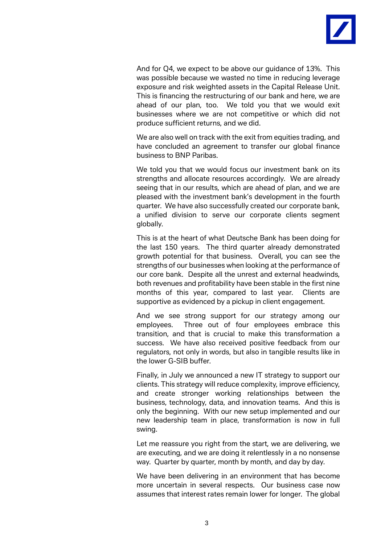

And for O4, we expect to be above our quidance of 13%. This was possible because we wasted no time in reducing leverage exposure and risk weighted assets in the Capital Release Unit. This is financing the restructuring of our bank and here, we are ahead of our plan, too. We told you that we would exit businesses where we are not competitive or which did not produce sufficient returns, and we did.

We are also well on track with the exit from equities trading, and have concluded an agreement to transfer our global finance business to BNP Paribas.

We told you that we would focus our investment bank on its strengths and allocate resources accordingly. We are already seeing that in our results, which are ahead of plan, and we are pleased with the investment bank's development in the fourth quarter. We have also successfully created our corporate bank, a unified division to serve our corporate clients segment globally.

This is at the heart of what Deutsche Bank has been doing for the last 150 years. The third quarter already demonstrated growth potential for that business. Overall, you can see the strengths of our businesses when looking at the performance of our core bank. Despite all the unrest and external headwinds, both revenues and profitability have been stable in the first nine months of this year, compared to last year. Clients are supportive as evidenced by a pickup in client engagement.

And we see strong support for our strategy among our employees. Three out of four employees embrace this transition, and that is crucial to make this transformation a success. We have also received positive feedback from our regulators, not only in words, but also in tangible results like in the lower G-SIB buffer.

Finally, in July we announced a new IT strategy to support our clients. This strategy will reduce complexity, improve efficiency, and create stronger working relationships between the business, technology, data, and innovation teams. And this is only the beginning. With our new setup implemented and our new leadership team in place, transformation is now in full swing.

Let me reassure you right from the start, we are delivering, we are executing, and we are doing it relentlessly in a no nonsense way. Quarter by quarter, month by month, and day by day.

We have been delivering in an environment that has become more uncertain in several respects. Our business case now assumes that interest rates remain lower for longer. The global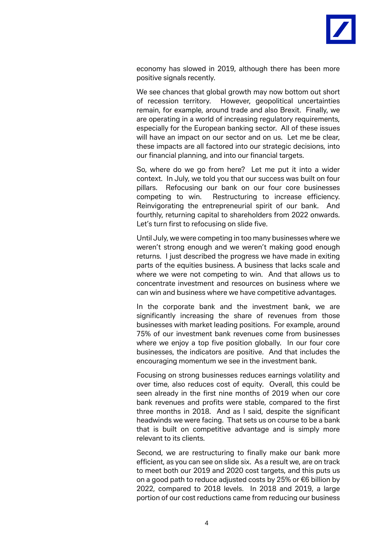

economy has slowed in 2019, although there has been more positive signals recently.

We see chances that global growth may now bottom out short of recession territory. However, geopolitical uncertainties remain, for example, around trade and also Brexit. Finally, we are operating in a world of increasing regulatory requirements, especially for the European banking sector. All of these issues will have an impact on our sector and on us. Let me be clear, these impacts are all factored into our strategic decisions, into our financial planning, and into our financial targets.

So, where do we go from here? Let me put it into a wider context. In July, we told you that our success was built on four pillars. Refocusing our bank on our four core businesses competing to win. Restructuring to increase efficiency. Reinvigorating the entrepreneurial spirit of our bank. And fourthly, returning capital to shareholders from 2022 onwards. Let's turn first to refocusing on slide five.

Until July, we were competing in too many businesses where we weren't strong enough and we weren't making good enough returns. I just described the progress we have made in exiting parts of the equities business. A business that lacks scale and where we were not competing to win. And that allows us to concentrate investment and resources on business where we can win and business where we have competitive advantages.

In the corporate bank and the investment bank, we are significantly increasing the share of revenues from those businesses with market leading positions. For example, around 75% of our investment bank revenues come from businesses where we enjoy a top five position globally. In our four core businesses, the indicators are positive. And that includes the encouraging momentum we see in the investment bank.

Focusing on strong businesses reduces earnings volatility and over time, also reduces cost of equity. Overall, this could be seen already in the first nine months of 2019 when our core bank revenues and profits were stable, compared to the first three months in 2018. And as I said, despite the significant headwinds we were facing. That sets us on course to be a bank that is built on competitive advantage and is simply more relevant to its clients.

Second, we are restructuring to finally make our bank more efficient, as you can see on slide six. As a result we, are on track to meet both our 2019 and 2020 cost targets, and this puts us on a good path to reduce adjusted costs by 25% or €6 billion by 2022, compared to 2018 levels. In 2018 and 2019, a large portion of our cost reductions came from reducing our business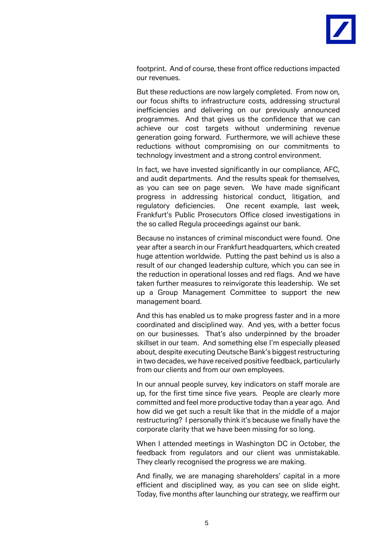

footprint. And of course, these front office reductions impacted our revenues.

But these reductions are now largely completed. From now on, our focus shifts to infrastructure costs, addressing structural inefficiencies and delivering on our previously announced programmes. And that gives us the confidence that we can achieve our cost targets without undermining revenue generation going forward. Furthermore, we will achieve these reductions without compromising on our commitments to technology investment and a strong control environment.

In fact, we have invested significantly in our compliance, AFC, and audit departments. And the results speak for themselves, as you can see on page seven. We have made significant progress in addressing historical conduct, litigation, and regulatory deficiencies. One recent example, last week, Frankfurt's Public Prosecutors Office closed investigations in the so called Regula proceedings against our bank.

Because no instances of criminal misconduct were found. One year after a search in our Frankfurt headquarters, which created huge attention worldwide. Putting the past behind us is also a result of our changed leadership culture, which you can see in the reduction in operational losses and red flags. And we have taken further measures to reinvigorate this leadership. We set up a Group Management Committee to support the new management board.

And this has enabled us to make progress faster and in a more coordinated and disciplined way. And yes, with a better focus on our businesses. That's also underpinned by the broader skillset in our team. And something else I'm especially pleased about, despite executing Deutsche Bank's biggest restructuring in two decades, we have received positive feedback, particularly from our clients and from our own employees.

In our annual people survey, key indicators on staff morale are up, for the first time since five years. People are clearly more committed and feel more productive today than a year ago. And how did we get such a result like that in the middle of a major restructuring? I personally think it's because we finally have the corporate clarity that we have been missing for so long.

When I attended meetings in Washington DC in October, the feedback from regulators and our client was unmistakable. They clearly recognised the progress we are making.

And finally, we are managing shareholders' capital in a more efficient and disciplined way, as you can see on slide eight. Today, five months after launching our strategy, we reaffirm our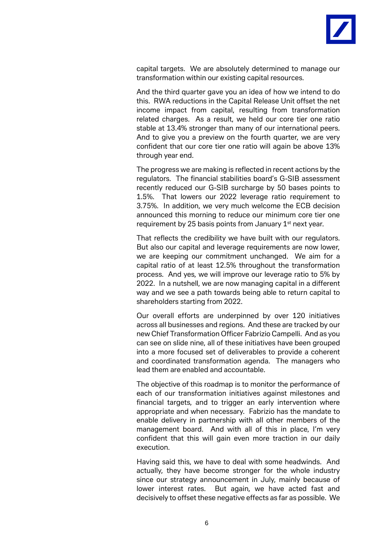

capital targets. We are absolutely determined to manage our transformation within our existing capital resources.

And the third quarter gave you an idea of how we intend to do this. RWA reductions in the Capital Release Unit offset the net income impact from capital, resulting from transformation related charges. As a result, we held our core tier one ratio stable at 13.4% stronger than many of our international peers. And to give you a preview on the fourth quarter, we are very confident that our core tier one ratio will again be above 13% through year end.

The progress we are making is reflected in recent actions by the regulators. The financial stabilities board's G-SIB assessment recently reduced our G-SIB surcharge by 50 bases points to 1.5%. That lowers our 2022 leverage ratio requirement to 3.75%. In addition, we very much welcome the ECB decision announced this morning to reduce our minimum core tier one requirement by 25 basis points from January  $1<sup>st</sup>$  next year.

That reflects the credibility we have built with our regulators. But also our capital and leverage requirements are now lower, we are keeping our commitment unchanged. We aim for a capital ratio of at least 12.5% throughout the transformation process. And yes, we will improve our leverage ratio to 5% by 2022. In a nutshell, we are now managing capital in a different way and we see a path towards being able to return capital to shareholders starting from 2022.

Our overall efforts are underpinned by over 120 initiatives across all businesses and regions. And these are tracked by our new Chief Transformation Officer Fabrizio Campelli. And as you can see on slide nine, all of these initiatives have been grouped into a more focused set of deliverables to provide a coherent and coordinated transformation agenda. The managers who lead them are enabled and accountable.

The objective of this roadmap is to monitor the performance of each of our transformation initiatives against milestones and financial targets, and to trigger an early intervention where appropriate and when necessary. Fabrizio has the mandate to enable delivery in partnership with all other members of the management board. And with all of this in place, I'm very confident that this will gain even more traction in our daily execution.

Having said this, we have to deal with some headwinds. And actually, they have become stronger for the whole industry since our strategy announcement in July, mainly because of lower interest rates. But again, we have acted fast and decisively to offset these negative effects as far as possible. We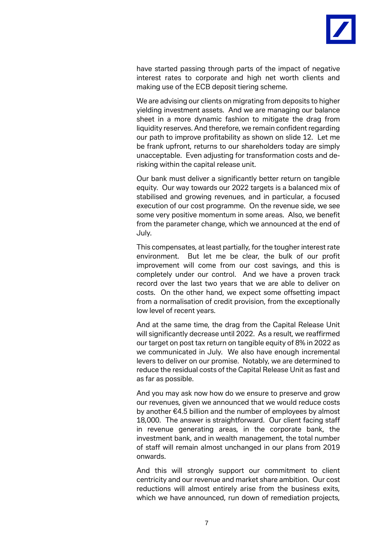

have started passing through parts of the impact of negative interest rates to corporate and high net worth clients and making use of the ECB deposit tiering scheme.

We are advising our clients on migrating from deposits to higher yielding investment assets. And we are managing our balance sheet in a more dynamic fashion to mitigate the drag from liquidity reserves. And therefore, we remain confident regarding our path to improve profitability as shown on slide 12. Let me be frank upfront, returns to our shareholders today are simply unacceptable. Even adjusting for transformation costs and derisking within the capital release unit.

Our bank must deliver a significantly better return on tangible equity. Our way towards our 2022 targets is a balanced mix of stabilised and growing revenues, and in particular, a focused execution of our cost programme. On the revenue side, we see some very positive momentum in some areas. Also, we benefit from the parameter change, which we announced at the end of July.

This compensates, at least partially, for the tougher interest rate environment. But let me be clear, the bulk of our profit improvement will come from our cost savings, and this is completely under our control. And we have a proven track record over the last two years that we are able to deliver on costs. On the other hand, we expect some offsetting impact from a normalisation of credit provision, from the exceptionally low level of recent years.

And at the same time, the drag from the Capital Release Unit will significantly decrease until 2022. As a result, we reaffirmed our target on post tax return on tangible equity of 8% in 2022 as we communicated in July. We also have enough incremental levers to deliver on our promise. Notably, we are determined to reduce the residual costs of the Capital Release Unit as fast and as far as possible.

And you may ask now how do we ensure to preserve and grow our revenues, given we announced that we would reduce costs by another €4.5 billion and the number of employees by almost 18,000. The answer is straightforward. Our client facing staff in revenue generating areas, in the corporate bank, the investment bank, and in wealth management, the total number of staff will remain almost unchanged in our plans from 2019 onwards.

And this will strongly support our commitment to client centricity and our revenue and market share ambition. Our cost reductions will almost entirely arise from the business exits, which we have announced, run down of remediation projects,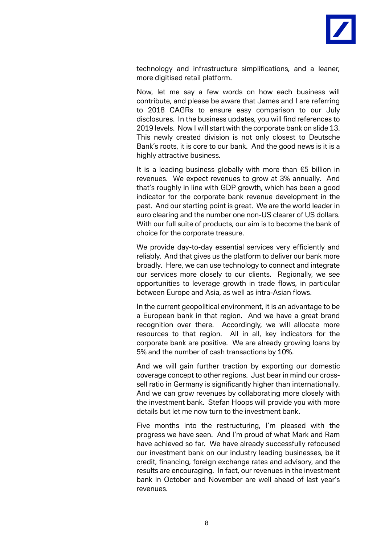

technology and infrastructure simplifications, and a leaner, more digitised retail platform.

Now, let me say a few words on how each business will contribute, and please be aware that James and I are referring to 2018 CAGRs to ensure easy comparison to our July disclosures. In the business updates, you will find references to 2019 levels. Now I will start with the corporate bank on slide 13. This newly created division is not only closest to Deutsche Bank's roots, it is core to our bank. And the good news is it is a highly attractive business.

It is a leading business globally with more than €5 billion in revenues. We expect revenues to grow at 3% annually. And that's roughly in line with GDP growth, which has been a good indicator for the corporate bank revenue development in the past. And our starting point is great. We are the world leader in euro clearing and the number one non-US clearer of US dollars. With our full suite of products, our aim is to become the bank of choice for the corporate treasure.

We provide day-to-day essential services very efficiently and reliably. And that gives us the platform to deliver our bank more broadly. Here, we can use technology to connect and integrate our services more closely to our clients. Regionally, we see opportunities to leverage growth in trade flows, in particular between Europe and Asia, as well as intra-Asian flows.

In the current geopolitical environment, it is an advantage to be a European bank in that region. And we have a great brand recognition over there. Accordingly, we will allocate more resources to that region. All in all, key indicators for the corporate bank are positive. We are already growing loans by 5% and the number of cash transactions by 10%.

And we will gain further traction by exporting our domestic coverage concept to other regions. Just bear in mind our crosssell ratio in Germany is significantly higher than internationally. And we can grow revenues by collaborating more closely with the investment bank. Stefan Hoops will provide you with more details but let me now turn to the investment bank.

Five months into the restructuring, I'm pleased with the progress we have seen. And I'm proud of what Mark and Ram have achieved so far. We have already successfully refocused our investment bank on our industry leading businesses, be it credit, financing, foreign exchange rates and advisory, and the results are encouraging. In fact, our revenues in the investment bank in October and November are well ahead of last year's revenues.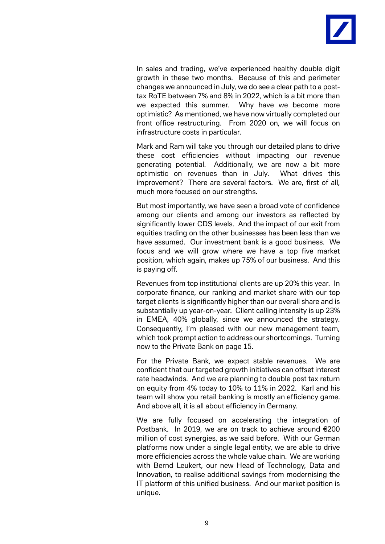

In sales and trading, we've experienced healthy double digit growth in these two months. Because of this and perimeter changes we announced in July, we do see a clear path to a posttax RoTE between 7% and 8% in 2022, which is a bit more than we expected this summer. Why have we become more optimistic? As mentioned, we have now virtually completed our front office restructuring. From 2020 on, we will focus on infrastructure costs in particular.

Mark and Ram will take you through our detailed plans to drive these cost efficiencies without impacting our revenue generating potential. Additionally, we are now a bit more optimistic on revenues than in July. What drives this improvement? There are several factors. We are, first of all, much more focused on our strengths.

But most importantly, we have seen a broad vote of confidence among our clients and among our investors as reflected by significantly lower CDS levels. And the impact of our exit from equities trading on the other businesses has been less than we have assumed. Our investment bank is a good business. We focus and we will grow where we have a top five market position, which again, makes up 75% of our business. And this is paying off.

Revenues from top institutional clients are up 20% this year. In corporate finance, our ranking and market share with our top target clients is significantly higher than our overall share and is substantially up year-on-year. Client calling intensity is up 23% in EMEA, 40% globally, since we announced the strategy. Consequently, I'm pleased with our new management team, which took prompt action to address our shortcomings. Turning now to the Private Bank on page 15.

For the Private Bank, we expect stable revenues. We are confident that our targeted growth initiatives can offset interest rate headwinds. And we are planning to double post tax return on equity from 4% today to 10% to 11% in 2022. Karl and his team will show you retail banking is mostly an efficiency game. And above all, it is all about efficiency in Germany.

We are fully focused on accelerating the integration of Postbank. In 2019, we are on track to achieve around €200 million of cost synergies, as we said before. With our German platforms now under a single legal entity, we are able to drive more efficiencies across the whole value chain. We are working with Bernd Leukert, our new Head of Technology, Data and Innovation, to realise additional savings from modernising the IT platform of this unified business. And our market position is unique.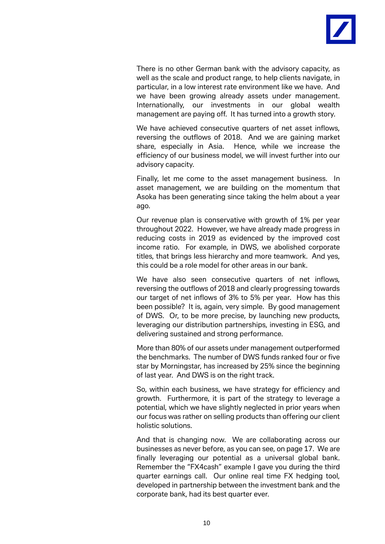

There is no other German bank with the advisory capacity, as well as the scale and product range, to help clients navigate, in particular, in a low interest rate environment like we have. And we have been growing already assets under management. Internationally, our investments in our global wealth management are paying off. It has turned into a growth story.

We have achieved consecutive quarters of net asset inflows, reversing the outflows of 2018. And we are gaining market share, especially in Asia. Hence, while we increase the efficiency of our business model, we will invest further into our advisory capacity.

Finally, let me come to the asset management business. In asset management, we are building on the momentum that Asoka has been generating since taking the helm about a year ago.

Our revenue plan is conservative with growth of 1% per year throughout 2022. However, we have already made progress in reducing costs in 2019 as evidenced by the improved cost income ratio. For example, in DWS, we abolished corporate titles, that brings less hierarchy and more teamwork. And yes, this could be a role model for other areas in our bank.

We have also seen consecutive quarters of net inflows, reversing the outflows of 2018 and clearly progressing towards our target of net inflows of 3% to 5% per year. How has this been possible? It is, again, very simple. By good management of DWS. Or, to be more precise, by launching new products, leveraging our distribution partnerships, investing in ESG, and delivering sustained and strong performance.

More than 80% of our assets under management outperformed the benchmarks. The number of DWS funds ranked four or five star by Morningstar, has increased by 25% since the beginning of last year. And DWS is on the right track.

So, within each business, we have strategy for efficiency and growth. Furthermore, it is part of the strategy to leverage a potential, which we have slightly neglected in prior years when our focus was rather on selling products than offering our client holistic solutions.

And that is changing now. We are collaborating across our businesses as never before, as you can see, on page 17. We are finally leveraging our potential as a universal global bank. Remember the "FX4cash" example I gave you during the third quarter earnings call. Our online real time FX hedging tool, developed in partnership between the investment bank and the corporate bank, had its best quarter ever.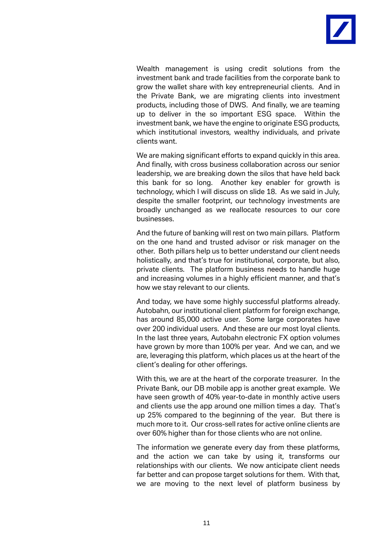

Wealth management is using credit solutions from the investment bank and trade facilities from the corporate bank to grow the wallet share with key entrepreneurial clients. And in the Private Bank, we are migrating clients into investment products, including those of DWS. And finally, we are teaming up to deliver in the so important ESG space. Within the investment bank, we have the engine to originate ESG products, which institutional investors, wealthy individuals, and private clients want.

We are making significant efforts to expand quickly in this area. And finally, with cross business collaboration across our senior leadership, we are breaking down the silos that have held back this bank for so long. Another key enabler for growth is technology, which I will discuss on slide 18. As we said in July, despite the smaller footprint, our technology investments are broadly unchanged as we reallocate resources to our core businesses.

And the future of banking will rest on two main pillars. Platform on the one hand and trusted advisor or risk manager on the other. Both pillars help us to better understand our client needs holistically, and that's true for institutional, corporate, but also, private clients. The platform business needs to handle huge and increasing volumes in a highly efficient manner, and that's how we stay relevant to our clients.

And today, we have some highly successful platforms already. Autobahn, our institutional client platform for foreign exchange, has around 85,000 active user. Some large corporates have over 200 individual users. And these are our most loyal clients. In the last three years, Autobahn electronic FX option volumes have grown by more than 100% per year. And we can, and we are, leveraging this platform, which places us at the heart of the client's dealing for other offerings.

With this, we are at the heart of the corporate treasurer. In the Private Bank, our DB mobile app is another great example. We have seen growth of 40% year-to-date in monthly active users and clients use the app around one million times a day. That's up 25% compared to the beginning of the year. But there is much more to it. Our cross-sell rates for active online clients are over 60% higher than for those clients who are not online.

The information we generate every day from these platforms, and the action we can take by using it, transforms our relationships with our clients. We now anticipate client needs far better and can propose target solutions for them. With that, we are moving to the next level of platform business by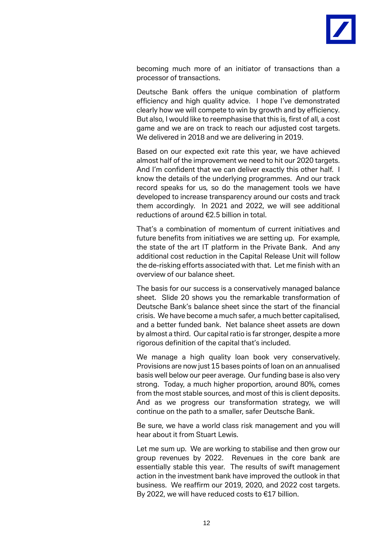

becoming much more of an initiator of transactions than a processor of transactions.

Deutsche Bank offers the unique combination of platform efficiency and high quality advice. I hope I've demonstrated clearly how we will compete to win by growth and by efficiency. But also, I would like to reemphasise that this is, first of all, a cost game and we are on track to reach our adjusted cost targets. We delivered in 2018 and we are delivering in 2019.

Based on our expected exit rate this year, we have achieved almost half of the improvement we need to hit our 2020 targets. And I'm confident that we can deliver exactly this other half. I know the details of the underlying programmes. And our track record speaks for us, so do the management tools we have developed to increase transparency around our costs and track them accordingly. In 2021 and 2022, we will see additional reductions of around €2.5 billion in total.

That's a combination of momentum of current initiatives and future benefits from initiatives we are setting up. For example, the state of the art IT platform in the Private Bank. And any additional cost reduction in the Capital Release Unit will follow the de-risking efforts associated with that. Let me finish with an overview of our balance sheet.

The basis for our success is a conservatively managed balance sheet. Slide 20 shows you the remarkable transformation of Deutsche Bank's balance sheet since the start of the financial crisis. We have become a much safer, a much better capitalised, and a better funded bank. Net balance sheet assets are down by almost a third. Our capital ratio is far stronger, despite a more rigorous definition of the capital that's included.

We manage a high quality loan book very conservatively. Provisions are now just 15 bases points of loan on an annualised basis well below our peer average. Our funding base is also very strong. Today, a much higher proportion, around 80%, comes from the most stable sources, and most of this is client deposits. And as we progress our transformation strategy, we will continue on the path to a smaller, safer Deutsche Bank.

Be sure, we have a world class risk management and you will hear about it from Stuart Lewis.

Let me sum up. We are working to stabilise and then grow our group revenues by 2022. Revenues in the core bank are essentially stable this year. The results of swift management action in the investment bank have improved the outlook in that business. We reaffirm our 2019, 2020, and 2022 cost targets. By 2022, we will have reduced costs to €17 billion.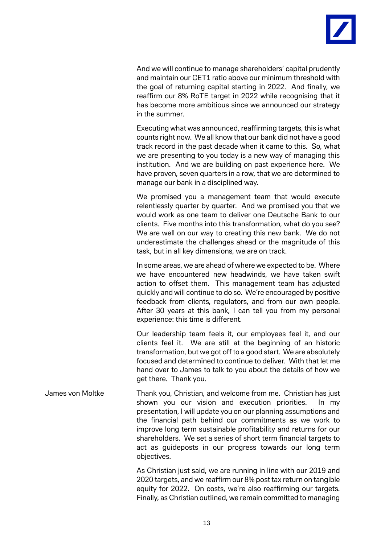

And we will continue to manage shareholders' capital prudently and maintain our CET1 ratio above our minimum threshold with the goal of returning capital starting in 2022. And finally, we reaffirm our 8% RoTE target in 2022 while recognising that it has become more ambitious since we announced our strategy in the summer.

Executing what was announced, reaffirming targets, this is what counts right now. We all know that our bank did not have a good track record in the past decade when it came to this. So, what we are presenting to you today is a new way of managing this institution. And we are building on past experience here. We have proven, seven quarters in a row, that we are determined to manage our bank in a disciplined way.

We promised you a management team that would execute relentlessly quarter by quarter. And we promised you that we would work as one team to deliver one Deutsche Bank to our clients. Five months into this transformation, what do you see? We are well on our way to creating this new bank. We do not underestimate the challenges ahead or the magnitude of this task, but in all key dimensions, we are on track.

In some areas, we are ahead of where we expected to be. Where we have encountered new headwinds, we have taken swift action to offset them. This management team has adjusted quickly and will continue to do so. We're encouraged by positive feedback from clients, regulators, and from our own people. After 30 years at this bank, I can tell you from my personal experience: this time is different.

Our leadership team feels it, our employees feel it, and our clients feel it. We are still at the beginning of an historic transformation, but we got off to a good start. We are absolutely focused and determined to continue to deliver. With that let me hand over to James to talk to you about the details of how we get there. Thank you.

James von Moltke Thank you, Christian, and welcome from me. Christian has just shown you our vision and execution priorities. In my presentation, I will update you on our planning assumptions and the financial path behind our commitments as we work to improve long term sustainable profitability and returns for our shareholders. We set a series of short term financial targets to act as guideposts in our progress towards our long term objectives.

> As Christian just said, we are running in line with our 2019 and 2020 targets, and we reaffirm our 8% post tax return on tangible equity for 2022. On costs, we're also reaffirming our targets. Finally, as Christian outlined, we remain committed to managing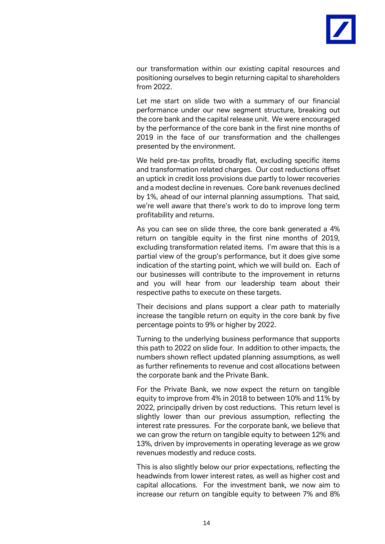

our transformation within our existing capital resources and positioning ourselves to begin returning capital to shareholders from 2022.

Let me start on slide two with a summary of our financial performance under our new segment structure, breaking out the core bank and the capital release unit. We were encouraged by the performance of the core bank in the first nine months of 2019 in the face of our transformation and the challenges presented by the environment.

We held pre-tax profits, broadly flat, excluding specific items and transformation related charges. Our cost reductions offset an uptick in credit loss provisions due partly to lower recoveries and a modest decline in revenues. Core bank revenues declined by 1%, ahead of our internal planning assumptions. That said, we're well aware that there's work to do to improve long term profitability and returns.

As you can see on slide three, the core bank generated a 4% return on tangible equity in the first nine months of 2019, excluding transformation related items. I'm aware that this is a partial view of the group's performance, but it does give some indication of the starting point, which we will build on. Each of our businesses will contribute to the improvement in returns and you will hear from our leadership team about their respective paths to execute on these targets.

Their decisions and plans support a clear path to materially increase the tangible return on equity in the core bank by five percentage points to 9% or higher by 2022.

Turning to the underlying business performance that supports this path to 2022 on slide four. In addition to other impacts, the numbers shown reflect updated planning assumptions, as well as further refinements to revenue and cost allocations between the corporate bank and the Private Bank.

For the Private Bank, we now expect the return on tangible equity to improve from 4% in 2018 to between 10% and 11% by 2022, principally driven by cost reductions. This return level is slightly lower than our previous assumption, reflecting the interest rate pressures. For the corporate bank, we believe that we can grow the return on tangible equity to between 12% and 13%, driven by improvements in operating leverage as we grow revenues modestly and reduce costs.

This is also slightly below our prior expectations, reflecting the headwinds from lower interest rates, as well as higher cost and capital allocations. For the investment bank, we now aim to increase our return on tangible equity to between 7% and 8%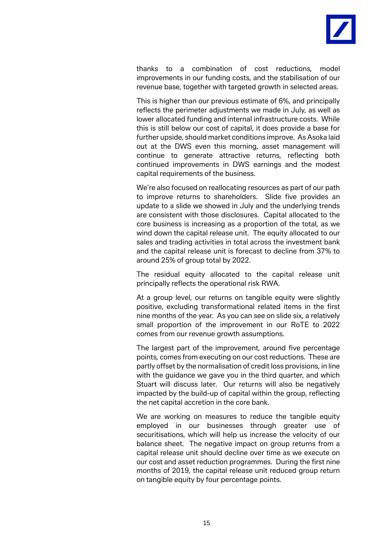

thanks to a combination of cost reductions, model improvements in our funding costs, and the stabilisation of our revenue base, together with targeted growth in selected areas.

This is higher than our previous estimate of 6%, and principally reflects the perimeter adjustments we made in July, as well as lower allocated funding and internal infrastructure costs. While this is still below our cost of capital, it does provide a base for further upside, should market conditions improve. As Asoka laid out at the DWS even this morning, asset management will continue to generate attractive returns, reflecting both continued improvements in DWS earnings and the modest capital requirements of the business.

We're also focused on reallocating resources as part of our path to improve returns to shareholders. Slide five provides an update to a slide we showed in July and the underlying trends are consistent with those disclosures. Capital allocated to the core business is increasing as a proportion of the total, as we wind down the capital release unit. The equity allocated to our sales and trading activities in total across the investment bank and the capital release unit is forecast to decline from 37% to around 25% of group total by 2022.

The residual equity allocated to the capital release unit principally reflects the operational risk RWA.

At a group level, our returns on tangible equity were slightly positive, excluding transformational related items in the first nine months of the year. As you can see on slide six, a relatively small proportion of the improvement in our RoTE to 2022 comes from our revenue growth assumptions.

The largest part of the improvement, around five percentage points, comes from executing on our cost reductions. These are partly offset by the normalisation of credit loss provisions, in line with the guidance we gave you in the third quarter, and which Stuart will discuss later. Our returns will also be negatively impacted by the build-up of capital within the group, reflecting the net capital accretion in the core bank.

We are working on measures to reduce the tangible equity employed in our businesses through greater use of securitisations, which will help us increase the velocity of our balance sheet. The negative impact on group returns from a capital release unit should decline over time as we execute on our cost and asset reduction programmes. During the first nine months of 2019, the capital release unit reduced group return on tangible equity by four percentage points.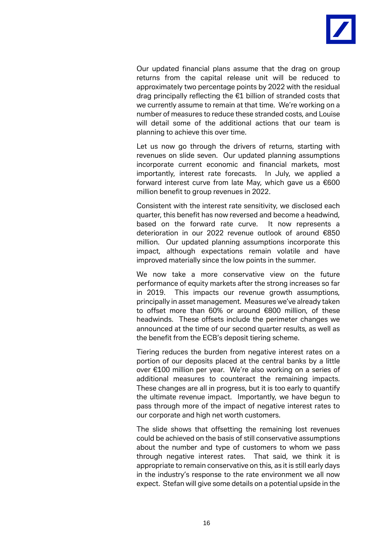

Our updated financial plans assume that the drag on group returns from the capital release unit will be reduced to approximately two percentage points by 2022 with the residual drag principally reflecting the €1 billion of stranded costs that we currently assume to remain at that time. We're working on a number of measures to reduce these stranded costs, and Louise will detail some of the additional actions that our team is planning to achieve this over time.

Let us now go through the drivers of returns, starting with revenues on slide seven. Our updated planning assumptions incorporate current economic and financial markets, most importantly, interest rate forecasts. In July, we applied a forward interest curve from late May, which gave us a €600 million benefit to group revenues in 2022.

Consistent with the interest rate sensitivity, we disclosed each quarter, this benefit has now reversed and become a headwind, based on the forward rate curve. It now represents a deterioration in our 2022 revenue outlook of around €850 million. Our updated planning assumptions incorporate this impact, although expectations remain volatile and have improved materially since the low points in the summer.

We now take a more conservative view on the future performance of equity markets after the strong increases so far in 2019. This impacts our revenue growth assumptions, principally in asset management. Measures we've already taken to offset more than 60% or around €800 million, of these headwinds. These offsets include the perimeter changes we announced at the time of our second quarter results, as well as the benefit from the ECB's deposit tiering scheme.

Tiering reduces the burden from negative interest rates on a portion of our deposits placed at the central banks by a little over €100 million per year. We're also working on a series of additional measures to counteract the remaining impacts. These changes are all in progress, but it is too early to quantify the ultimate revenue impact. Importantly, we have begun to pass through more of the impact of negative interest rates to our corporate and high net worth customers.

The slide shows that offsetting the remaining lost revenues could be achieved on the basis of still conservative assumptions about the number and type of customers to whom we pass through negative interest rates. That said, we think it is appropriate to remain conservative on this, as it is still early days in the industry's response to the rate environment we all now expect. Stefan will give some details on a potential upside in the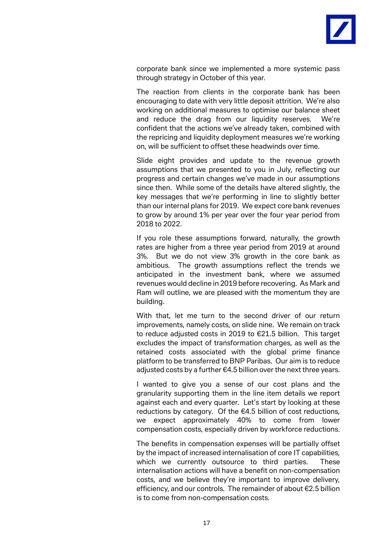

corporate bank since we implemented a more systemic pass through strategy in October of this year.

The reaction from clients in the corporate bank has been encouraging to date with very little deposit attrition. We're also working on additional measures to optimise our balance sheet and reduce the drag from our liquidity reserves. We're confident that the actions we've already taken, combined with the repricing and liquidity deployment measures we're working on, will be sufficient to offset these headwinds over time.

Slide eight provides and update to the revenue growth assumptions that we presented to you in July, reflecting our progress and certain changes we've made in our assumptions since then. While some of the details have altered slightly, the key messages that we're performing in line to slightly better than our internal plans for 2019. We expect core bank revenues to grow by around 1% per year over the four year period from 2018 to 2022.

If you role these assumptions forward, naturally, the growth rates are higher from a three year period from 2019 at around 3%. But we do not view 3% growth in the core bank as ambitious. The growth assumptions reflect the trends we anticipated in the investment bank, where we assumed revenues would decline in 2019 before recovering. As Mark and Ram will outline, we are pleased with the momentum they are building.

With that, let me turn to the second driver of our return improvements, namely costs, on slide nine. We remain on track to reduce adjusted costs in 2019 to €21.5 billion. This target excludes the impact of transformation charges, as well as the retained costs associated with the global prime finance platform to be transferred to BNP Paribas. Our aim is to reduce adjusted costs by a further  $\epsilon$ 4.5 billion over the next three years.

I wanted to give you a sense of our cost plans and the granularity supporting them in the line item details we report against each and every quarter. Let's start by looking at these reductions by category. Of the €4.5 billion of cost reductions, we expect approximately 40% to come from lower compensation costs, especially driven by workforce reductions.

The benefits in compensation expenses will be partially offset by the impact of increased internalisation of core IT capabilities, which we currently outsource to third parties. These internalisation actions will have a benefit on non-compensation costs, and we believe they're important to improve delivery, efficiency, and our controls. The remainder of about €2.5 billion is to come from non-compensation costs.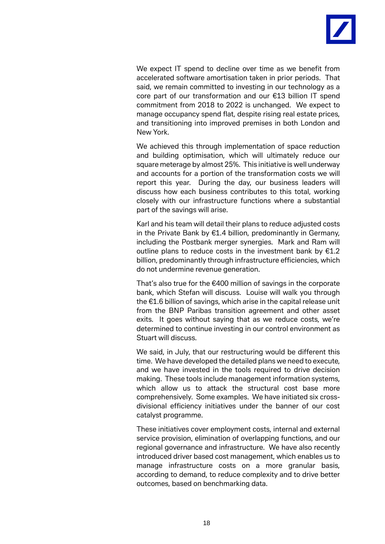

We expect IT spend to decline over time as we benefit from accelerated software amortisation taken in prior periods. That said, we remain committed to investing in our technology as a core part of our transformation and our €13 billion IT spend commitment from 2018 to 2022 is unchanged. We expect to manage occupancy spend flat, despite rising real estate prices, and transitioning into improved premises in both London and New York.

We achieved this through implementation of space reduction and building optimisation, which will ultimately reduce our square meterage by almost 25%. This initiative is well underway and accounts for a portion of the transformation costs we will report this year. During the day, our business leaders will discuss how each business contributes to this total, working closely with our infrastructure functions where a substantial part of the savings will arise.

Karl and his team will detail their plans to reduce adjusted costs in the Private Bank by €1.4 billion, predominantly in Germany, including the Postbank merger synergies. Mark and Ram will outline plans to reduce costs in the investment bank by  $E1.2$ billion, predominantly through infrastructure efficiencies, which do not undermine revenue generation.

That's also true for the €400 million of savings in the corporate bank, which Stefan will discuss. Louise will walk you through the €1.6 billion of savings, which arise in the capital release unit from the BNP Paribas transition agreement and other asset exits. It goes without saying that as we reduce costs, we're determined to continue investing in our control environment as Stuart will discuss.

We said, in July, that our restructuring would be different this time. We have developed the detailed plans we need to execute, and we have invested in the tools required to drive decision making. These tools include management information systems, which allow us to attack the structural cost base more comprehensively. Some examples. We have initiated six crossdivisional efficiency initiatives under the banner of our cost catalyst programme.

These initiatives cover employment costs, internal and external service provision, elimination of overlapping functions, and our regional governance and infrastructure. We have also recently introduced driver based cost management, which enables us to manage infrastructure costs on a more granular basis, according to demand, to reduce complexity and to drive better outcomes, based on benchmarking data.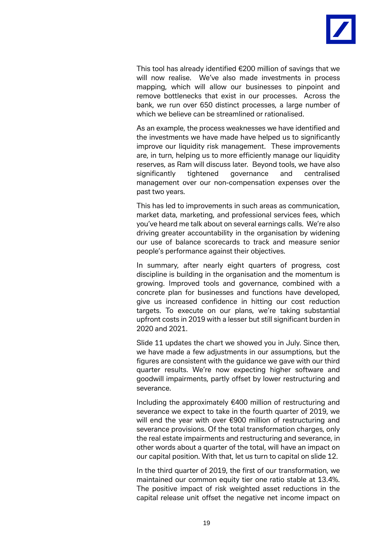

This tool has already identified €200 million of savings that we will now realise. We've also made investments in process mapping, which will allow our businesses to pinpoint and remove bottlenecks that exist in our processes. Across the bank, we run over 650 distinct processes, a large number of which we believe can be streamlined or rationalised.

As an example, the process weaknesses we have identified and the investments we have made have helped us to significantly improve our liquidity risk management. These improvements are, in turn, helping us to more efficiently manage our liquidity reserves, as Ram will discuss later. Beyond tools, we have also significantly tightened governance and centralised management over our non-compensation expenses over the past two years.

This has led to improvements in such areas as communication, market data, marketing, and professional services fees, which you've heard me talk about on several earnings calls. We're also driving greater accountability in the organisation by widening our use of balance scorecards to track and measure senior people's performance against their objectives.

In summary, after nearly eight quarters of progress, cost discipline is building in the organisation and the momentum is growing. Improved tools and governance, combined with a concrete plan for businesses and functions have developed, give us increased confidence in hitting our cost reduction targets. To execute on our plans, we're taking substantial upfront costs in 2019 with a lesser but still significant burden in 2020 and 2021.

Slide 11 updates the chart we showed you in July. Since then, we have made a few adjustments in our assumptions, but the figures are consistent with the guidance we gave with our third quarter results. We're now expecting higher software and goodwill impairments, partly offset by lower restructuring and severance.

Including the approximately €400 million of restructuring and severance we expect to take in the fourth quarter of 2019, we will end the year with over €900 million of restructuring and severance provisions. Of the total transformation charges, only the real estate impairments and restructuring and severance, in other words about a quarter of the total, will have an impact on our capital position. With that, let us turn to capital on slide 12.

In the third quarter of 2019, the first of our transformation, we maintained our common equity tier one ratio stable at 13.4%. The positive impact of risk weighted asset reductions in the capital release unit offset the negative net income impact on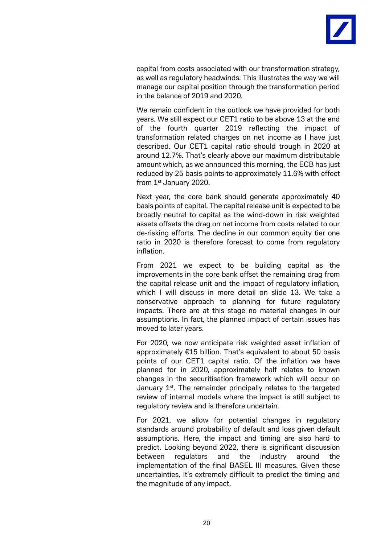

capital from costs associated with our transformation strategy, as well as regulatory headwinds. This illustrates the way we will manage our capital position through the transformation period in the balance of 2019 and 2020.

We remain confident in the outlook we have provided for both years. We still expect our CET1 ratio to be above 13 at the end of the fourth quarter 2019 reflecting the impact of transformation related charges on net income as I have just described. Our CET1 capital ratio should trough in 2020 at around 12.7%. That's clearly above our maximum distributable amount which, as we announced this morning, the ECB has just reduced by 25 basis points to approximately 11.6% with effect from 1st January 2020.

Next year, the core bank should generate approximately 40 basis points of capital. The capital release unit is expected to be broadly neutral to capital as the wind-down in risk weighted assets offsets the drag on net income from costs related to our de-risking efforts. The decline in our common equity tier one ratio in 2020 is therefore forecast to come from regulatory inflation.

From 2021 we expect to be building capital as the improvements in the core bank offset the remaining drag from the capital release unit and the impact of regulatory inflation, which I will discuss in more detail on slide 13. We take a conservative approach to planning for future regulatory impacts. There are at this stage no material changes in our assumptions. In fact, the planned impact of certain issues has moved to later years.

For 2020, we now anticipate risk weighted asset inflation of approximately €15 billion. That's equivalent to about 50 basis points of our CET1 capital ratio. Of the inflation we have planned for in 2020, approximately half relates to known changes in the securitisation framework which will occur on January  $1<sup>st</sup>$ . The remainder principally relates to the targeted review of internal models where the impact is still subject to regulatory review and is therefore uncertain.

For 2021, we allow for potential changes in regulatory standards around probability of default and loss given default assumptions. Here, the impact and timing are also hard to predict. Looking beyond 2022, there is significant discussion between regulators and the industry around the implementation of the final BASEL III measures. Given these uncertainties, it's extremely difficult to predict the timing and the magnitude of any impact.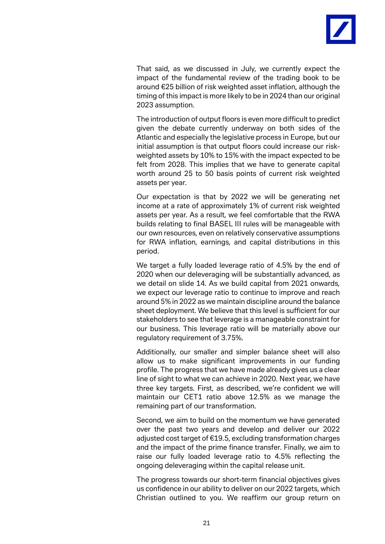

That said, as we discussed in July, we currently expect the impact of the fundamental review of the trading book to be around €25 billion of risk weighted asset inflation, although the timing of this impact is more likely to be in 2024 than our original 2023 assumption.

The introduction of output floors is even more difficult to predict given the debate currently underway on both sides of the Atlantic and especially the legislative process in Europe, but our initial assumption is that output floors could increase our riskweighted assets by 10% to 15% with the impact expected to be felt from 2028. This implies that we have to generate capital worth around 25 to 50 basis points of current risk weighted assets per year.

Our expectation is that by 2022 we will be generating net income at a rate of approximately 1% of current risk weighted assets per year. As a result, we feel comfortable that the RWA builds relating to final BASEL III rules will be manageable with our own resources, even on relatively conservative assumptions for RWA inflation, earnings, and capital distributions in this period.

We target a fully loaded leverage ratio of 4.5% by the end of 2020 when our deleveraging will be substantially advanced, as we detail on slide 14. As we build capital from 2021 onwards, we expect our leverage ratio to continue to improve and reach around 5% in 2022 as we maintain discipline around the balance sheet deployment. We believe that this level is sufficient for our stakeholders to see that leverage is a manageable constraint for our business. This leverage ratio will be materially above our regulatory requirement of 3.75%.

Additionally, our smaller and simpler balance sheet will also allow us to make significant improvements in our funding profile. The progress that we have made already gives us a clear line of sight to what we can achieve in 2020. Next year, we have three key targets. First, as described, we're confident we will maintain our CET1 ratio above 12.5% as we manage the remaining part of our transformation.

Second, we aim to build on the momentum we have generated over the past two years and develop and deliver our 2022 adjusted cost target of €19.5, excluding transformation charges and the impact of the prime finance transfer. Finally, we aim to raise our fully loaded leverage ratio to 4.5% reflecting the ongoing deleveraging within the capital release unit.

The progress towards our short-term financial objectives gives us confidence in our ability to deliver on our 2022 targets, which Christian outlined to you. We reaffirm our group return on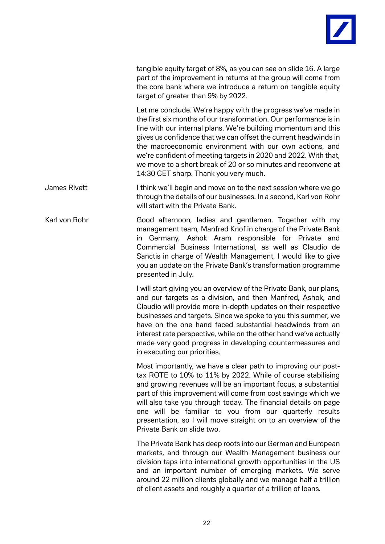

tangible equity target of 8%, as you can see on slide 16. A large part of the improvement in returns at the group will come from the core bank where we introduce a return on tangible equity target of greater than 9% by 2022.

Let me conclude. We're happy with the progress we've made in the first six months of our transformation. Our performance is in line with our internal plans. We're building momentum and this gives us confidence that we can offset the current headwinds in the macroeconomic environment with our own actions, and we're confident of meeting targets in 2020 and 2022. With that, we move to a short break of 20 or so minutes and reconvene at 14:30 CET sharp. Thank you very much.

James Rivett I think we'll begin and move on to the next session where we go through the details of our businesses. In a second, Karl von Rohr will start with the Private Bank.

Karl von Rohr Good afternoon, ladies and gentlemen. Together with my management team, Manfred Knof in charge of the Private Bank in Germany, Ashok Aram responsible for Private and Commercial Business International, as well as Claudio de Sanctis in charge of Wealth Management, I would like to give you an update on the Private Bank's transformation programme presented in July.

> I will start giving you an overview of the Private Bank, our plans, and our targets as a division, and then Manfred, Ashok, and Claudio will provide more in-depth updates on their respective businesses and targets. Since we spoke to you this summer, we have on the one hand faced substantial headwinds from an interest rate perspective, while on the other hand we've actually made very good progress in developing countermeasures and in executing our priorities.

> Most importantly, we have a clear path to improving our posttax ROTE to 10% to 11% by 2022. While of course stabilising and growing revenues will be an important focus, a substantial part of this improvement will come from cost savings which we will also take you through today. The financial details on page one will be familiar to you from our quarterly results presentation, so I will move straight on to an overview of the Private Bank on slide two.

> The Private Bank has deep roots into our German and European markets, and through our Wealth Management business our division taps into international growth opportunities in the US and an important number of emerging markets. We serve around 22 million clients globally and we manage half a trillion of client assets and roughly a quarter of a trillion of loans.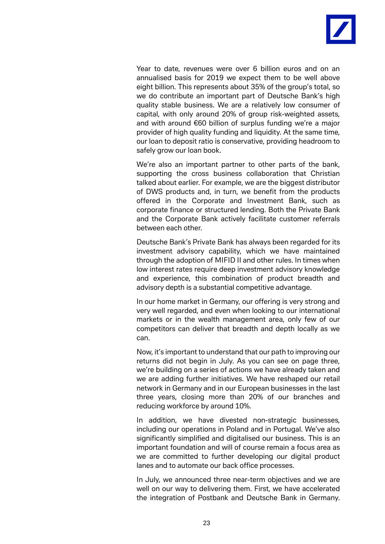

Year to date, revenues were over 6 billion euros and on an annualised basis for 2019 we expect them to be well above eight billion. This represents about 35% of the group's total, so we do contribute an important part of Deutsche Bank's high quality stable business. We are a relatively low consumer of capital, with only around 20% of group risk-weighted assets, and with around €60 billion of surplus funding we're a major provider of high quality funding and liquidity. At the same time, our loan to deposit ratio is conservative, providing headroom to safely grow our loan book.

We're also an important partner to other parts of the bank, supporting the cross business collaboration that Christian talked about earlier. For example, we are the biggest distributor of DWS products and, in turn, we benefit from the products offered in the Corporate and Investment Bank, such as corporate finance or structured lending. Both the Private Bank and the Corporate Bank actively facilitate customer referrals between each other.

Deutsche Bank's Private Bank has always been regarded for its investment advisory capability, which we have maintained through the adoption of MIFID II and other rules. In times when low interest rates require deep investment advisory knowledge and experience, this combination of product breadth and advisory depth is a substantial competitive advantage.

In our home market in Germany, our offering is very strong and very well regarded, and even when looking to our international markets or in the wealth management area, only few of our competitors can deliver that breadth and depth locally as we can.

Now, it's important to understand that our path to improving our returns did not begin in July. As you can see on page three, we're building on a series of actions we have already taken and we are adding further initiatives. We have reshaped our retail network in Germany and in our European businesses in the last three years, closing more than 20% of our branches and reducing workforce by around 10%.

In addition, we have divested non-strategic businesses, including our operations in Poland and in Portugal. We've also significantly simplified and digitalised our business. This is an important foundation and will of course remain a focus area as we are committed to further developing our digital product lanes and to automate our back office processes.

In July, we announced three near-term objectives and we are well on our way to delivering them. First, we have accelerated the integration of Postbank and Deutsche Bank in Germany.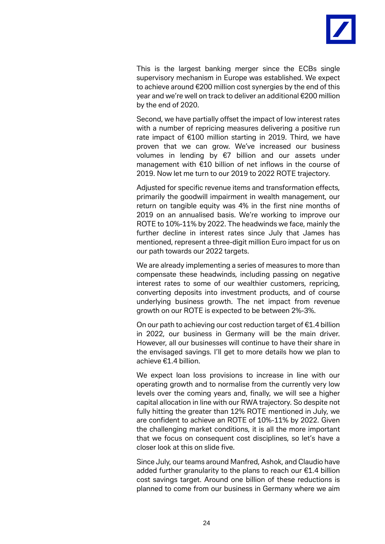

This is the largest banking merger since the ECBs single supervisory mechanism in Europe was established. We expect to achieve around €200 million cost synergies by the end of this year and we're well on track to deliver an additional €200 million by the end of 2020.

Second, we have partially offset the impact of low interest rates with a number of repricing measures delivering a positive run rate impact of €100 million starting in 2019. Third, we have proven that we can grow. We've increased our business volumes in lending by €7 billion and our assets under management with €10 billion of net inflows in the course of 2019. Now let me turn to our 2019 to 2022 ROTE trajectory.

Adjusted for specific revenue items and transformation effects, primarily the goodwill impairment in wealth management, our return on tangible equity was 4% in the first nine months of 2019 on an annualised basis. We're working to improve our ROTE to 10%-11% by 2022. The headwinds we face, mainly the further decline in interest rates since July that James has mentioned, represent a three-digit million Euro impact for us on our path towards our 2022 targets.

We are already implementing a series of measures to more than compensate these headwinds, including passing on negative interest rates to some of our wealthier customers, repricing, converting deposits into investment products, and of course underlying business growth. The net impact from revenue growth on our ROTE is expected to be between 2%-3%.

On our path to achieving our cost reduction target of €1.4 billion in 2022, our business in Germany will be the main driver. However, all our businesses will continue to have their share in the envisaged savings. I'll get to more details how we plan to achieve €1.4 billion.

We expect loan loss provisions to increase in line with our operating growth and to normalise from the currently very low levels over the coming years and, finally, we will see a higher capital allocation in line with our RWA trajectory. So despite not fully hitting the greater than 12% ROTE mentioned in July, we are confident to achieve an ROTE of 10%-11% by 2022. Given the challenging market conditions, it is all the more important that we focus on consequent cost disciplines, so let's have a closer look at this on slide five.

Since July, our teams around Manfred, Ashok, and Claudio have added further granularity to the plans to reach our €1.4 billion cost savings target. Around one billion of these reductions is planned to come from our business in Germany where we aim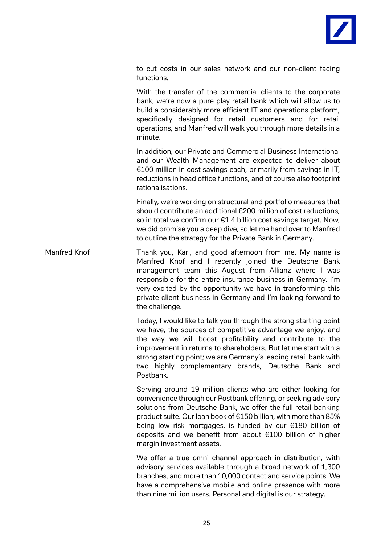

to cut costs in our sales network and our non-client facing functions.

With the transfer of the commercial clients to the corporate bank, we're now a pure play retail bank which will allow us to build a considerably more efficient IT and operations platform, specifically designed for retail customers and for retail operations, and Manfred will walk you through more details in a minute.

In addition, our Private and Commercial Business International and our Wealth Management are expected to deliver about €100 million in cost savings each, primarily from savings in IT, reductions in head office functions, and of course also footprint rationalisations.

Finally, we're working on structural and portfolio measures that should contribute an additional €200 million of cost reductions, so in total we confirm our €1.4 billion cost savings target. Now, we did promise you a deep dive, so let me hand over to Manfred to outline the strategy for the Private Bank in Germany.

Manfred Knof Thank you, Karl, and good afternoon from me. My name is Manfred Knof and I recently joined the Deutsche Bank management team this August from Allianz where I was responsible for the entire insurance business in Germany. I'm very excited by the opportunity we have in transforming this private client business in Germany and I'm looking forward to the challenge.

> Today, I would like to talk you through the strong starting point we have, the sources of competitive advantage we enjoy, and the way we will boost profitability and contribute to the improvement in returns to shareholders. But let me start with a strong starting point; we are Germany's leading retail bank with two highly complementary brands, Deutsche Bank and Postbank.

> Serving around 19 million clients who are either looking for convenience through our Postbank offering, or seeking advisory solutions from Deutsche Bank, we offer the full retail banking product suite. Our loan book of €150 billion, with more than 85% being low risk mortgages, is funded by our €180 billion of deposits and we benefit from about €100 billion of higher margin investment assets.

> We offer a true omni channel approach in distribution, with advisory services available through a broad network of 1,300 branches, and more than 10,000 contact and service points. We have a comprehensive mobile and online presence with more than nine million users. Personal and digital is our strategy.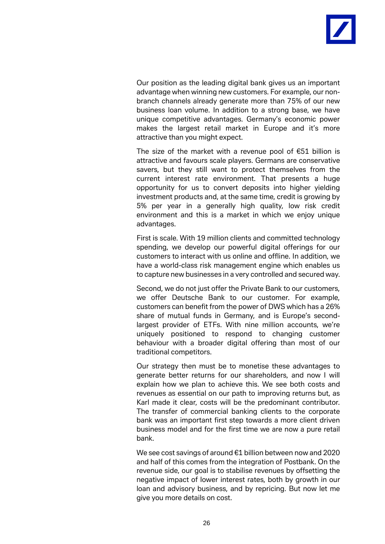

Our position as the leading digital bank gives us an important advantage when winning new customers. For example, our nonbranch channels already generate more than 75% of our new business loan volume. In addition to a strong base, we have unique competitive advantages. Germany's economic power makes the largest retail market in Europe and it's more attractive than you might expect.

The size of the market with a revenue pool of €51 billion is attractive and favours scale players. Germans are conservative savers, but they still want to protect themselves from the current interest rate environment. That presents a huge opportunity for us to convert deposits into higher yielding investment products and, at the same time, credit is growing by 5% per year in a generally high quality, low risk credit environment and this is a market in which we enjoy unique advantages.

First is scale. With 19 million clients and committed technology spending, we develop our powerful digital offerings for our customers to interact with us online and offline. In addition, we have a world-class risk management engine which enables us to capture new businesses in a very controlled and secured way.

Second, we do not just offer the Private Bank to our customers, we offer Deutsche Bank to our customer. For example, customers can benefit from the power of DWS which has a 26% share of mutual funds in Germany, and is Europe's secondlargest provider of ETFs. With nine million accounts, we're uniquely positioned to respond to changing customer behaviour with a broader digital offering than most of our traditional competitors.

Our strategy then must be to monetise these advantages to generate better returns for our shareholders, and now I will explain how we plan to achieve this. We see both costs and revenues as essential on our path to improving returns but, as Karl made it clear, costs will be the predominant contributor. The transfer of commercial banking clients to the corporate bank was an important first step towards a more client driven business model and for the first time we are now a pure retail bank.

We see cost savings of around €1 billion between now and 2020 and half of this comes from the integration of Postbank. On the revenue side, our goal is to stabilise revenues by offsetting the negative impact of lower interest rates, both by growth in our loan and advisory business, and by repricing. But now let me give you more details on cost.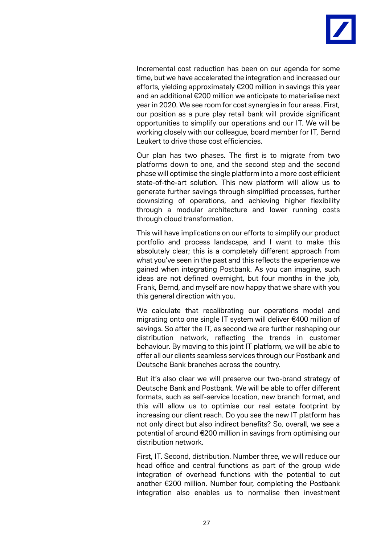

Incremental cost reduction has been on our agenda for some time, but we have accelerated the integration and increased our efforts, yielding approximately €200 million in savings this year and an additional €200 million we anticipate to materialise next year in 2020. We see room for cost synergies in four areas. First, our position as a pure play retail bank will provide significant opportunities to simplify our operations and our IT. We will be working closely with our colleague, board member for IT, Bernd Leukert to drive those cost efficiencies.

Our plan has two phases. The first is to migrate from two platforms down to one, and the second step and the second phase will optimise the single platform into a more cost efficient state-of-the-art solution. This new platform will allow us to generate further savings through simplified processes, further downsizing of operations, and achieving higher flexibility through a modular architecture and lower running costs through cloud transformation.

This will have implications on our efforts to simplify our product portfolio and process landscape, and I want to make this absolutely clear; this is a completely different approach from what you've seen in the past and this reflects the experience we gained when integrating Postbank. As you can imagine, such ideas are not defined overnight, but four months in the job, Frank, Bernd, and myself are now happy that we share with you this general direction with you.

We calculate that recalibrating our operations model and migrating onto one single IT system will deliver €400 million of savings. So after the IT, as second we are further reshaping our distribution network, reflecting the trends in customer behaviour. By moving to this joint IT platform, we will be able to offer all our clients seamless services through our Postbank and Deutsche Bank branches across the country.

But it's also clear we will preserve our two-brand strategy of Deutsche Bank and Postbank. We will be able to offer different formats, such as self-service location, new branch format, and this will allow us to optimise our real estate footprint by increasing our client reach. Do you see the new IT platform has not only direct but also indirect benefits? So, overall, we see a potential of around €200 million in savings from optimising our distribution network.

First, IT. Second, distribution. Number three, we will reduce our head office and central functions as part of the group wide integration of overhead functions with the potential to cut another €200 million. Number four, completing the Postbank integration also enables us to normalise then investment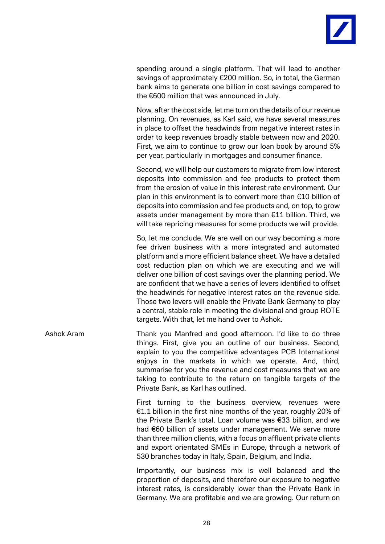

spending around a single platform. That will lead to another savings of approximately €200 million. So, in total, the German bank aims to generate one billion in cost savings compared to the €600 million that was announced in July.

Now, after the cost side, let me turn on the details of our revenue planning. On revenues, as Karl said, we have several measures in place to offset the headwinds from negative interest rates in order to keep revenues broadly stable between now and 2020. First, we aim to continue to grow our loan book by around 5% per year, particularly in mortgages and consumer finance.

Second, we will help our customers to migrate from low interest deposits into commission and fee products to protect them from the erosion of value in this interest rate environment. Our plan in this environment is to convert more than €10 billion of deposits into commission and fee products and, on top, to grow assets under management by more than €11 billion. Third, we will take repricing measures for some products we will provide.

So, let me conclude. We are well on our way becoming a more fee driven business with a more integrated and automated platform and a more efficient balance sheet. We have a detailed cost reduction plan on which we are executing and we will deliver one billion of cost savings over the planning period. We are confident that we have a series of levers identified to offset the headwinds for negative interest rates on the revenue side. Those two levers will enable the Private Bank Germany to play a central, stable role in meeting the divisional and group ROTE targets. With that, let me hand over to Ashok.

Ashok Aram Thank you Manfred and good afternoon. I'd like to do three things. First, give you an outline of our business. Second, explain to you the competitive advantages PCB International enjoys in the markets in which we operate. And, third, summarise for you the revenue and cost measures that we are taking to contribute to the return on tangible targets of the Private Bank, as Karl has outlined.

> First turning to the business overview, revenues were €1.1 billion in the first nine months of the year, roughly 20% of the Private Bank's total. Loan volume was €33 billion, and we had €60 billion of assets under management. We serve more than three million clients, with a focus on affluent private clients and export orientated SMEs in Europe, through a network of 530 branches today in Italy, Spain, Belgium, and India.

> Importantly, our business mix is well balanced and the proportion of deposits, and therefore our exposure to negative interest rates, is considerably lower than the Private Bank in Germany. We are profitable and we are growing. Our return on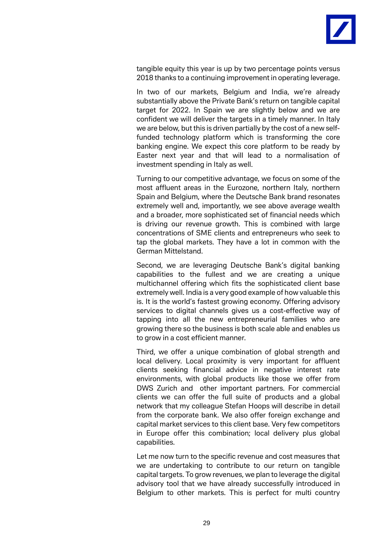

tangible equity this year is up by two percentage points versus 2018 thanks to a continuing improvement in operating leverage.

In two of our markets, Belgium and India, we're already substantially above the Private Bank's return on tangible capital target for 2022. In Spain we are slightly below and we are confident we will deliver the targets in a timely manner. In Italy we are below, but this is driven partially by the cost of a new selffunded technology platform which is transforming the core banking engine. We expect this core platform to be ready by Easter next year and that will lead to a normalisation of investment spending in Italy as well.

Turning to our competitive advantage, we focus on some of the most affluent areas in the Eurozone, northern Italy, northern Spain and Belgium, where the Deutsche Bank brand resonates extremely well and, importantly, we see above average wealth and a broader, more sophisticated set of financial needs which is driving our revenue growth. This is combined with large concentrations of SME clients and entrepreneurs who seek to tap the global markets. They have a lot in common with the German Mittelstand.

Second, we are leveraging Deutsche Bank's digital banking capabilities to the fullest and we are creating a unique multichannel offering which fits the sophisticated client base extremely well. India is a very good example of how valuable this is. It is the world's fastest growing economy. Offering advisory services to digital channels gives us a cost-effective way of tapping into all the new entrepreneurial families who are growing there so the business is both scale able and enables us to grow in a cost efficient manner.

Third, we offer a unique combination of global strength and local delivery. Local proximity is very important for affluent clients seeking financial advice in negative interest rate environments, with global products like those we offer from DWS Zurich and other important partners. For commercial clients we can offer the full suite of products and a global network that my colleague Stefan Hoops will describe in detail from the corporate bank. We also offer foreign exchange and capital market services to this client base. Very few competitors in Europe offer this combination; local delivery plus global capabilities.

Let me now turn to the specific revenue and cost measures that we are undertaking to contribute to our return on tangible capital targets. To grow revenues, we plan to leverage the digital advisory tool that we have already successfully introduced in Belgium to other markets. This is perfect for multi country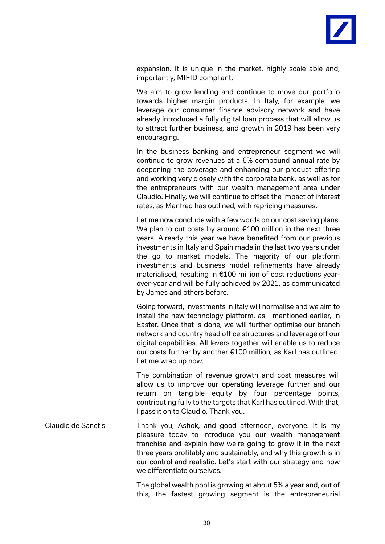

expansion. It is unique in the market, highly scale able and, importantly, MIFID compliant.

We aim to grow lending and continue to move our portfolio towards higher margin products. In Italy, for example, we leverage our consumer finance advisory network and have already introduced a fully digital loan process that will allow us to attract further business, and growth in 2019 has been very encouraging.

In the business banking and entrepreneur segment we will continue to grow revenues at a 6% compound annual rate by deepening the coverage and enhancing our product offering and working very closely with the corporate bank, as well as for the entrepreneurs with our wealth management area under Claudio. Finally, we will continue to offset the impact of interest rates, as Manfred has outlined, with repricing measures.

Let me now conclude with a few words on our cost saving plans. We plan to cut costs by around €100 million in the next three years. Already this year we have benefited from our previous investments in Italy and Spain made in the last two years under the go to market models. The majority of our platform investments and business model refinements have already materialised, resulting in €100 million of cost reductions yearover-year and will be fully achieved by 2021, as communicated by James and others before.

Going forward, investments in Italy will normalise and we aim to install the new technology platform, as I mentioned earlier, in Easter. Once that is done, we will further optimise our branch network and country head office structures and leverage off our digital capabilities. All levers together will enable us to reduce our costs further by another €100 million, as Karl has outlined. Let me wrap up now.

The combination of revenue growth and cost measures will allow us to improve our operating leverage further and our return on tangible equity by four percentage points, contributing fully to the targets that Karl has outlined. With that, I pass it on to Claudio. Thank you.

Claudio de Sanctis Thank you, Ashok, and good afternoon, everyone. It is my pleasure today to introduce you our wealth management franchise and explain how we're going to grow it in the next three years profitably and sustainably, and why this growth is in our control and realistic. Let's start with our strategy and how we differentiate ourselves.

> The global wealth pool is growing at about 5% a year and, out of this, the fastest growing segment is the entrepreneurial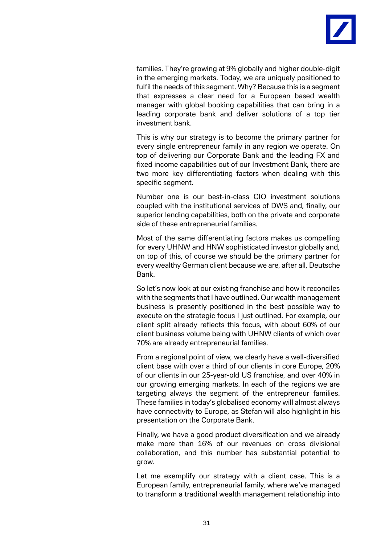

families. They're growing at 9% globally and higher double-digit in the emerging markets. Today, we are uniquely positioned to fulfil the needs of this segment. Why? Because this is a segment that expresses a clear need for a European based wealth manager with global booking capabilities that can bring in a leading corporate bank and deliver solutions of a top tier investment bank.

This is why our strategy is to become the primary partner for every single entrepreneur family in any region we operate. On top of delivering our Corporate Bank and the leading FX and fixed income capabilities out of our Investment Bank, there are two more key differentiating factors when dealing with this specific segment.

Number one is our best-in-class CIO investment solutions coupled with the institutional services of DWS and, finally, our superior lending capabilities, both on the private and corporate side of these entrepreneurial families.

Most of the same differentiating factors makes us compelling for every UHNW and HNW sophisticated investor globally and, on top of this, of course we should be the primary partner for every wealthy German client because we are, after all, Deutsche Bank.

So let's now look at our existing franchise and how it reconciles with the segments that I have outlined. Our wealth management business is presently positioned in the best possible way to execute on the strategic focus I just outlined. For example, our client split already reflects this focus, with about 60% of our client business volume being with UHNW clients of which over 70% are already entrepreneurial families.

From a regional point of view, we clearly have a well-diversified client base with over a third of our clients in core Europe, 20% of our clients in our 25-year-old US franchise, and over 40% in our growing emerging markets. In each of the regions we are targeting always the segment of the entrepreneur families. These families in today's globalised economy will almost always have connectivity to Europe, as Stefan will also highlight in his presentation on the Corporate Bank.

Finally, we have a good product diversification and we already make more than 16% of our revenues on cross divisional collaboration, and this number has substantial potential to grow.

Let me exemplify our strategy with a client case. This is a European family, entrepreneurial family, where we've managed to transform a traditional wealth management relationship into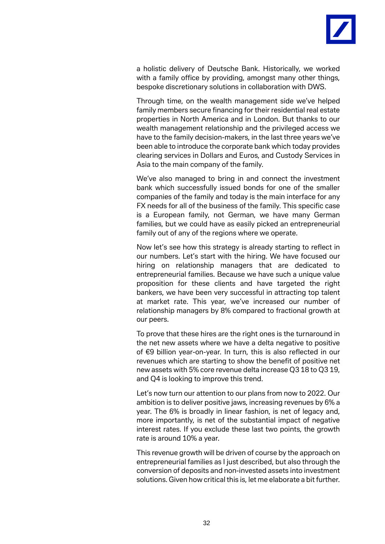

a holistic delivery of Deutsche Bank. Historically, we worked with a family office by providing, amongst many other things, bespoke discretionary solutions in collaboration with DWS.

Through time, on the wealth management side we've helped family members secure financing for their residential real estate properties in North America and in London. But thanks to our wealth management relationship and the privileged access we have to the family decision-makers, in the last three years we've been able to introduce the corporate bank which today provides clearing services in Dollars and Euros, and Custody Services in Asia to the main company of the family.

We've also managed to bring in and connect the investment bank which successfully issued bonds for one of the smaller companies of the family and today is the main interface for any FX needs for all of the business of the family. This specific case is a European family, not German, we have many German families, but we could have as easily picked an entrepreneurial family out of any of the regions where we operate.

Now let's see how this strategy is already starting to reflect in our numbers. Let's start with the hiring. We have focused our hiring on relationship managers that are dedicated to entrepreneurial families. Because we have such a unique value proposition for these clients and have targeted the right bankers, we have been very successful in attracting top talent at market rate. This year, we've increased our number of relationship managers by 8% compared to fractional growth at our peers.

To prove that these hires are the right ones is the turnaround in the net new assets where we have a delta negative to positive of €9 billion year-on-year. In turn, this is also reflected in our revenues which are starting to show the benefit of positive net new assets with 5% core revenue delta increase Q3 18 to Q3 19, and Q4 is looking to improve this trend.

Let's now turn our attention to our plans from now to 2022. Our ambition is to deliver positive jaws, increasing revenues by 6% a year. The 6% is broadly in linear fashion, is net of legacy and, more importantly, is net of the substantial impact of negative interest rates. If you exclude these last two points, the growth rate is around 10% a year.

This revenue growth will be driven of course by the approach on entrepreneurial families as I just described, but also through the conversion of deposits and non-invested assets into investment solutions. Given how critical this is, let me elaborate a bit further.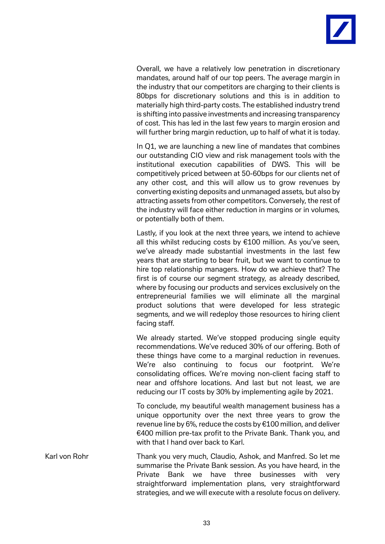

Overall, we have a relatively low penetration in discretionary mandates, around half of our top peers. The average margin in the industry that our competitors are charging to their clients is 80bps for discretionary solutions and this is in addition to materially high third-party costs. The established industry trend is shifting into passive investments and increasing transparency of cost. This has led in the last few years to margin erosion and will further bring margin reduction, up to half of what it is today.

In Q1, we are launching a new line of mandates that combines our outstanding CIO view and risk management tools with the institutional execution capabilities of DWS. This will be competitively priced between at 50-60bps for our clients net of any other cost, and this will allow us to grow revenues by converting existing deposits and unmanaged assets, but also by attracting assets from other competitors. Conversely, the rest of the industry will face either reduction in margins or in volumes, or potentially both of them.

Lastly, if you look at the next three years, we intend to achieve all this whilst reducing costs by €100 million. As you've seen, we've already made substantial investments in the last few years that are starting to bear fruit, but we want to continue to hire top relationship managers. How do we achieve that? The first is of course our segment strategy, as already described, where by focusing our products and services exclusively on the entrepreneurial families we will eliminate all the marginal product solutions that were developed for less strategic segments, and we will redeploy those resources to hiring client facing staff.

We already started. We've stopped producing single equity recommendations. We've reduced 30% of our offering. Both of these things have come to a marginal reduction in revenues. We're also continuing to focus our footprint. We're consolidating offices. We're moving non-client facing staff to near and offshore locations. And last but not least, we are reducing our IT costs by 30% by implementing agile by 2021.

To conclude, my beautiful wealth management business has a unique opportunity over the next three years to grow the revenue line by 6%, reduce the costs by €100 million, and deliver €400 million pre-tax profit to the Private Bank. Thank you, and with that I hand over back to Karl.

Karl von Rohr Thank you very much, Claudio, Ashok, and Manfred. So let me summarise the Private Bank session. As you have heard, in the Private Bank we have three businesses with very straightforward implementation plans, very straightforward strategies, and we will execute with a resolute focus on delivery.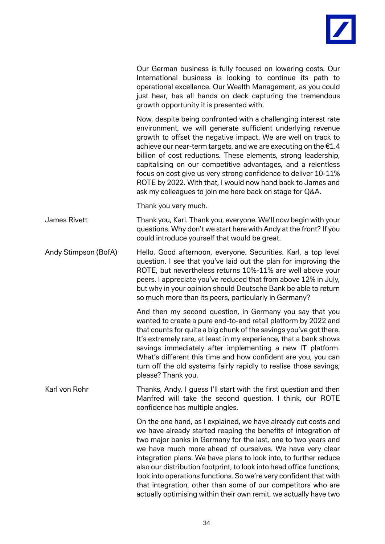

Our German business is fully focused on lowering costs. Our International business is looking to continue its path to operational excellence. Our Wealth Management, as you could just hear, has all hands on deck capturing the tremendous growth opportunity it is presented with.

Now, despite being confronted with a challenging interest rate environment, we will generate sufficient underlying revenue growth to offset the negative impact. We are well on track to achieve our near-term targets, and we are executing on the €1.4 billion of cost reductions. These elements, strong leadership, capitalising on our competitive advantages, and a relentless focus on cost give us very strong confidence to deliver 10-11% ROTE by 2022. With that, I would now hand back to James and ask my colleagues to join me here back on stage for Q&A.

Thank you very much.

James Rivett Thank you, Karl. Thank you, everyone. We'll now begin with your questions. Why don't we start here with Andy at the front? If you could introduce yourself that would be great.

Andy Stimpson (BofA) Hello. Good afternoon, everyone. Securities. Karl, a top level question. I see that you've laid out the plan for improving the ROTE, but nevertheless returns 10%-11% are well above your peers. I appreciate you've reduced that from above 12% in July, but why in your opinion should Deutsche Bank be able to return so much more than its peers, particularly in Germany?

> And then my second question, in Germany you say that you wanted to create a pure end-to-end retail platform by 2022 and that counts for quite a big chunk of the savings you've got there. It's extremely rare, at least in my experience, that a bank shows savings immediately after implementing a new IT platform. What's different this time and how confident are you, you can turn off the old systems fairly rapidly to realise those savings, please? Thank you.

Karl von Rohr Thanks, Andy. I guess I'll start with the first question and then Manfred will take the second question. I think, our ROTE confidence has multiple angles.

> On the one hand, as I explained, we have already cut costs and we have already started reaping the benefits of integration of two major banks in Germany for the last, one to two years and we have much more ahead of ourselves. We have very clear integration plans. We have plans to look into, to further reduce also our distribution footprint, to look into head office functions, look into operations functions. So we're very confident that with that integration, other than some of our competitors who are actually optimising within their own remit, we actually have two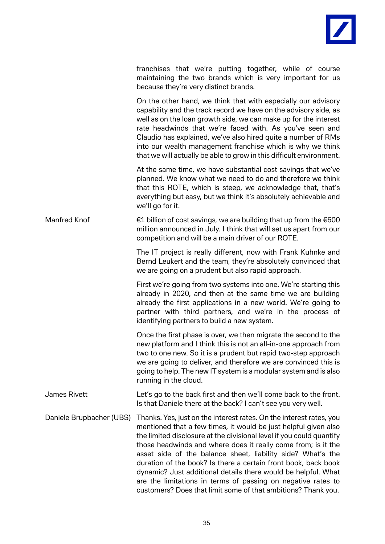

|                          | franchises that we're putting together, while of course<br>maintaining the two brands which is very important for us<br>because they're very distinct brands.                                                                                                                                                                                                                                                                                                                                                                                     |
|--------------------------|---------------------------------------------------------------------------------------------------------------------------------------------------------------------------------------------------------------------------------------------------------------------------------------------------------------------------------------------------------------------------------------------------------------------------------------------------------------------------------------------------------------------------------------------------|
|                          | On the other hand, we think that with especially our advisory<br>capability and the track record we have on the advisory side, as<br>well as on the loan growth side, we can make up for the interest<br>rate headwinds that we're faced with. As you've seen and<br>Claudio has explained, we've also hired quite a number of RMs<br>into our wealth management franchise which is why we think<br>that we will actually be able to grow in this difficult environment.                                                                          |
|                          | At the same time, we have substantial cost savings that we've<br>planned. We know what we need to do and therefore we think<br>that this ROTE, which is steep, we acknowledge that, that's<br>everything but easy, but we think it's absolutely achievable and<br>we'll go for it.                                                                                                                                                                                                                                                                |
| Manfred Knof             | €1 billion of cost savings, we are building that up from the $€600$<br>million announced in July. I think that will set us apart from our<br>competition and will be a main driver of our ROTE.                                                                                                                                                                                                                                                                                                                                                   |
|                          | The IT project is really different, now with Frank Kuhnke and<br>Bernd Leukert and the team, they're absolutely convinced that<br>we are going on a prudent but also rapid approach.                                                                                                                                                                                                                                                                                                                                                              |
|                          | First we're going from two systems into one. We're starting this<br>already in 2020, and then at the same time we are building<br>already the first applications in a new world. We're going to<br>partner with third partners, and we're in the process of<br>identifying partners to build a new system.                                                                                                                                                                                                                                        |
|                          | Once the first phase is over, we then migrate the second to the<br>new platform and I think this is not an all-in-one approach from<br>two to one new. So it is a prudent but rapid two-step approach<br>we are going to deliver, and therefore we are convinced this is<br>going to help. The new IT system is a modular system and is also<br>running in the cloud.                                                                                                                                                                             |
| James Rivett             | Let's go to the back first and then we'll come back to the front.<br>Is that Daniele there at the back? I can't see you very well.                                                                                                                                                                                                                                                                                                                                                                                                                |
| Daniele Brupbacher (UBS) | Thanks. Yes, just on the interest rates. On the interest rates, you<br>mentioned that a few times, it would be just helpful given also<br>the limited disclosure at the divisional level if you could quantify<br>those headwinds and where does it really come from; is it the<br>asset side of the balance sheet, liability side? What's the<br>duration of the book? Is there a certain front book, back book<br>dynamic? Just additional details there would be helpful. What<br>are the limitations in terms of passing on negative rates to |

customers? Does that limit some of that ambitions? Thank you.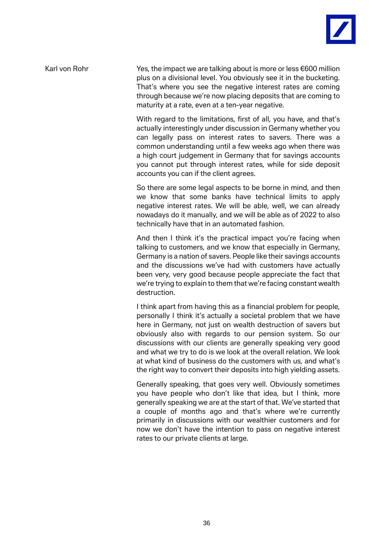

Karl von Rohr Yes, the impact we are talking about is more or less  $\epsilon$ 600 million plus on a divisional level. You obviously see it in the bucketing. That's where you see the negative interest rates are coming through because we're now placing deposits that are coming to maturity at a rate, even at a ten-year negative.

> With regard to the limitations, first of all, you have, and that's actually interestingly under discussion in Germany whether you can legally pass on interest rates to savers. There was a common understanding until a few weeks ago when there was a high court judgement in Germany that for savings accounts you cannot put through interest rates, while for side deposit accounts you can if the client agrees.

> So there are some legal aspects to be borne in mind, and then we know that some banks have technical limits to apply negative interest rates. We will be able, well, we can already nowadays do it manually, and we will be able as of 2022 to also technically have that in an automated fashion.

> And then I think it's the practical impact you're facing when talking to customers, and we know that especially in Germany, Germany is a nation of savers. People like their savings accounts and the discussions we've had with customers have actually been very, very good because people appreciate the fact that we're trying to explain to them that we're facing constant wealth destruction.

> I think apart from having this as a financial problem for people, personally I think it's actually a societal problem that we have here in Germany, not just on wealth destruction of savers but obviously also with regards to our pension system. So our discussions with our clients are generally speaking very good and what we try to do is we look at the overall relation. We look at what kind of business do the customers with us, and what's the right way to convert their deposits into high yielding assets.

> Generally speaking, that goes very well. Obviously sometimes you have people who don't like that idea, but I think, more generally speaking we are at the start of that. We've started that a couple of months ago and that's where we're currently primarily in discussions with our wealthier customers and for now we don't have the intention to pass on negative interest rates to our private clients at large.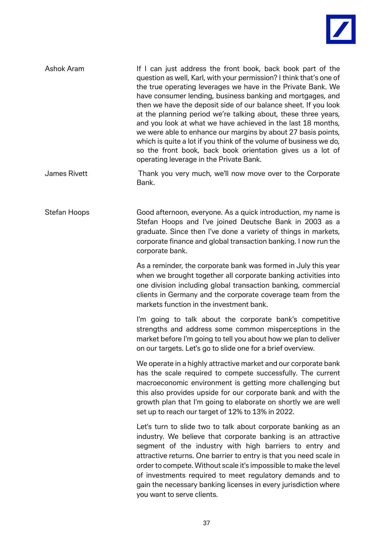

| Ashok Aram | If I can just address the front book, back book part of the<br>question as well, Karl, with your permission? I think that's one of<br>the true operating leverages we have in the Private Bank. We<br>have consumer lending, business banking and mortgages, and<br>then we have the deposit side of our balance sheet. If you look<br>at the planning period we're talking about, these three years,<br>and you look at what we have achieved in the last 18 months,<br>we were able to enhance our margins by about 27 basis points,<br>which is quite a lot if you think of the volume of business we do,<br>so the front book, back book orientation gives us a lot of<br>operating leverage in the Private Bank. |
|------------|-----------------------------------------------------------------------------------------------------------------------------------------------------------------------------------------------------------------------------------------------------------------------------------------------------------------------------------------------------------------------------------------------------------------------------------------------------------------------------------------------------------------------------------------------------------------------------------------------------------------------------------------------------------------------------------------------------------------------|
|            |                                                                                                                                                                                                                                                                                                                                                                                                                                                                                                                                                                                                                                                                                                                       |

James Rivett Thank you very much, we'll now move over to the Corporate Bank.

Stefan Hoops Good afternoon, everyone. As a quick introduction, my name is Stefan Hoops and I've joined Deutsche Bank in 2003 as a graduate. Since then I've done a variety of things in markets, corporate finance and global transaction banking. I now run the corporate bank.

> As a reminder, the corporate bank was formed in July this year when we brought together all corporate banking activities into one division including global transaction banking, commercial clients in Germany and the corporate coverage team from the markets function in the investment bank.

> I'm going to talk about the corporate bank's competitive strengths and address some common misperceptions in the market before I'm going to tell you about how we plan to deliver on our targets. Let's go to slide one for a brief overview.

> We operate in a highly attractive market and our corporate bank has the scale required to compete successfully. The current macroeconomic environment is getting more challenging but this also provides upside for our corporate bank and with the growth plan that I'm going to elaborate on shortly we are well set up to reach our target of 12% to 13% in 2022.

> Let's turn to slide two to talk about corporate banking as an industry. We believe that corporate banking is an attractive segment of the industry with high barriers to entry and attractive returns. One barrier to entry is that you need scale in order to compete. Without scale it's impossible to make the level of investments required to meet regulatory demands and to gain the necessary banking licenses in every jurisdiction where you want to serve clients.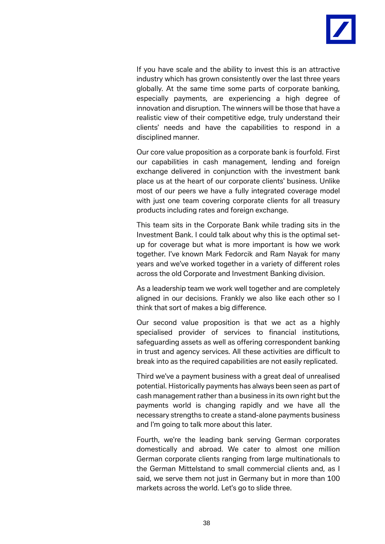

If you have scale and the ability to invest this is an attractive industry which has grown consistently over the last three years globally. At the same time some parts of corporate banking, especially payments, are experiencing a high degree of innovation and disruption. The winners will be those that have a realistic view of their competitive edge, truly understand their clients' needs and have the capabilities to respond in a disciplined manner.

Our core value proposition as a corporate bank is fourfold. First our capabilities in cash management, lending and foreign exchange delivered in conjunction with the investment bank place us at the heart of our corporate clients' business. Unlike most of our peers we have a fully integrated coverage model with just one team covering corporate clients for all treasury products including rates and foreign exchange.

This team sits in the Corporate Bank while trading sits in the Investment Bank. I could talk about why this is the optimal setup for coverage but what is more important is how we work together. I've known Mark Fedorcik and Ram Nayak for many years and we've worked together in a variety of different roles across the old Corporate and Investment Banking division.

As a leadership team we work well together and are completely aligned in our decisions. Frankly we also like each other so I think that sort of makes a big difference.

Our second value proposition is that we act as a highly specialised provider of services to financial institutions, safeguarding assets as well as offering correspondent banking in trust and agency services. All these activities are difficult to break into as the required capabilities are not easily replicated.

Third we've a payment business with a great deal of unrealised potential. Historically payments has always been seen as part of cash management rather than a business in its own right but the payments world is changing rapidly and we have all the necessary strengths to create a stand-alone payments business and I'm going to talk more about this later.

Fourth, we're the leading bank serving German corporates domestically and abroad. We cater to almost one million German corporate clients ranging from large multinationals to the German Mittelstand to small commercial clients and, as I said, we serve them not just in Germany but in more than 100 markets across the world. Let's go to slide three.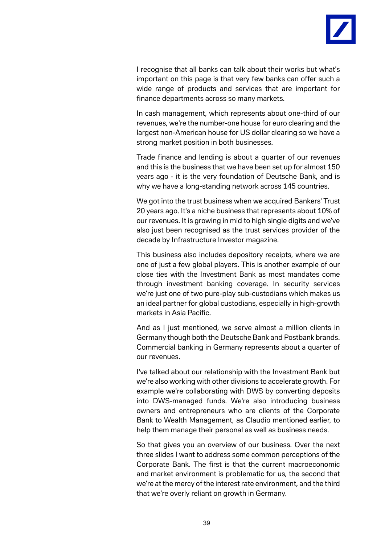

I recognise that all banks can talk about their works but what's important on this page is that very few banks can offer such a wide range of products and services that are important for finance departments across so many markets.

In cash management, which represents about one-third of our revenues, we're the number-one house for euro clearing and the largest non-American house for US dollar clearing so we have a strong market position in both businesses.

Trade finance and lending is about a quarter of our revenues and this is the business that we have been set up for almost 150 years ago - it is the very foundation of Deutsche Bank, and is why we have a long-standing network across 145 countries.

We got into the trust business when we acquired Bankers' Trust 20 years ago. It's a niche business that represents about 10% of our revenues. It is growing in mid to high single digits and we've also just been recognised as the trust services provider of the decade by Infrastructure Investor magazine.

This business also includes depository receipts, where we are one of just a few global players. This is another example of our close ties with the Investment Bank as most mandates come through investment banking coverage. In security services we're just one of two pure-play sub-custodians which makes us an ideal partner for global custodians, especially in high-growth markets in Asia Pacific.

And as I just mentioned, we serve almost a million clients in Germany though both the Deutsche Bank and Postbank brands. Commercial banking in Germany represents about a quarter of our revenues.

I've talked about our relationship with the Investment Bank but we're also working with other divisions to accelerate growth. For example we're collaborating with DWS by converting deposits into DWS-managed funds. We're also introducing business owners and entrepreneurs who are clients of the Corporate Bank to Wealth Management, as Claudio mentioned earlier, to help them manage their personal as well as business needs.

So that gives you an overview of our business. Over the next three slides I want to address some common perceptions of the Corporate Bank. The first is that the current macroeconomic and market environment is problematic for us, the second that we're at the mercy of the interest rate environment, and the third that we're overly reliant on growth in Germany.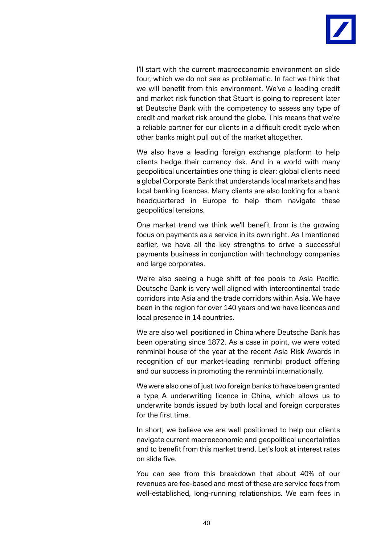

I'll start with the current macroeconomic environment on slide four, which we do not see as problematic. In fact we think that we will benefit from this environment. We've a leading credit and market risk function that Stuart is going to represent later at Deutsche Bank with the competency to assess any type of credit and market risk around the globe. This means that we're a reliable partner for our clients in a difficult credit cycle when other banks might pull out of the market altogether.

We also have a leading foreign exchange platform to help clients hedge their currency risk. And in a world with many geopolitical uncertainties one thing is clear: global clients need a global Corporate Bank that understands local markets and has local banking licences. Many clients are also looking for a bank headquartered in Europe to help them navigate these geopolitical tensions.

One market trend we think we'll benefit from is the growing focus on payments as a service in its own right. As I mentioned earlier, we have all the key strengths to drive a successful payments business in conjunction with technology companies and large corporates.

We're also seeing a huge shift of fee pools to Asia Pacific. Deutsche Bank is very well aligned with intercontinental trade corridors into Asia and the trade corridors within Asia. We have been in the region for over 140 years and we have licences and local presence in 14 countries.

We are also well positioned in China where Deutsche Bank has been operating since 1872. As a case in point, we were voted renminbi house of the year at the recent Asia Risk Awards in recognition of our market-leading renminbi product offering and our success in promoting the renminbi internationally.

We were also one of just two foreign banks to have been granted a type A underwriting licence in China, which allows us to underwrite bonds issued by both local and foreign corporates for the first time.

In short, we believe we are well positioned to help our clients navigate current macroeconomic and geopolitical uncertainties and to benefit from this market trend. Let's look at interest rates on slide five.

You can see from this breakdown that about 40% of our revenues are fee-based and most of these are service fees from well-established, long-running relationships. We earn fees in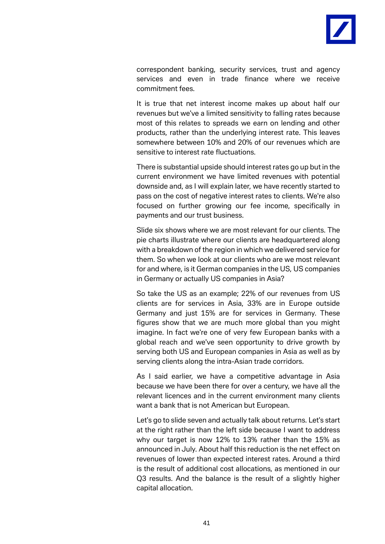

correspondent banking, security services, trust and agency services and even in trade finance where we receive commitment fees.

It is true that net interest income makes up about half our revenues but we've a limited sensitivity to falling rates because most of this relates to spreads we earn on lending and other products, rather than the underlying interest rate. This leaves somewhere between 10% and 20% of our revenues which are sensitive to interest rate fluctuations.

There is substantial upside should interest rates go up but in the current environment we have limited revenues with potential downside and, as I will explain later, we have recently started to pass on the cost of negative interest rates to clients. We're also focused on further growing our fee income, specifically in payments and our trust business.

Slide six shows where we are most relevant for our clients. The pie charts illustrate where our clients are headquartered along with a breakdown of the region in which we delivered service for them. So when we look at our clients who are we most relevant for and where, is it German companies in the US, US companies in Germany or actually US companies in Asia?

So take the US as an example; 22% of our revenues from US clients are for services in Asia, 33% are in Europe outside Germany and just 15% are for services in Germany. These figures show that we are much more global than you might imagine. In fact we're one of very few European banks with a global reach and we've seen opportunity to drive growth by serving both US and European companies in Asia as well as by serving clients along the intra-Asian trade corridors.

As I said earlier, we have a competitive advantage in Asia because we have been there for over a century, we have all the relevant licences and in the current environment many clients want a bank that is not American but European.

Let's go to slide seven and actually talk about returns. Let's start at the right rather than the left side because I want to address why our target is now 12% to 13% rather than the 15% as announced in July. About half this reduction is the net effect on revenues of lower than expected interest rates. Around a third is the result of additional cost allocations, as mentioned in our Q3 results. And the balance is the result of a slightly higher capital allocation.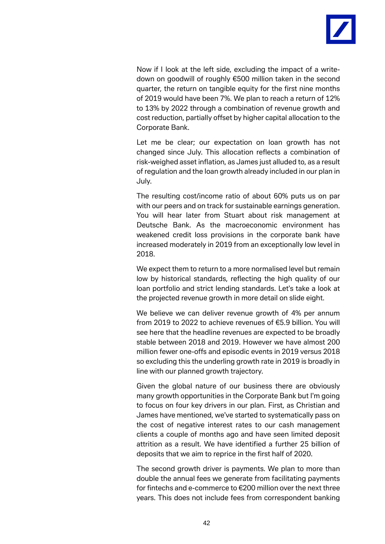

Now if I look at the left side, excluding the impact of a writedown on goodwill of roughly €500 million taken in the second quarter, the return on tangible equity for the first nine months of 2019 would have been 7%. We plan to reach a return of 12% to 13% by 2022 through a combination of revenue growth and cost reduction, partially offset by higher capital allocation to the Corporate Bank.

Let me be clear; our expectation on loan growth has not changed since July. This allocation reflects a combination of risk-weighed asset inflation, as James just alluded to, as a result of regulation and the loan growth already included in our plan in July.

The resulting cost/income ratio of about 60% puts us on par with our peers and on track for sustainable earnings generation. You will hear later from Stuart about risk management at Deutsche Bank. As the macroeconomic environment has weakened credit loss provisions in the corporate bank have increased moderately in 2019 from an exceptionally low level in 2018.

We expect them to return to a more normalised level but remain low by historical standards, reflecting the high quality of our loan portfolio and strict lending standards. Let's take a look at the projected revenue growth in more detail on slide eight.

We believe we can deliver revenue growth of 4% per annum from 2019 to 2022 to achieve revenues of €5.9 billion. You will see here that the headline revenues are expected to be broadly stable between 2018 and 2019. However we have almost 200 million fewer one-offs and episodic events in 2019 versus 2018 so excluding this the underling growth rate in 2019 is broadly in line with our planned growth trajectory.

Given the global nature of our business there are obviously many growth opportunities in the Corporate Bank but I'm going to focus on four key drivers in our plan. First, as Christian and James have mentioned, we've started to systematically pass on the cost of negative interest rates to our cash management clients a couple of months ago and have seen limited deposit attrition as a result. We have identified a further 25 billion of deposits that we aim to reprice in the first half of 2020.

The second growth driver is payments. We plan to more than double the annual fees we generate from facilitating payments for fintechs and e-commerce to €200 million over the next three years. This does not include fees from correspondent banking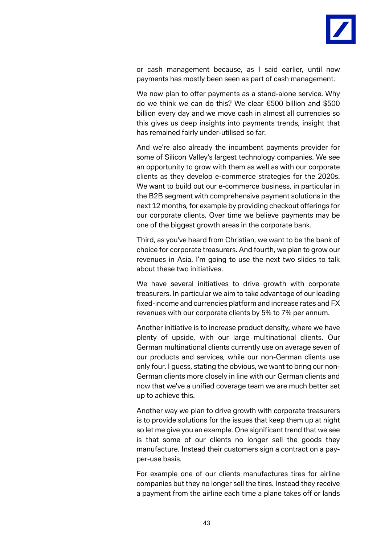

or cash management because, as I said earlier, until now payments has mostly been seen as part of cash management.

We now plan to offer payments as a stand-alone service. Why do we think we can do this? We clear €500 billion and \$500 billion every day and we move cash in almost all currencies so this gives us deep insights into payments trends, insight that has remained fairly under-utilised so far.

And we're also already the incumbent payments provider for some of Silicon Valley's largest technology companies. We see an opportunity to grow with them as well as with our corporate clients as they develop e-commerce strategies for the 2020s. We want to build out our e-commerce business, in particular in the B2B segment with comprehensive payment solutions in the next 12 months, for example by providing checkout offerings for our corporate clients. Over time we believe payments may be one of the biggest growth areas in the corporate bank.

Third, as you've heard from Christian, we want to be the bank of choice for corporate treasurers. And fourth, we plan to grow our revenues in Asia. I'm going to use the next two slides to talk about these two initiatives.

We have several initiatives to drive growth with corporate treasurers. In particular we aim to take advantage of our leading fixed-income and currencies platform and increase rates and FX revenues with our corporate clients by 5% to 7% per annum.

Another initiative is to increase product density, where we have plenty of upside, with our large multinational clients. Our German multinational clients currently use on average seven of our products and services, while our non-German clients use only four. I guess, stating the obvious, we want to bring our non-German clients more closely in line with our German clients and now that we've a unified coverage team we are much better set up to achieve this.

Another way we plan to drive growth with corporate treasurers is to provide solutions for the issues that keep them up at night so let me give you an example. One significant trend that we see is that some of our clients no longer sell the goods they manufacture. Instead their customers sign a contract on a payper-use basis.

For example one of our clients manufactures tires for airline companies but they no longer sell the tires. Instead they receive a payment from the airline each time a plane takes off or lands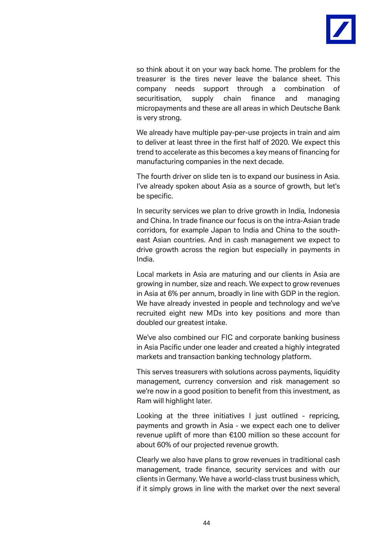

so think about it on your way back home. The problem for the treasurer is the tires never leave the balance sheet. This company needs support through a combination of securitisation, supply chain finance and managing micropayments and these are all areas in which Deutsche Bank is very strong.

We already have multiple pay-per-use projects in train and aim to deliver at least three in the first half of 2020. We expect this trend to accelerate as this becomes a key means of financing for manufacturing companies in the next decade.

The fourth driver on slide ten is to expand our business in Asia. I've already spoken about Asia as a source of growth, but let's be specific.

In security services we plan to drive growth in India, Indonesia and China. In trade finance our focus is on the intra-Asian trade corridors, for example Japan to India and China to the southeast Asian countries. And in cash management we expect to drive growth across the region but especially in payments in India.

Local markets in Asia are maturing and our clients in Asia are growing in number, size and reach. We expect to grow revenues in Asia at 6% per annum, broadly in line with GDP in the region. We have already invested in people and technology and we've recruited eight new MDs into key positions and more than doubled our greatest intake.

We've also combined our FIC and corporate banking business in Asia Pacific under one leader and created a highly integrated markets and transaction banking technology platform.

This serves treasurers with solutions across payments, liquidity management, currency conversion and risk management so we're now in a good position to benefit from this investment, as Ram will highlight later.

Looking at the three initiatives I just outlined - repricing, payments and growth in Asia - we expect each one to deliver revenue uplift of more than €100 million so these account for about 60% of our projected revenue growth.

Clearly we also have plans to grow revenues in traditional cash management, trade finance, security services and with our clients in Germany. We have a world-class trust business which, if it simply grows in line with the market over the next several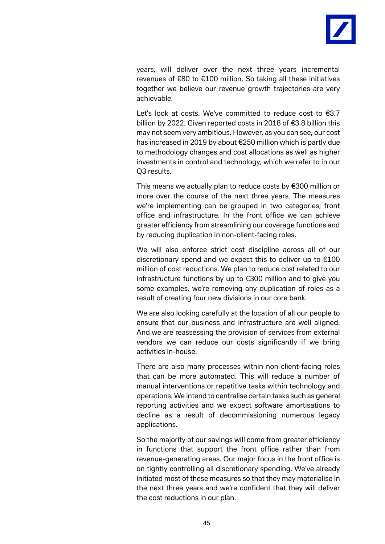

years, will deliver over the next three years incremental revenues of €80 to €100 million. So taking all these initiatives together we believe our revenue growth trajectories are very achievable.

Let's look at costs. We've committed to reduce cost to €3.7 billion by 2022. Given reported costs in 2018 of €3.8 billion this may not seem very ambitious. However, as you can see, our cost has increased in 2019 by about €250 million which is partly due to methodology changes and cost allocations as well as higher investments in control and technology, which we refer to in our Q3 results.

This means we actually plan to reduce costs by €300 million or more over the course of the next three years. The measures we're implementing can be grouped in two categories; front office and infrastructure. In the front office we can achieve greater efficiency from streamlining our coverage functions and by reducing duplication in non-client-facing roles.

We will also enforce strict cost discipline across all of our discretionary spend and we expect this to deliver up to €100 million of cost reductions. We plan to reduce cost related to our infrastructure functions by up to €300 million and to give you some examples, we're removing any duplication of roles as a result of creating four new divisions in our core bank.

We are also looking carefully at the location of all our people to ensure that our business and infrastructure are well aligned. And we are reassessing the provision of services from external vendors we can reduce our costs significantly if we bring activities in-house.

There are also many processes within non client-facing roles that can be more automated. This will reduce a number of manual interventions or repetitive tasks within technology and operations. We intend to centralise certain tasks such as general reporting activities and we expect software amortisations to decline as a result of decommissioning numerous legacy applications.

So the majority of our savings will come from greater efficiency in functions that support the front office rather than from revenue-generating areas. Our major focus in the front office is on tightly controlling all discretionary spending. We've already initiated most of these measures so that they may materialise in the next three years and we're confident that they will deliver the cost reductions in our plan.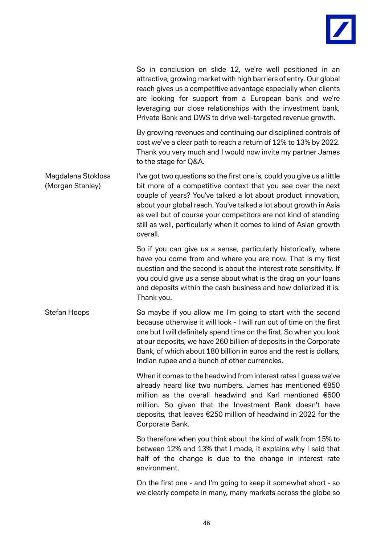

|                                        | So in conclusion on slide 12, we're well positioned in an<br>attractive, growing market with high barriers of entry. Our global<br>reach gives us a competitive advantage especially when clients<br>are looking for support from a European bank and we're<br>leveraging our close relationships with the investment bank,<br>Private Bank and DWS to drive well-targeted revenue growth.                                        |
|----------------------------------------|-----------------------------------------------------------------------------------------------------------------------------------------------------------------------------------------------------------------------------------------------------------------------------------------------------------------------------------------------------------------------------------------------------------------------------------|
|                                        | By growing revenues and continuing our disciplined controls of<br>cost we've a clear path to reach a return of 12% to 13% by 2022.<br>Thank you very much and I would now invite my partner James<br>to the stage for Q&A.                                                                                                                                                                                                        |
| Magdalena Stoklosa<br>(Morgan Stanley) | I've got two questions so the first one is, could you give us a little<br>bit more of a competitive context that you see over the next<br>couple of years? You've talked a lot about product innovation,<br>about your global reach. You've talked a lot about growth in Asia<br>as well but of course your competitors are not kind of standing<br>still as well, particularly when it comes to kind of Asian growth<br>overall. |
|                                        | So if you can give us a sense, particularly historically, where<br>have you come from and where you are now. That is my first<br>question and the second is about the interest rate sensitivity. If<br>you could give us a sense about what is the drag on your loans<br>and deposits within the cash business and how dollarized it is.<br>Thank you.                                                                            |
| Stefan Hoops                           | So maybe if you allow me I'm going to start with the second<br>because otherwise it will look - I will run out of time on the first<br>one but I will definitely spend time on the first. So when you look<br>at our deposits, we have 260 billion of deposits in the Corporate<br>Bank, of which about 180 billion in euros and the rest is dollars,<br>Indian rupee and a bunch of other currencies.                            |
|                                        | When it comes to the headwind from interest rates I guess we've<br>already heard like two numbers. James has mentioned €850<br>million as the overall headwind and Karl mentioned €600<br>million. So given that the Investment Bank doesn't have<br>deposits, that leaves €250 million of headwind in 2022 for the<br>Corporate Bank.                                                                                            |
|                                        | So therefore when you think about the kind of walk from 15% to<br>between 12% and 13% that I made, it explains why I said that<br>half of the change is due to the change in interest rate<br>environment.                                                                                                                                                                                                                        |
|                                        | On the first one - and I'm going to keep it somewhat short - so<br>we clearly compete in many, many markets across the globe so                                                                                                                                                                                                                                                                                                   |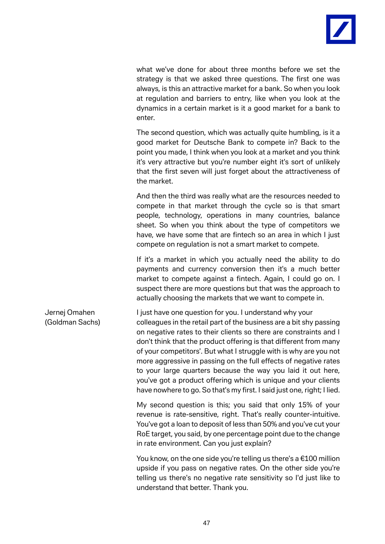

what we've done for about three months before we set the strategy is that we asked three questions. The first one was always, is this an attractive market for a bank. So when you look at regulation and barriers to entry, like when you look at the dynamics in a certain market is it a good market for a bank to enter.

The second question, which was actually quite humbling, is it a good market for Deutsche Bank to compete in? Back to the point you made, I think when you look at a market and you think it's very attractive but you're number eight it's sort of unlikely that the first seven will just forget about the attractiveness of the market.

And then the third was really what are the resources needed to compete in that market through the cycle so is that smart people, technology, operations in many countries, balance sheet. So when you think about the type of competitors we have, we have some that are fintech so an area in which I just compete on regulation is not a smart market to compete.

If it's a market in which you actually need the ability to do payments and currency conversion then it's a much better market to compete against a fintech. Again, I could go on. I suspect there are more questions but that was the approach to actually choosing the markets that we want to compete in.

Jernej Omahen I just have one question for you. I understand why your (Goldman Sachs) colleagues in the retail part of the business are a bit shy passing on negative rates to their clients so there are constraints and I don't think that the product offering is that different from many of your competitors'. But what I struggle with is why are you not more aggressive in passing on the full effects of negative rates to your large quarters because the way you laid it out here, you've got a product offering which is unique and your clients have nowhere to go. So that's my first. I said just one, right; I lied.

> My second question is this; you said that only 15% of your revenue is rate-sensitive, right. That's really counter-intuitive. You've got a loan to deposit of less than 50% and you've cut your RoE target, you said, by one percentage point due to the change in rate environment. Can you just explain?

> You know, on the one side you're telling us there's a €100 million upside if you pass on negative rates. On the other side you're telling us there's no negative rate sensitivity so I'd just like to understand that better. Thank you.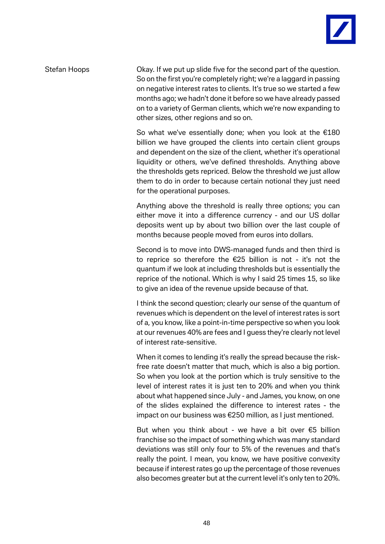

Stefan Hoops Okay. If we put up slide five for the second part of the question. So on the first you're completely right; we're a laggard in passing on negative interest rates to clients. It's true so we started a few months ago; we hadn't done it before so we have already passed on to a variety of German clients, which we're now expanding to other sizes, other regions and so on.

> So what we've essentially done; when you look at the €180 billion we have grouped the clients into certain client groups and dependent on the size of the client, whether it's operational liquidity or others, we've defined thresholds. Anything above the thresholds gets repriced. Below the threshold we just allow them to do in order to because certain notional they just need for the operational purposes.

> Anything above the threshold is really three options; you can either move it into a difference currency - and our US dollar deposits went up by about two billion over the last couple of months because people moved from euros into dollars.

> Second is to move into DWS-managed funds and then third is to reprice so therefore the €25 billion is not - it's not the quantum if we look at including thresholds but is essentially the reprice of the notional. Which is why I said 25 times 15, so like to give an idea of the revenue upside because of that.

> I think the second question; clearly our sense of the quantum of revenues which is dependent on the level of interest rates is sort of a, you know, like a point-in-time perspective so when you look at our revenues 40% are fees and I guess they're clearly not level of interest rate-sensitive.

> When it comes to lending it's really the spread because the riskfree rate doesn't matter that much, which is also a big portion. So when you look at the portion which is truly sensitive to the level of interest rates it is just ten to 20% and when you think about what happened since July - and James, you know, on one of the slides explained the difference to interest rates - the impact on our business was €250 million, as I just mentioned.

> But when you think about - we have a bit over  $\epsilon$ 5 billion franchise so the impact of something which was many standard deviations was still only four to 5% of the revenues and that's really the point. I mean, you know, we have positive convexity because if interest rates go up the percentage of those revenues also becomes greater but at the current level it's only ten to 20%.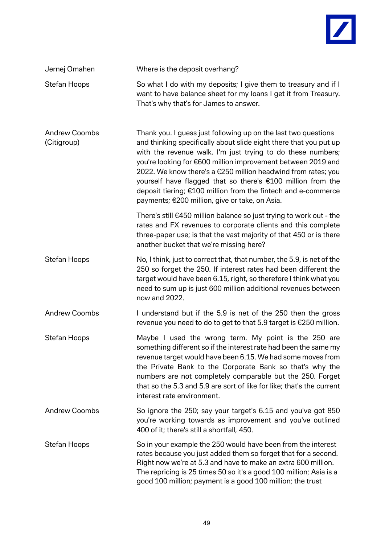

| Jernej Omahen                       | Where is the deposit overhang?                                                                                                                                                                                                                                                                                                                                                                                                                                                                                        |
|-------------------------------------|-----------------------------------------------------------------------------------------------------------------------------------------------------------------------------------------------------------------------------------------------------------------------------------------------------------------------------------------------------------------------------------------------------------------------------------------------------------------------------------------------------------------------|
| Stefan Hoops                        | So what I do with my deposits; I give them to treasury and if I<br>want to have balance sheet for my loans I get it from Treasury.<br>That's why that's for James to answer.                                                                                                                                                                                                                                                                                                                                          |
| <b>Andrew Coombs</b><br>(Citigroup) | Thank you. I guess just following up on the last two questions<br>and thinking specifically about slide eight there that you put up<br>with the revenue walk. I'm just trying to do these numbers;<br>you're looking for €600 million improvement between 2019 and<br>2022. We know there's a €250 million headwind from rates; you<br>yourself have flagged that so there's €100 million from the<br>deposit tiering; €100 million from the fintech and e-commerce<br>payments; €200 million, give or take, on Asia. |
|                                     | There's still €450 million balance so just trying to work out - the<br>rates and FX revenues to corporate clients and this complete<br>three-paper use; is that the vast majority of that 450 or is there<br>another bucket that we're missing here?                                                                                                                                                                                                                                                                  |
| <b>Stefan Hoops</b>                 | No, I think, just to correct that, that number, the 5.9, is net of the<br>250 so forget the 250. If interest rates had been different the<br>target would have been 6.15, right, so therefore I think what you<br>need to sum up is just 600 million additional revenues between<br>now and 2022.                                                                                                                                                                                                                     |
| <b>Andrew Coombs</b>                | I understand but if the 5.9 is net of the 250 then the gross<br>revenue you need to do to get to that 5.9 target is €250 million.                                                                                                                                                                                                                                                                                                                                                                                     |
| <b>Stefan Hoops</b>                 | Maybe I used the wrong term. My point is the 250 are<br>something different so if the interest rate had been the same my<br>revenue target would have been 6.15. We had some moves from<br>the Private Bank to the Corporate Bank so that's why the<br>numbers are not completely comparable but the 250. Forget<br>that so the 5.3 and 5.9 are sort of like for like; that's the current<br>interest rate environment.                                                                                               |
| <b>Andrew Coombs</b>                | So ignore the 250; say your target's 6.15 and you've got 850<br>you're working towards as improvement and you've outlined<br>400 of it; there's still a shortfall, 450.                                                                                                                                                                                                                                                                                                                                               |
| Stefan Hoops                        | So in your example the 250 would have been from the interest<br>rates because you just added them so forget that for a second.<br>Right now we're at 5.3 and have to make an extra 600 million.<br>The repricing is 25 times 50 so it's a good 100 million; Asia is a<br>good 100 million; payment is a good 100 million; the trust                                                                                                                                                                                   |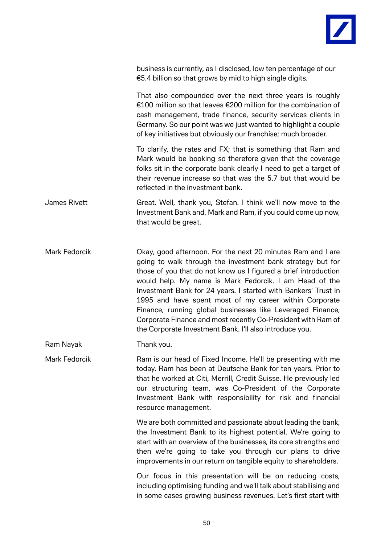

business is currently, as I disclosed, low ten percentage of our €5.4 billion so that grows by mid to high single digits.

That also compounded over the next three years is roughly €100 million so that leaves €200 million for the combination of cash management, trade finance, security services clients in Germany. So our point was we just wanted to highlight a couple of key initiatives but obviously our franchise; much broader.

To clarify, the rates and FX; that is something that Ram and Mark would be booking so therefore given that the coverage folks sit in the corporate bank clearly I need to get a target of their revenue increase so that was the 5.7 but that would be reflected in the investment bank.

James Rivett Great. Well, thank you, Stefan. I think we'll now move to the Investment Bank and, Mark and Ram, if you could come up now, that would be great.

Mark Fedorcik **Okay, good afternoon.** For the next 20 minutes Ram and I are going to walk through the investment bank strategy but for those of you that do not know us I figured a brief introduction would help. My name is Mark Fedorcik. I am Head of the Investment Bank for 24 years. I started with Bankers' Trust in 1995 and have spent most of my career within Corporate Finance, running global businesses like Leveraged Finance, Corporate Finance and most recently Co-President with Ram of the Corporate Investment Bank. I'll also introduce you.

Ram Nayak Thank you.

Mark Fedorcik Ram is our head of Fixed Income. He'll be presenting with me today. Ram has been at Deutsche Bank for ten years. Prior to that he worked at Citi, Merrill, Credit Suisse. He previously led our structuring team, was Co-President of the Corporate Investment Bank with responsibility for risk and financial resource management.

> We are both committed and passionate about leading the bank, the Investment Bank to its highest potential. We're going to start with an overview of the businesses, its core strengths and then we're going to take you through our plans to drive improvements in our return on tangible equity to shareholders.

> Our focus in this presentation will be on reducing costs, including optimising funding and we'll talk about stabilising and in some cases growing business revenues. Let's first start with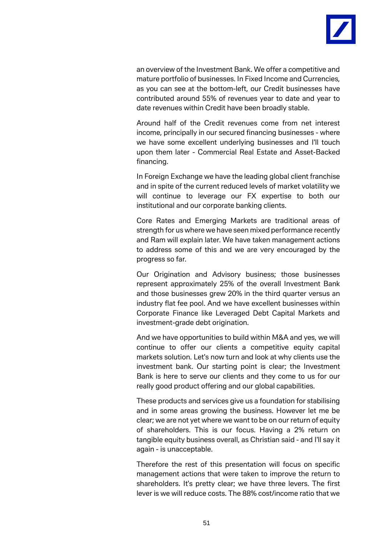

an overview of the Investment Bank. We offer a competitive and mature portfolio of businesses. In Fixed Income and Currencies, as you can see at the bottom-left, our Credit businesses have contributed around 55% of revenues year to date and year to date revenues within Credit have been broadly stable.

Around half of the Credit revenues come from net interest income, principally in our secured financing businesses - where we have some excellent underlying businesses and I'll touch upon them later - Commercial Real Estate and Asset-Backed financing.

In Foreign Exchange we have the leading global client franchise and in spite of the current reduced levels of market volatility we will continue to leverage our FX expertise to both our institutional and our corporate banking clients.

Core Rates and Emerging Markets are traditional areas of strength for us where we have seen mixed performance recently and Ram will explain later. We have taken management actions to address some of this and we are very encouraged by the progress so far.

Our Origination and Advisory business; those businesses represent approximately 25% of the overall Investment Bank and those businesses grew 20% in the third quarter versus an industry flat fee pool. And we have excellent businesses within Corporate Finance like Leveraged Debt Capital Markets and investment-grade debt origination.

And we have opportunities to build within M&A and yes, we will continue to offer our clients a competitive equity capital markets solution. Let's now turn and look at why clients use the investment bank. Our starting point is clear; the Investment Bank is here to serve our clients and they come to us for our really good product offering and our global capabilities.

These products and services give us a foundation for stabilising and in some areas growing the business. However let me be clear; we are not yet where we want to be on our return of equity of shareholders. This is our focus. Having a 2% return on tangible equity business overall, as Christian said - and I'll say it again - is unacceptable.

Therefore the rest of this presentation will focus on specific management actions that were taken to improve the return to shareholders. It's pretty clear; we have three levers. The first lever is we will reduce costs. The 88% cost/income ratio that we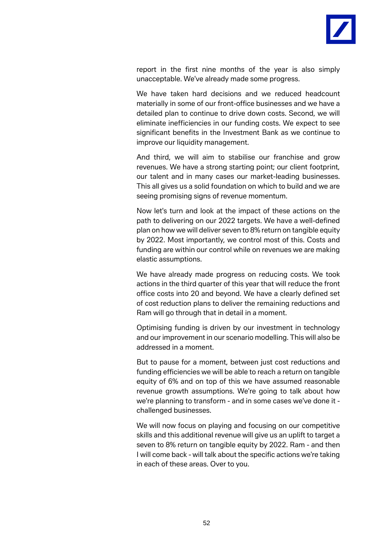

report in the first nine months of the year is also simply unacceptable. We've already made some progress.

We have taken hard decisions and we reduced headcount materially in some of our front-office businesses and we have a detailed plan to continue to drive down costs. Second, we will eliminate inefficiencies in our funding costs. We expect to see significant benefits in the Investment Bank as we continue to improve our liquidity management.

And third, we will aim to stabilise our franchise and grow revenues. We have a strong starting point; our client footprint, our talent and in many cases our market-leading businesses. This all gives us a solid foundation on which to build and we are seeing promising signs of revenue momentum.

Now let's turn and look at the impact of these actions on the path to delivering on our 2022 targets. We have a well-defined plan on how we will deliver seven to 8% return on tangible equity by 2022. Most importantly, we control most of this. Costs and funding are within our control while on revenues we are making elastic assumptions.

We have already made progress on reducing costs. We took actions in the third quarter of this year that will reduce the front office costs into 20 and beyond. We have a clearly defined set of cost reduction plans to deliver the remaining reductions and Ram will go through that in detail in a moment.

Optimising funding is driven by our investment in technology and our improvement in our scenario modelling. This will also be addressed in a moment.

But to pause for a moment, between just cost reductions and funding efficiencies we will be able to reach a return on tangible equity of 6% and on top of this we have assumed reasonable revenue growth assumptions. We're going to talk about how we're planning to transform - and in some cases we've done it challenged businesses.

We will now focus on playing and focusing on our competitive skills and this additional revenue will give us an uplift to target a seven to 8% return on tangible equity by 2022. Ram - and then I will come back - will talk about the specific actions we're taking in each of these areas. Over to you.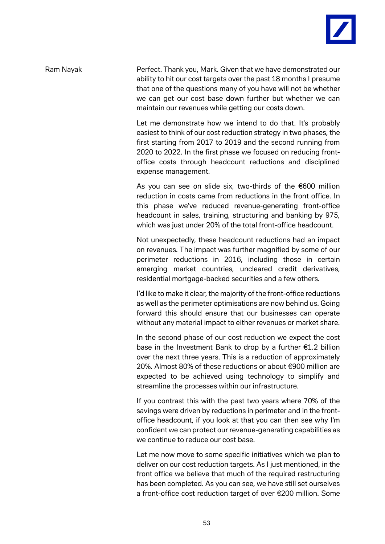

Ram Nayak **Perfect. Thank you, Mark. Given that we have demonstrated our** ability to hit our cost targets over the past 18 months I presume that one of the questions many of you have will not be whether we can get our cost base down further but whether we can maintain our revenues while getting our costs down.

> Let me demonstrate how we intend to do that. It's probably easiest to think of our cost reduction strategy in two phases, the first starting from 2017 to 2019 and the second running from 2020 to 2022. In the first phase we focused on reducing frontoffice costs through headcount reductions and disciplined expense management.

> As you can see on slide six, two-thirds of the €600 million reduction in costs came from reductions in the front office. In this phase we've reduced revenue-generating front-office headcount in sales, training, structuring and banking by 975, which was just under 20% of the total front-office headcount.

> Not unexpectedly, these headcount reductions had an impact on revenues. The impact was further magnified by some of our perimeter reductions in 2016, including those in certain emerging market countries, uncleared credit derivatives, residential mortgage-backed securities and a few others.

> I'd like to make it clear, the majority of the front-office reductions as well as the perimeter optimisations are now behind us. Going forward this should ensure that our businesses can operate without any material impact to either revenues or market share.

> In the second phase of our cost reduction we expect the cost base in the Investment Bank to drop by a further €1.2 billion over the next three years. This is a reduction of approximately 20%. Almost 80% of these reductions or about €900 million are expected to be achieved using technology to simplify and streamline the processes within our infrastructure.

> If you contrast this with the past two years where 70% of the savings were driven by reductions in perimeter and in the frontoffice headcount, if you look at that you can then see why I'm confident we can protect our revenue-generating capabilities as we continue to reduce our cost base.

> Let me now move to some specific initiatives which we plan to deliver on our cost reduction targets. As I just mentioned, in the front office we believe that much of the required restructuring has been completed. As you can see, we have still set ourselves a front-office cost reduction target of over €200 million. Some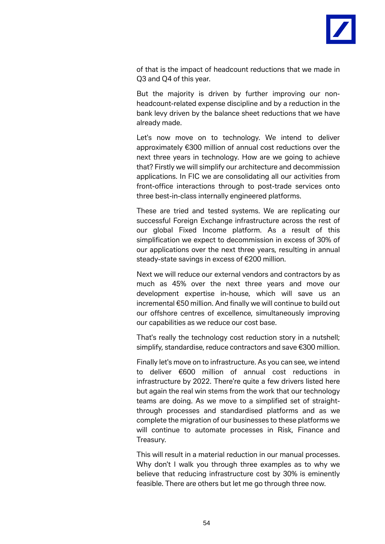

of that is the impact of headcount reductions that we made in Q3 and Q4 of this year.

But the majority is driven by further improving our nonheadcount-related expense discipline and by a reduction in the bank levy driven by the balance sheet reductions that we have already made.

Let's now move on to technology. We intend to deliver approximately €300 million of annual cost reductions over the next three years in technology. How are we going to achieve that? Firstly we will simplify our architecture and decommission applications. In FIC we are consolidating all our activities from front-office interactions through to post-trade services onto three best-in-class internally engineered platforms.

These are tried and tested systems. We are replicating our successful Foreign Exchange infrastructure across the rest of our global Fixed Income platform. As a result of this simplification we expect to decommission in excess of 30% of our applications over the next three years, resulting in annual steady-state savings in excess of €200 million.

Next we will reduce our external vendors and contractors by as much as 45% over the next three years and move our development expertise in-house, which will save us an incremental €50 million. And finally we will continue to build out our offshore centres of excellence, simultaneously improving our capabilities as we reduce our cost base.

That's really the technology cost reduction story in a nutshell; simplify, standardise, reduce contractors and save €300 million.

Finally let's move on to infrastructure. As you can see, we intend to deliver €600 million of annual cost reductions in infrastructure by 2022. There're quite a few drivers listed here but again the real win stems from the work that our technology teams are doing. As we move to a simplified set of straightthrough processes and standardised platforms and as we complete the migration of our businesses to these platforms we will continue to automate processes in Risk, Finance and Treasury.

This will result in a material reduction in our manual processes. Why don't I walk you through three examples as to why we believe that reducing infrastructure cost by 30% is eminently feasible. There are others but let me go through three now.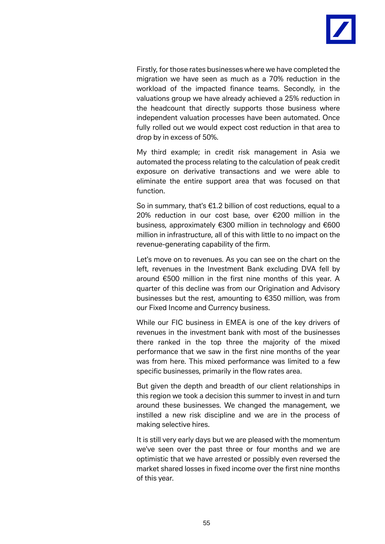

Firstly, for those rates businesses where we have completed the migration we have seen as much as a 70% reduction in the workload of the impacted finance teams. Secondly, in the valuations group we have already achieved a 25% reduction in the headcount that directly supports those business where independent valuation processes have been automated. Once fully rolled out we would expect cost reduction in that area to drop by in excess of 50%.

My third example; in credit risk management in Asia we automated the process relating to the calculation of peak credit exposure on derivative transactions and we were able to eliminate the entire support area that was focused on that function.

So in summary, that's €1.2 billion of cost reductions, equal to a 20% reduction in our cost base, over €200 million in the business, approximately €300 million in technology and €600 million in infrastructure, all of this with little to no impact on the revenue-generating capability of the firm.

Let's move on to revenues. As you can see on the chart on the left, revenues in the Investment Bank excluding DVA fell by around €500 million in the first nine months of this year. A quarter of this decline was from our Origination and Advisory businesses but the rest, amounting to €350 million, was from our Fixed Income and Currency business.

While our FIC business in EMEA is one of the key drivers of revenues in the investment bank with most of the businesses there ranked in the top three the majority of the mixed performance that we saw in the first nine months of the year was from here. This mixed performance was limited to a few specific businesses, primarily in the flow rates area.

But given the depth and breadth of our client relationships in this region we took a decision this summer to invest in and turn around these businesses. We changed the management, we instilled a new risk discipline and we are in the process of making selective hires.

It is still very early days but we are pleased with the momentum we've seen over the past three or four months and we are optimistic that we have arrested or possibly even reversed the market shared losses in fixed income over the first nine months of this year.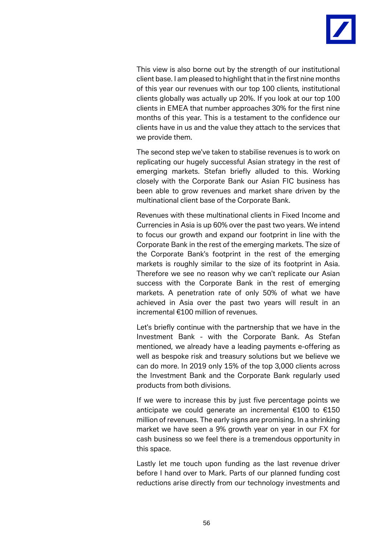

This view is also borne out by the strength of our institutional client base. I am pleased to highlight that in the first nine months of this year our revenues with our top 100 clients, institutional clients globally was actually up 20%. If you look at our top 100 clients in EMEA that number approaches 30% for the first nine months of this year. This is a testament to the confidence our clients have in us and the value they attach to the services that we provide them.

The second step we've taken to stabilise revenues is to work on replicating our hugely successful Asian strategy in the rest of emerging markets. Stefan briefly alluded to this. Working closely with the Corporate Bank our Asian FIC business has been able to grow revenues and market share driven by the multinational client base of the Corporate Bank.

Revenues with these multinational clients in Fixed Income and Currencies in Asia is up 60% over the past two years. We intend to focus our growth and expand our footprint in line with the Corporate Bank in the rest of the emerging markets. The size of the Corporate Bank's footprint in the rest of the emerging markets is roughly similar to the size of its footprint in Asia. Therefore we see no reason why we can't replicate our Asian success with the Corporate Bank in the rest of emerging markets. A penetration rate of only 50% of what we have achieved in Asia over the past two years will result in an incremental €100 million of revenues.

Let's briefly continue with the partnership that we have in the Investment Bank - with the Corporate Bank. As Stefan mentioned, we already have a leading payments e-offering as well as bespoke risk and treasury solutions but we believe we can do more. In 2019 only 15% of the top 3,000 clients across the Investment Bank and the Corporate Bank regularly used products from both divisions.

If we were to increase this by just five percentage points we anticipate we could generate an incremental €100 to €150 million of revenues. The early signs are promising. In a shrinking market we have seen a 9% growth year on year in our FX for cash business so we feel there is a tremendous opportunity in this space.

Lastly let me touch upon funding as the last revenue driver before I hand over to Mark. Parts of our planned funding cost reductions arise directly from our technology investments and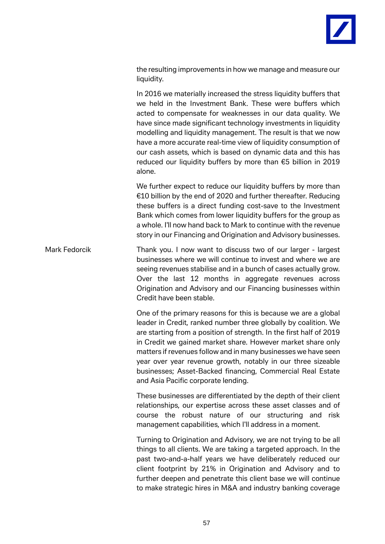

the resulting improvements in how we manage and measure our liquidity.

In 2016 we materially increased the stress liquidity buffers that we held in the Investment Bank. These were buffers which acted to compensate for weaknesses in our data quality. We have since made significant technology investments in liquidity modelling and liquidity management. The result is that we now have a more accurate real-time view of liquidity consumption of our cash assets, which is based on dynamic data and this has reduced our liquidity buffers by more than €5 billion in 2019 alone.

We further expect to reduce our liquidity buffers by more than €10 billion by the end of 2020 and further thereafter. Reducing these buffers is a direct funding cost-save to the Investment Bank which comes from lower liquidity buffers for the group as a whole. I'll now hand back to Mark to continue with the revenue story in our Financing and Origination and Advisory businesses.

Mark Fedorcik Thank you. I now want to discuss two of our larger - largest businesses where we will continue to invest and where we are seeing revenues stabilise and in a bunch of cases actually grow. Over the last 12 months in aggregate revenues across Origination and Advisory and our Financing businesses within Credit have been stable.

> One of the primary reasons for this is because we are a global leader in Credit, ranked number three globally by coalition. We are starting from a position of strength. In the first half of 2019 in Credit we gained market share. However market share only matters if revenues follow and in many businesses we have seen year over year revenue growth, notably in our three sizeable businesses; Asset-Backed financing, Commercial Real Estate and Asia Pacific corporate lending.

> These businesses are differentiated by the depth of their client relationships, our expertise across these asset classes and of course the robust nature of our structuring and risk management capabilities, which I'll address in a moment.

> Turning to Origination and Advisory, we are not trying to be all things to all clients. We are taking a targeted approach. In the past two-and-a-half years we have deliberately reduced our client footprint by 21% in Origination and Advisory and to further deepen and penetrate this client base we will continue to make strategic hires in M&A and industry banking coverage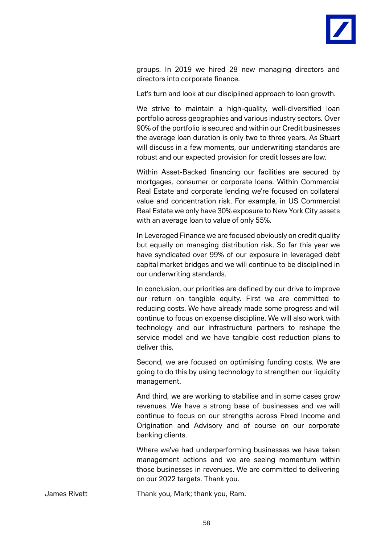

groups. In 2019 we hired 28 new managing directors and directors into corporate finance.

Let's turn and look at our disciplined approach to loan growth.

We strive to maintain a high-quality, well-diversified loan portfolio across geographies and various industry sectors. Over 90% of the portfolio is secured and within our Credit businesses the average loan duration is only two to three years. As Stuart will discuss in a few moments, our underwriting standards are robust and our expected provision for credit losses are low.

Within Asset-Backed financing our facilities are secured by mortgages, consumer or corporate loans. Within Commercial Real Estate and corporate lending we're focused on collateral value and concentration risk. For example, in US Commercial Real Estate we only have 30% exposure to New York City assets with an average loan to value of only 55%.

In Leveraged Finance we are focused obviously on credit quality but equally on managing distribution risk. So far this year we have syndicated over 99% of our exposure in leveraged debt capital market bridges and we will continue to be disciplined in our underwriting standards.

In conclusion, our priorities are defined by our drive to improve our return on tangible equity. First we are committed to reducing costs. We have already made some progress and will continue to focus on expense discipline. We will also work with technology and our infrastructure partners to reshape the service model and we have tangible cost reduction plans to deliver this.

Second, we are focused on optimising funding costs. We are going to do this by using technology to strengthen our liquidity management.

And third, we are working to stabilise and in some cases grow revenues. We have a strong base of businesses and we will continue to focus on our strengths across Fixed Income and Origination and Advisory and of course on our corporate banking clients.

Where we've had underperforming businesses we have taken management actions and we are seeing momentum within those businesses in revenues. We are committed to delivering on our 2022 targets. Thank you.

James Rivett Thank you, Mark; thank you, Ram.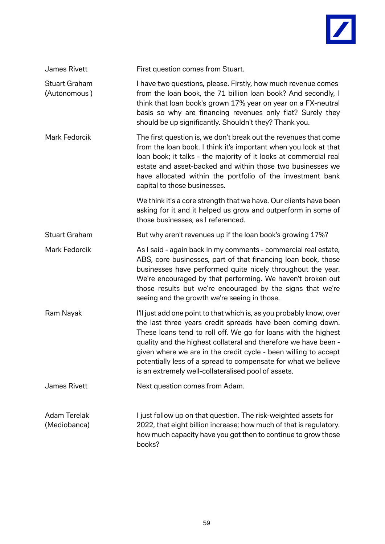

| James Rivett                         | First question comes from Stuart.                                                                                                                                                                                                                                                                                                                                                                                                                                   |
|--------------------------------------|---------------------------------------------------------------------------------------------------------------------------------------------------------------------------------------------------------------------------------------------------------------------------------------------------------------------------------------------------------------------------------------------------------------------------------------------------------------------|
| <b>Stuart Graham</b><br>(Autonomous) | I have two questions, please. Firstly, how much revenue comes<br>from the loan book, the 71 billion loan book? And secondly, I<br>think that loan book's grown 17% year on year on a FX-neutral<br>basis so why are financing revenues only flat? Surely they<br>should be up significantly. Shouldn't they? Thank you.                                                                                                                                             |
| Mark Fedorcik                        | The first question is, we don't break out the revenues that come<br>from the loan book. I think it's important when you look at that<br>loan book; it talks - the majority of it looks at commercial real<br>estate and asset-backed and within those two businesses we<br>have allocated within the portfolio of the investment bank<br>capital to those businesses.                                                                                               |
|                                      | We think it's a core strength that we have. Our clients have been<br>asking for it and it helped us grow and outperform in some of<br>those businesses, as I referenced.                                                                                                                                                                                                                                                                                            |
| <b>Stuart Graham</b>                 | But why aren't revenues up if the loan book's growing 17%?                                                                                                                                                                                                                                                                                                                                                                                                          |
| <b>Mark Fedorcik</b>                 | As I said - again back in my comments - commercial real estate,<br>ABS, core businesses, part of that financing loan book, those<br>businesses have performed quite nicely throughout the year.<br>We're encouraged by that performing. We haven't broken out<br>those results but we're encouraged by the signs that we're<br>seeing and the growth we're seeing in those.                                                                                         |
| Ram Nayak                            | I'll just add one point to that which is, as you probably know, over<br>the last three years credit spreads have been coming down.<br>These loans tend to roll off. We go for loans with the highest<br>quality and the highest collateral and therefore we have been -<br>given where we are in the credit cycle - been willing to accept<br>potentially less of a spread to compensate for what we believe<br>is an extremely well-collateralised pool of assets. |
| <b>James Rivett</b>                  | Next question comes from Adam.                                                                                                                                                                                                                                                                                                                                                                                                                                      |
| <b>Adam Terelak</b><br>(Mediobanca)  | I just follow up on that question. The risk-weighted assets for<br>2022, that eight billion increase; how much of that is regulatory.<br>how much capacity have you got then to continue to grow those<br>books?                                                                                                                                                                                                                                                    |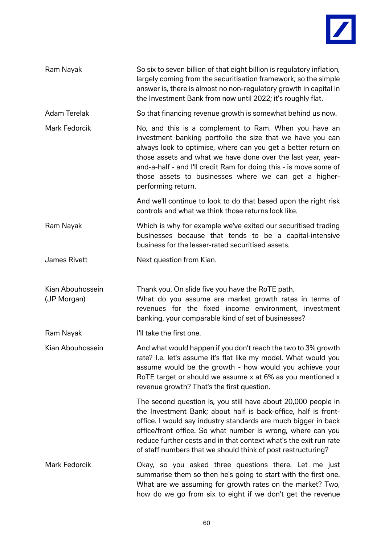

| Ram Nayak                       | So six to seven billion of that eight billion is regulatory inflation,<br>largely coming from the securitisation framework; so the simple<br>answer is, there is almost no non-regulatory growth in capital in<br>the Investment Bank from now until 2022; it's roughly flat.                                                                                                                            |
|---------------------------------|----------------------------------------------------------------------------------------------------------------------------------------------------------------------------------------------------------------------------------------------------------------------------------------------------------------------------------------------------------------------------------------------------------|
| <b>Adam Terelak</b>             | So that financing revenue growth is somewhat behind us now.                                                                                                                                                                                                                                                                                                                                              |
| Mark Fedorcik                   | No, and this is a complement to Ram. When you have an<br>investment banking portfolio the size that we have you can<br>always look to optimise, where can you get a better return on<br>those assets and what we have done over the last year, year-<br>and-a-half - and I'll credit Ram for doing this - is move some of<br>those assets to businesses where we can get a higher-<br>performing return. |
|                                 | And we'll continue to look to do that based upon the right risk<br>controls and what we think those returns look like.                                                                                                                                                                                                                                                                                   |
| Ram Nayak                       | Which is why for example we've exited our securitised trading<br>businesses because that tends to be a capital-intensive<br>business for the lesser-rated securitised assets.                                                                                                                                                                                                                            |
| <b>James Rivett</b>             | Next question from Kian.                                                                                                                                                                                                                                                                                                                                                                                 |
| Kian Abouhossein<br>(JP Morgan) | Thank you. On slide five you have the RoTE path.<br>What do you assume are market growth rates in terms of<br>revenues for the fixed income environment, investment<br>banking, your comparable kind of set of businesses?                                                                                                                                                                               |
| Ram Nayak                       | I'll take the first one.                                                                                                                                                                                                                                                                                                                                                                                 |
| Kian Abouhossein                | And what would happen if you don't reach the two to 3% growth<br>rate? I.e. let's assume it's flat like my model. What would you<br>assume would be the growth - how would you achieve your<br>RoTE target or should we assume x at 6% as you mentioned x<br>revenue growth? That's the first question.                                                                                                  |
|                                 | The second question is, you still have about 20,000 people in<br>the Investment Bank; about half is back-office, half is front-<br>office. I would say industry standards are much bigger in back<br>office/front office. So what number is wrong, where can you<br>reduce further costs and in that context what's the exit run rate<br>of staff numbers that we should think of post restructuring?    |
| Mark Fedorcik                   | Okay, so you asked three questions there. Let me just<br>summarise them so then he's going to start with the first one.<br>What are we assuming for growth rates on the market? Two,<br>how do we go from six to eight if we don't get the revenue                                                                                                                                                       |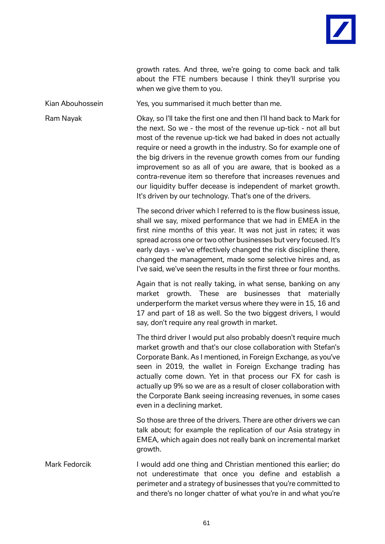

growth rates. And three, we're going to come back and talk about the FTE numbers because I think they'll surprise you when we give them to you.

Kian Abouhossein Yes, you summarised it much better than me.

Ram Nayak Okay, so I'll take the first one and then I'll hand back to Mark for the next. So we - the most of the revenue up-tick - not all but most of the revenue up-tick we had baked in does not actually require or need a growth in the industry. So for example one of the big drivers in the revenue growth comes from our funding improvement so as all of you are aware, that is booked as a contra-revenue item so therefore that increases revenues and our liquidity buffer decease is independent of market growth. It's driven by our technology. That's one of the drivers.

> The second driver which I referred to is the flow business issue, shall we say, mixed performance that we had in EMEA in the first nine months of this year. It was not just in rates; it was spread across one or two other businesses but very focused. It's early days - we've effectively changed the risk discipline there, changed the management, made some selective hires and, as I've said, we've seen the results in the first three or four months.

> Again that is not really taking, in what sense, banking on any market growth. These are businesses that materially underperform the market versus where they were in 15, 16 and 17 and part of 18 as well. So the two biggest drivers, I would say, don't require any real growth in market.

> The third driver I would put also probably doesn't require much market growth and that's our close collaboration with Stefan's Corporate Bank. As I mentioned, in Foreign Exchange, as you've seen in 2019, the wallet in Foreign Exchange trading has actually come down. Yet in that process our FX for cash is actually up 9% so we are as a result of closer collaboration with the Corporate Bank seeing increasing revenues, in some cases even in a declining market.

> So those are three of the drivers. There are other drivers we can talk about; for example the replication of our Asia strategy in EMEA, which again does not really bank on incremental market growth.

Mark Fedorcik I would add one thing and Christian mentioned this earlier; do not underestimate that once you define and establish a perimeter and a strategy of businesses that you're committed to and there's no longer chatter of what you're in and what you're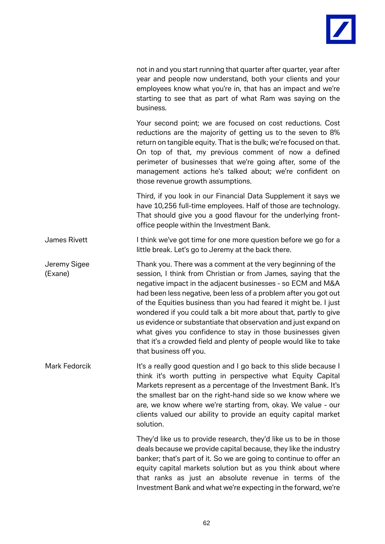

not in and you start running that quarter after quarter, year after year and people now understand, both your clients and your employees know what you're in, that has an impact and we're starting to see that as part of what Ram was saying on the business.

Your second point; we are focused on cost reductions. Cost reductions are the majority of getting us to the seven to 8% return on tangible equity. That is the bulk; we're focused on that. On top of that, my previous comment of now a defined perimeter of businesses that we're going after, some of the management actions he's talked about; we're confident on those revenue growth assumptions.

Third, if you look in our Financial Data Supplement it says we have 10,256 full-time employees. Half of those are technology. That should give you a good flavour for the underlying frontoffice people within the Investment Bank.

James Rivett I think we've got time for one more question before we go for a little break. Let's go to Jeremy at the back there.

Jeremy Sigee Thank you. There was a comment at the very beginning of the (Exane) session, I think from Christian or from James, saying that the negative impact in the adjacent businesses - so ECM and M&A had been less negative, been less of a problem after you got out of the Equities business than you had feared it might be. I just wondered if you could talk a bit more about that, partly to give us evidence or substantiate that observation and just expand on what gives you confidence to stay in those businesses given that it's a crowded field and plenty of people would like to take that business off you.

Mark Fedorcik It's a really good question and I go back to this slide because I think it's worth putting in perspective what Equity Capital Markets represent as a percentage of the Investment Bank. It's the smallest bar on the right-hand side so we know where we are, we know where we're starting from, okay. We value - our clients valued our ability to provide an equity capital market solution.

> They'd like us to provide research, they'd like us to be in those deals because we provide capital because, they like the industry banker; that's part of it. So we are going to continue to offer an equity capital markets solution but as you think about where that ranks as just an absolute revenue in terms of the Investment Bank and what we're expecting in the forward, we're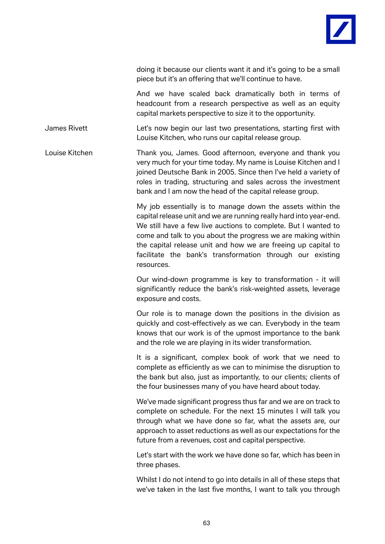

doing it because our clients want it and it's going to be a small piece but it's an offering that we'll continue to have.

And we have scaled back dramatically both in terms of headcount from a research perspective as well as an equity capital markets perspective to size it to the opportunity.

James Rivett **Let's now begin our last two presentations**, starting first with Louise Kitchen, who runs our capital release group.

Louise Kitchen Thank you, James. Good afternoon, everyone and thank you very much for your time today. My name is Louise Kitchen and I joined Deutsche Bank in 2005. Since then I've held a variety of roles in trading, structuring and sales across the investment bank and I am now the head of the capital release group.

> My job essentially is to manage down the assets within the capital release unit and we are running really hard into year-end. We still have a few live auctions to complete. But I wanted to come and talk to you about the progress we are making within the capital release unit and how we are freeing up capital to facilitate the bank's transformation through our existing resources.

> Our wind-down programme is key to transformation - it will significantly reduce the bank's risk-weighted assets, leverage exposure and costs.

> Our role is to manage down the positions in the division as quickly and cost-effectively as we can. Everybody in the team knows that our work is of the upmost importance to the bank and the role we are playing in its wider transformation.

> It is a significant, complex book of work that we need to complete as efficiently as we can to minimise the disruption to the bank but also, just as importantly, to our clients; clients of the four businesses many of you have heard about today.

> We've made significant progress thus far and we are on track to complete on schedule. For the next 15 minutes I will talk you through what we have done so far, what the assets are, our approach to asset reductions as well as our expectations for the future from a revenues, cost and capital perspective.

> Let's start with the work we have done so far, which has been in three phases.

> Whilst I do not intend to go into details in all of these steps that we've taken in the last five months, I want to talk you through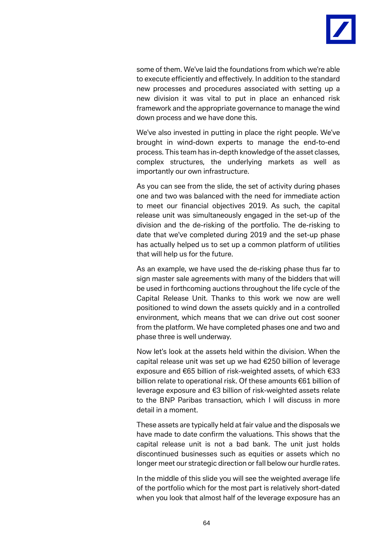

some of them. We've laid the foundations from which we're able to execute efficiently and effectively. In addition to the standard new processes and procedures associated with setting up a new division it was vital to put in place an enhanced risk framework and the appropriate governance to manage the wind down process and we have done this.

We've also invested in putting in place the right people. We've brought in wind-down experts to manage the end-to-end process. This team has in-depth knowledge of the asset classes, complex structures, the underlying markets as well as importantly our own infrastructure.

As you can see from the slide, the set of activity during phases one and two was balanced with the need for immediate action to meet our financial objectives 2019. As such, the capital release unit was simultaneously engaged in the set-up of the division and the de-risking of the portfolio. The de-risking to date that we've completed during 2019 and the set-up phase has actually helped us to set up a common platform of utilities that will help us for the future.

As an example, we have used the de-risking phase thus far to sign master sale agreements with many of the bidders that will be used in forthcoming auctions throughout the life cycle of the Capital Release Unit. Thanks to this work we now are well positioned to wind down the assets quickly and in a controlled environment, which means that we can drive out cost sooner from the platform. We have completed phases one and two and phase three is well underway.

Now let's look at the assets held within the division. When the capital release unit was set up we had €250 billion of leverage exposure and €65 billion of risk-weighted assets, of which €33 billion relate to operational risk. Of these amounts €61 billion of leverage exposure and €3 billion of risk-weighted assets relate to the BNP Paribas transaction, which I will discuss in more detail in a moment.

These assets are typically held at fair value and the disposals we have made to date confirm the valuations. This shows that the capital release unit is not a bad bank. The unit just holds discontinued businesses such as equities or assets which no longer meet our strategic direction or fall below our hurdle rates.

In the middle of this slide you will see the weighted average life of the portfolio which for the most part is relatively short-dated when you look that almost half of the leverage exposure has an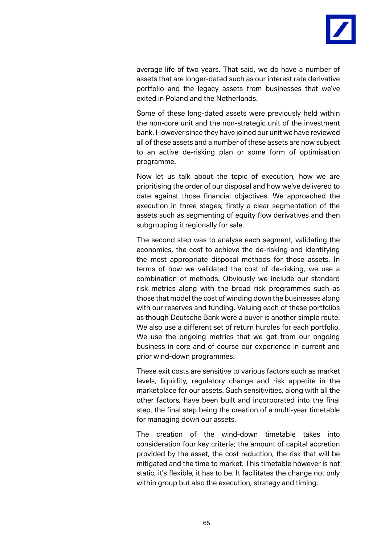

average life of two years. That said, we do have a number of assets that are longer-dated such as our interest rate derivative portfolio and the legacy assets from businesses that we've exited in Poland and the Netherlands.

Some of these long-dated assets were previously held within the non-core unit and the non-strategic unit of the investment bank. However since they have joined our unit we have reviewed all of these assets and a number of these assets are now subject to an active de-risking plan or some form of optimisation programme.

Now let us talk about the topic of execution, how we are prioritising the order of our disposal and how we've delivered to date against those financial objectives. We approached the execution in three stages; firstly a clear segmentation of the assets such as segmenting of equity flow derivatives and then subgrouping it regionally for sale.

The second step was to analyse each segment, validating the economics, the cost to achieve the de-risking and identifying the most appropriate disposal methods for those assets. In terms of how we validated the cost of de-risking, we use a combination of methods. Obviously we include our standard risk metrics along with the broad risk programmes such as those that model the cost of winding down the businesses along with our reserves and funding. Valuing each of these portfolios as though Deutsche Bank were a buyer is another simple route. We also use a different set of return hurdles for each portfolio. We use the ongoing metrics that we get from our ongoing business in core and of course our experience in current and prior wind-down programmes.

These exit costs are sensitive to various factors such as market levels, liquidity, regulatory change and risk appetite in the marketplace for our assets. Such sensitivities, along with all the other factors, have been built and incorporated into the final step, the final step being the creation of a multi-year timetable for managing down our assets.

The creation of the wind-down timetable takes into consideration four key criteria; the amount of capital accretion provided by the asset, the cost reduction, the risk that will be mitigated and the time to market. This timetable however is not static, it's flexible, it has to be. It facilitates the change not only within group but also the execution, strategy and timing.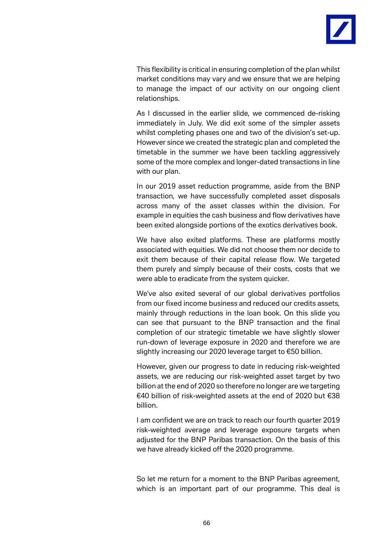

This flexibility is critical in ensuring completion of the plan whilst market conditions may vary and we ensure that we are helping to manage the impact of our activity on our ongoing client relationships.

As I discussed in the earlier slide, we commenced de-risking immediately in July. We did exit some of the simpler assets whilst completing phases one and two of the division's set-up. However since we created the strategic plan and completed the timetable in the summer we have been tackling aggressively some of the more complex and longer-dated transactions in line with our plan.

In our 2019 asset reduction programme, aside from the BNP transaction, we have successfully completed asset disposals across many of the asset classes within the division. For example in equities the cash business and flow derivatives have been exited alongside portions of the exotics derivatives book.

We have also exited platforms. These are platforms mostly associated with equities. We did not choose them nor decide to exit them because of their capital release flow. We targeted them purely and simply because of their costs, costs that we were able to eradicate from the system quicker.

We've also exited several of our global derivatives portfolios from our fixed income business and reduced our credits assets, mainly through reductions in the loan book. On this slide you can see that pursuant to the BNP transaction and the final completion of our strategic timetable we have slightly slower run-down of leverage exposure in 2020 and therefore we are slightly increasing our 2020 leverage target to €50 billion.

However, given our progress to date in reducing risk-weighted assets, we are reducing our risk-weighted asset target by two billion at the end of 2020 so therefore no longer are we targeting €40 billion of risk-weighted assets at the end of 2020 but €38 billion.

I am confident we are on track to reach our fourth quarter 2019 risk-weighted average and leverage exposure targets when adjusted for the BNP Paribas transaction. On the basis of this we have already kicked off the 2020 programme.

So let me return for a moment to the BNP Paribas agreement, which is an important part of our programme. This deal is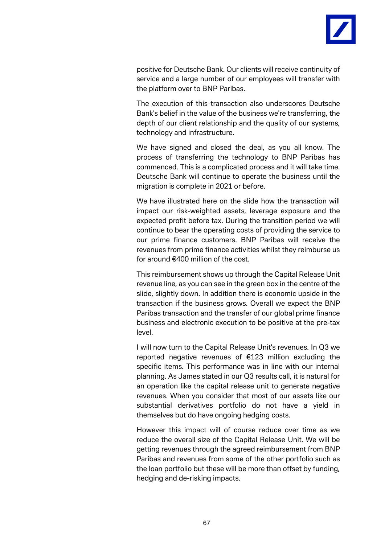

positive for Deutsche Bank. Our clients will receive continuity of service and a large number of our employees will transfer with the platform over to BNP Paribas.

The execution of this transaction also underscores Deutsche Bank's belief in the value of the business we're transferring, the depth of our client relationship and the quality of our systems, technology and infrastructure.

We have signed and closed the deal, as you all know. The process of transferring the technology to BNP Paribas has commenced. This is a complicated process and it will take time. Deutsche Bank will continue to operate the business until the migration is complete in 2021 or before.

We have illustrated here on the slide how the transaction will impact our risk-weighted assets, leverage exposure and the expected profit before tax. During the transition period we will continue to bear the operating costs of providing the service to our prime finance customers. BNP Paribas will receive the revenues from prime finance activities whilst they reimburse us for around €400 million of the cost.

This reimbursement shows up through the Capital Release Unit revenue line, as you can see in the green box in the centre of the slide, slightly down. In addition there is economic upside in the transaction if the business grows. Overall we expect the BNP Paribas transaction and the transfer of our global prime finance business and electronic execution to be positive at the pre-tax level.

I will now turn to the Capital Release Unit's revenues. In Q3 we reported negative revenues of €123 million excluding the specific items. This performance was in line with our internal planning. As James stated in our Q3 results call, it is natural for an operation like the capital release unit to generate negative revenues. When you consider that most of our assets like our substantial derivatives portfolio do not have a yield in themselves but do have ongoing hedging costs.

However this impact will of course reduce over time as we reduce the overall size of the Capital Release Unit. We will be getting revenues through the agreed reimbursement from BNP Paribas and revenues from some of the other portfolio such as the loan portfolio but these will be more than offset by funding, hedging and de-risking impacts.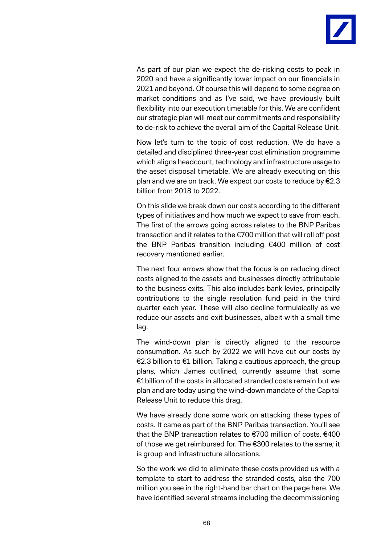

As part of our plan we expect the de-risking costs to peak in 2020 and have a significantly lower impact on our financials in 2021 and beyond. Of course this will depend to some degree on market conditions and as I've said, we have previously built flexibility into our execution timetable for this. We are confident our strategic plan will meet our commitments and responsibility to de-risk to achieve the overall aim of the Capital Release Unit.

Now let's turn to the topic of cost reduction. We do have a detailed and disciplined three-year cost elimination programme which aligns headcount, technology and infrastructure usage to the asset disposal timetable. We are already executing on this plan and we are on track. We expect our costs to reduce by €2.3 billion from 2018 to 2022.

On this slide we break down our costs according to the different types of initiatives and how much we expect to save from each. The first of the arrows going across relates to the BNP Paribas transaction and it relates to the €700 million that will roll off post the BNP Paribas transition including €400 million of cost recovery mentioned earlier.

The next four arrows show that the focus is on reducing direct costs aligned to the assets and businesses directly attributable to the business exits. This also includes bank levies, principally contributions to the single resolution fund paid in the third quarter each year. These will also decline formulaically as we reduce our assets and exit businesses, albeit with a small time lag.

The wind-down plan is directly aligned to the resource consumption. As such by 2022 we will have cut our costs by €2.3 billion to €1 billion. Taking a cautious approach, the group plans, which James outlined, currently assume that some €1billion of the costs in allocated stranded costs remain but we plan and are today using the wind-down mandate of the Capital Release Unit to reduce this drag.

We have already done some work on attacking these types of costs. It came as part of the BNP Paribas transaction. You'll see that the BNP transaction relates to €700 million of costs. €400 of those we get reimbursed for. The €300 relates to the same; it is group and infrastructure allocations.

So the work we did to eliminate these costs provided us with a template to start to address the stranded costs, also the 700 million you see in the right-hand bar chart on the page here. We have identified several streams including the decommissioning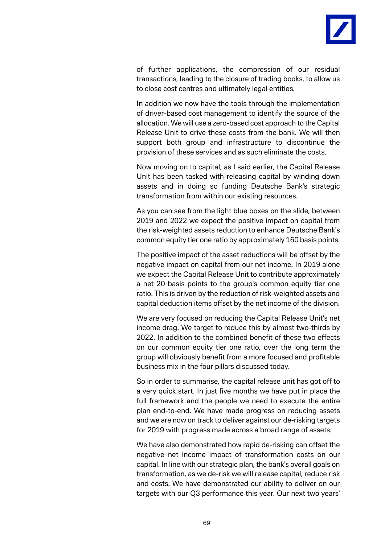

of further applications, the compression of our residual transactions, leading to the closure of trading books, to allow us to close cost centres and ultimately legal entities.

In addition we now have the tools through the implementation of driver-based cost management to identify the source of the allocation. We will use a zero-based cost approach to the Capital Release Unit to drive these costs from the bank. We will then support both group and infrastructure to discontinue the provision of these services and as such eliminate the costs.

Now moving on to capital, as I said earlier, the Capital Release Unit has been tasked with releasing capital by winding down assets and in doing so funding Deutsche Bank's strategic transformation from within our existing resources.

As you can see from the light blue boxes on the slide, between 2019 and 2022 we expect the positive impact on capital from the risk-weighted assets reduction to enhance Deutsche Bank's common equity tier one ratio by approximately 160 basis points.

The positive impact of the asset reductions will be offset by the negative impact on capital from our net income. In 2019 alone we expect the Capital Release Unit to contribute approximately a net 20 basis points to the group's common equity tier one ratio. This is driven by the reduction of risk-weighted assets and capital deduction items offset by the net income of the division.

We are very focused on reducing the Capital Release Unit's net income drag. We target to reduce this by almost two-thirds by 2022. In addition to the combined benefit of these two effects on our common equity tier one ratio, over the long term the group will obviously benefit from a more focused and profitable business mix in the four pillars discussed today.

So in order to summarise, the capital release unit has got off to a very quick start. In just five months we have put in place the full framework and the people we need to execute the entire plan end-to-end. We have made progress on reducing assets and we are now on track to deliver against our de-risking targets for 2019 with progress made across a broad range of assets.

We have also demonstrated how rapid de-risking can offset the negative net income impact of transformation costs on our capital. In line with our strategic plan, the bank's overall goals on transformation, as we de-risk we will release capital, reduce risk and costs. We have demonstrated our ability to deliver on our targets with our Q3 performance this year. Our next two years'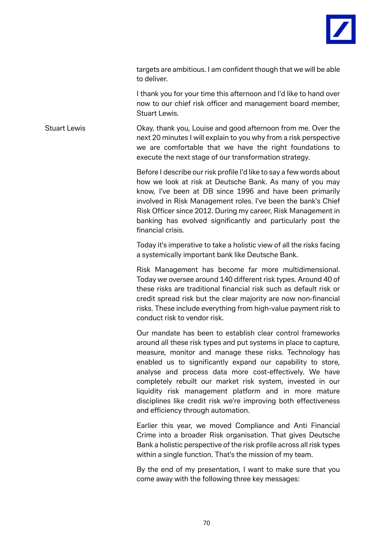

targets are ambitious. I am confident though that we will be able to deliver.

I thank you for your time this afternoon and I'd like to hand over now to our chief risk officer and management board member, Stuart Lewis.

Stuart Lewis Okay, thank you, Louise and good afternoon from me. Over the next 20 minutes I will explain to you why from a risk perspective we are comfortable that we have the right foundations to execute the next stage of our transformation strategy.

> Before I describe our risk profile I'd like to say a few words about how we look at risk at Deutsche Bank. As many of you may know, I've been at DB since 1996 and have been primarily involved in Risk Management roles. I've been the bank's Chief Risk Officer since 2012. During my career, Risk Management in banking has evolved significantly and particularly post the financial crisis.

> Today it's imperative to take a holistic view of all the risks facing a systemically important bank like Deutsche Bank.

> Risk Management has become far more multidimensional. Today we oversee around 140 different risk types. Around 40 of these risks are traditional financial risk such as default risk or credit spread risk but the clear majority are now non-financial risks. These include everything from high-value payment risk to conduct risk to vendor risk.

> Our mandate has been to establish clear control frameworks around all these risk types and put systems in place to capture, measure, monitor and manage these risks. Technology has enabled us to significantly expand our capability to store, analyse and process data more cost-effectively. We have completely rebuilt our market risk system, invested in our liquidity risk management platform and in more mature disciplines like credit risk we're improving both effectiveness and efficiency through automation.

> Earlier this year, we moved Compliance and Anti Financial Crime into a broader Risk organisation. That gives Deutsche Bank a holistic perspective of the risk profile across all risk types within a single function. That's the mission of my team.

> By the end of my presentation, I want to make sure that you come away with the following three key messages: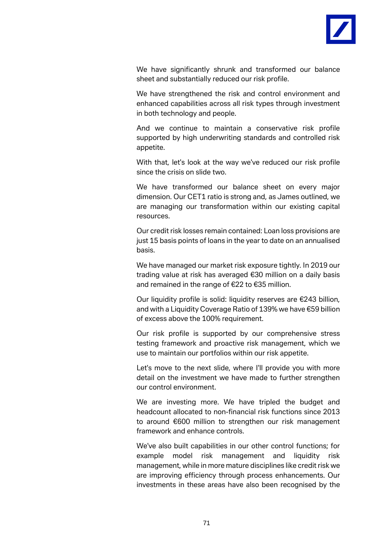

We have significantly shrunk and transformed our balance sheet and substantially reduced our risk profile.

We have strengthened the risk and control environment and enhanced capabilities across all risk types through investment in both technology and people.

And we continue to maintain a conservative risk profile supported by high underwriting standards and controlled risk appetite.

With that, let's look at the way we've reduced our risk profile since the crisis on slide two.

We have transformed our balance sheet on every major dimension. Our CET1 ratio is strong and, as James outlined, we are managing our transformation within our existing capital resources.

Our credit risk losses remain contained: Loan loss provisions are just 15 basis points of loans in the year to date on an annualised basis.

We have managed our market risk exposure tightly. In 2019 our trading value at risk has averaged €30 million on a daily basis and remained in the range of €22 to €35 million.

Our liquidity profile is solid: liquidity reserves are €243 billion, and with a Liquidity Coverage Ratio of 139% we have €59 billion of excess above the 100% requirement.

Our risk profile is supported by our comprehensive stress testing framework and proactive risk management, which we use to maintain our portfolios within our risk appetite.

Let's move to the next slide, where I'll provide you with more detail on the investment we have made to further strengthen our control environment.

We are investing more. We have tripled the budget and headcount allocated to non-financial risk functions since 2013 to around €600 million to strengthen our risk management framework and enhance controls.

We've also built capabilities in our other control functions; for example model risk management and liquidity risk management, while in more mature disciplines like credit risk we are improving efficiency through process enhancements. Our investments in these areas have also been recognised by the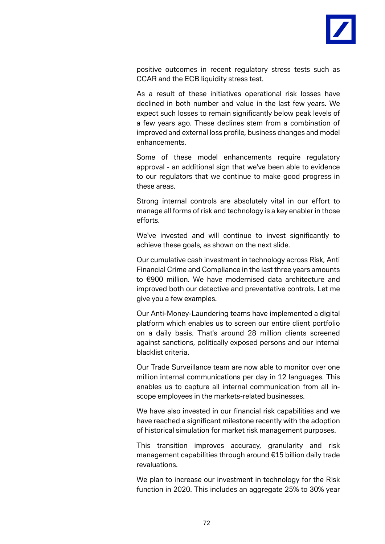

positive outcomes in recent regulatory stress tests such as CCAR and the ECB liquidity stress test.

As a result of these initiatives operational risk losses have declined in both number and value in the last few years. We expect such losses to remain significantly below peak levels of a few years ago. These declines stem from a combination of improved and external loss profile, business changes and model enhancements.

Some of these model enhancements require regulatory approval - an additional sign that we've been able to evidence to our regulators that we continue to make good progress in these areas.

Strong internal controls are absolutely vital in our effort to manage all forms of risk and technology is a key enabler in those efforts.

We've invested and will continue to invest significantly to achieve these goals, as shown on the next slide.

Our cumulative cash investment in technology across Risk, Anti Financial Crime and Compliance in the last three years amounts to €900 million. We have modernised data architecture and improved both our detective and preventative controls. Let me give you a few examples.

Our Anti-Money-Laundering teams have implemented a digital platform which enables us to screen our entire client portfolio on a daily basis. That's around 28 million clients screened against sanctions, politically exposed persons and our internal blacklist criteria.

Our Trade Surveillance team are now able to monitor over one million internal communications per day in 12 languages. This enables us to capture all internal communication from all inscope employees in the markets-related businesses.

We have also invested in our financial risk capabilities and we have reached a significant milestone recently with the adoption of historical simulation for market risk management purposes.

This transition improves accuracy, granularity and risk management capabilities through around €15 billion daily trade revaluations.

We plan to increase our investment in technology for the Risk function in 2020. This includes an aggregate 25% to 30% year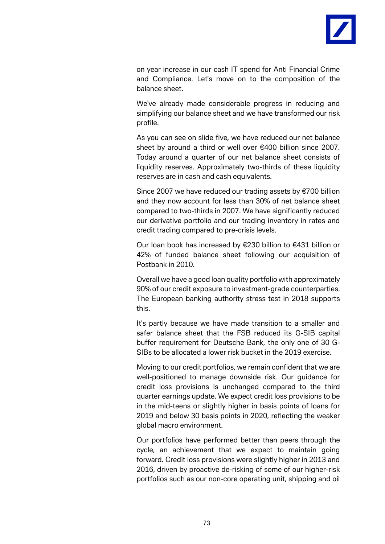

on year increase in our cash IT spend for Anti Financial Crime and Compliance. Let's move on to the composition of the balance sheet.

We've already made considerable progress in reducing and simplifying our balance sheet and we have transformed our risk profile.

As you can see on slide five, we have reduced our net balance sheet by around a third or well over €400 billion since 2007. Today around a quarter of our net balance sheet consists of liquidity reserves. Approximately two-thirds of these liquidity reserves are in cash and cash equivalents.

Since 2007 we have reduced our trading assets by €700 billion and they now account for less than 30% of net balance sheet compared to two-thirds in 2007. We have significantly reduced our derivative portfolio and our trading inventory in rates and credit trading compared to pre-crisis levels.

Our loan book has increased by €230 billion to €431 billion or 42% of funded balance sheet following our acquisition of Postbank in 2010.

Overall we have a good loan quality portfolio with approximately 90% of our credit exposure to investment-grade counterparties. The European banking authority stress test in 2018 supports this.

It's partly because we have made transition to a smaller and safer balance sheet that the FSB reduced its G-SIB capital buffer requirement for Deutsche Bank, the only one of 30 G-SIBs to be allocated a lower risk bucket in the 2019 exercise.

Moving to our credit portfolios, we remain confident that we are well-positioned to manage downside risk. Our guidance for credit loss provisions is unchanged compared to the third quarter earnings update. We expect credit loss provisions to be in the mid-teens or slightly higher in basis points of loans for 2019 and below 30 basis points in 2020, reflecting the weaker global macro environment.

Our portfolios have performed better than peers through the cycle, an achievement that we expect to maintain going forward. Credit loss provisions were slightly higher in 2013 and 2016, driven by proactive de-risking of some of our higher-risk portfolios such as our non-core operating unit, shipping and oil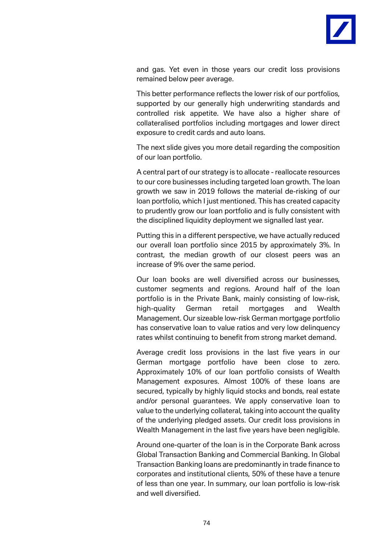

and gas. Yet even in those years our credit loss provisions remained below peer average.

This better performance reflects the lower risk of our portfolios, supported by our generally high underwriting standards and controlled risk appetite. We have also a higher share of collateralised portfolios including mortgages and lower direct exposure to credit cards and auto loans.

The next slide gives you more detail regarding the composition of our loan portfolio.

A central part of our strategy is to allocate - reallocate resources to our core businesses including targeted loan growth. The loan growth we saw in 2019 follows the material de-risking of our loan portfolio, which I just mentioned. This has created capacity to prudently grow our loan portfolio and is fully consistent with the disciplined liquidity deployment we signalled last year.

Putting this in a different perspective, we have actually reduced our overall loan portfolio since 2015 by approximately 3%. In contrast, the median growth of our closest peers was an increase of 9% over the same period.

Our loan books are well diversified across our businesses, customer segments and regions. Around half of the loan portfolio is in the Private Bank, mainly consisting of low-risk, high-quality German retail mortgages and Wealth Management. Our sizeable low-risk German mortgage portfolio has conservative loan to value ratios and very low delinquency rates whilst continuing to benefit from strong market demand.

Average credit loss provisions in the last five years in our German mortgage portfolio have been close to zero. Approximately 10% of our loan portfolio consists of Wealth Management exposures. Almost 100% of these loans are secured, typically by highly liquid stocks and bonds, real estate and/or personal guarantees. We apply conservative loan to value to the underlying collateral, taking into account the quality of the underlying pledged assets. Our credit loss provisions in Wealth Management in the last five years have been negligible.

Around one-quarter of the loan is in the Corporate Bank across Global Transaction Banking and Commercial Banking. In Global Transaction Banking loans are predominantly in trade finance to corporates and institutional clients, 50% of these have a tenure of less than one year. In summary, our loan portfolio is low-risk and well diversified.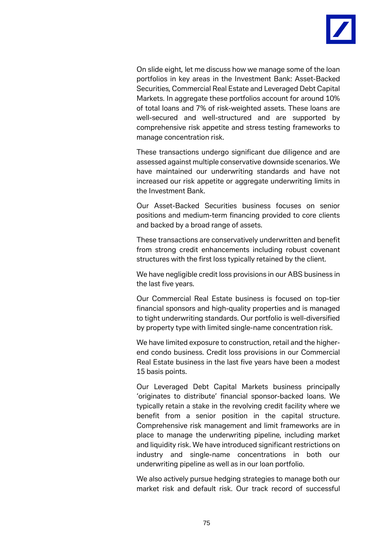

On slide eight, let me discuss how we manage some of the loan portfolios in key areas in the Investment Bank: Asset-Backed Securities, Commercial Real Estate and Leveraged Debt Capital Markets. In aggregate these portfolios account for around 10% of total loans and 7% of risk-weighted assets. These loans are well-secured and well-structured and are supported by comprehensive risk appetite and stress testing frameworks to manage concentration risk.

These transactions undergo significant due diligence and are assessed against multiple conservative downside scenarios. We have maintained our underwriting standards and have not increased our risk appetite or aggregate underwriting limits in the Investment Bank.

Our Asset-Backed Securities business focuses on senior positions and medium-term financing provided to core clients and backed by a broad range of assets.

These transactions are conservatively underwritten and benefit from strong credit enhancements including robust covenant structures with the first loss typically retained by the client.

We have negligible credit loss provisions in our ABS business in the last five years.

Our Commercial Real Estate business is focused on top-tier financial sponsors and high-quality properties and is managed to tight underwriting standards. Our portfolio is well-diversified by property type with limited single-name concentration risk.

We have limited exposure to construction, retail and the higherend condo business. Credit loss provisions in our Commercial Real Estate business in the last five years have been a modest 15 basis points.

Our Leveraged Debt Capital Markets business principally 'originates to distribute' financial sponsor-backed loans. We typically retain a stake in the revolving credit facility where we benefit from a senior position in the capital structure. Comprehensive risk management and limit frameworks are in place to manage the underwriting pipeline, including market and liquidity risk. We have introduced significant restrictions on industry and single-name concentrations in both our underwriting pipeline as well as in our loan portfolio.

We also actively pursue hedging strategies to manage both our market risk and default risk. Our track record of successful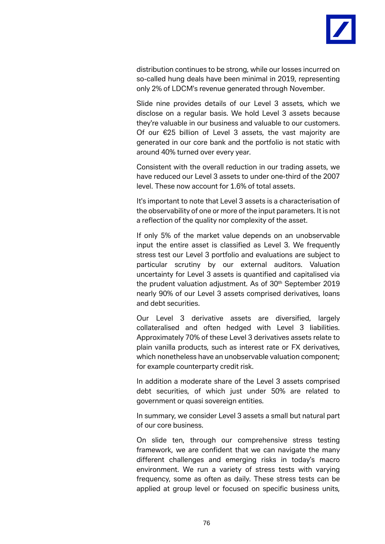

distribution continues to be strong, while our losses incurred on so-called hung deals have been minimal in 2019, representing only 2% of LDCM's revenue generated through November.

Slide nine provides details of our Level 3 assets, which we disclose on a regular basis. We hold Level 3 assets because they're valuable in our business and valuable to our customers. Of our €25 billion of Level 3 assets, the vast majority are generated in our core bank and the portfolio is not static with around 40% turned over every year.

Consistent with the overall reduction in our trading assets, we have reduced our Level 3 assets to under one-third of the 2007 level. These now account for 1.6% of total assets.

It's important to note that Level 3 assets is a characterisation of the observability of one or more of the input parameters. It is not a reflection of the quality nor complexity of the asset.

If only 5% of the market value depends on an unobservable input the entire asset is classified as Level 3. We frequently stress test our Level 3 portfolio and evaluations are subject to particular scrutiny by our external auditors. Valuation uncertainty for Level 3 assets is quantified and capitalised via the prudent valuation adjustment. As of 30<sup>th</sup> September 2019 nearly 90% of our Level 3 assets comprised derivatives, loans and debt securities.

Our Level 3 derivative assets are diversified, largely collateralised and often hedged with Level 3 liabilities. Approximately 70% of these Level 3 derivatives assets relate to plain vanilla products, such as interest rate or FX derivatives, which nonetheless have an unobservable valuation component; for example counterparty credit risk.

In addition a moderate share of the Level 3 assets comprised debt securities, of which just under 50% are related to government or quasi sovereign entities.

In summary, we consider Level 3 assets a small but natural part of our core business.

On slide ten, through our comprehensive stress testing framework, we are confident that we can navigate the many different challenges and emerging risks in today's macro environment. We run a variety of stress tests with varying frequency, some as often as daily. These stress tests can be applied at group level or focused on specific business units,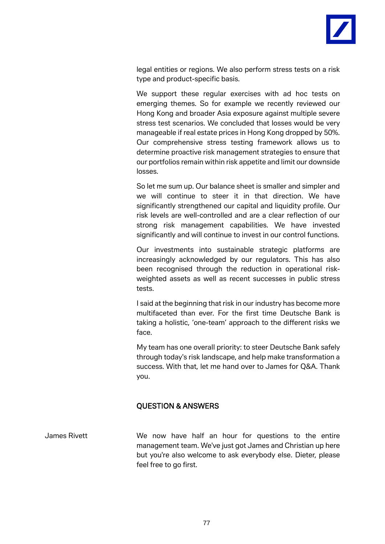

legal entities or regions. We also perform stress tests on a risk type and product-specific basis.

We support these regular exercises with ad hoc tests on emerging themes. So for example we recently reviewed our Hong Kong and broader Asia exposure against multiple severe stress test scenarios. We concluded that losses would be very manageable if real estate prices in Hong Kong dropped by 50%. Our comprehensive stress testing framework allows us to determine proactive risk management strategies to ensure that our portfolios remain within risk appetite and limit our downside losses.

So let me sum up. Our balance sheet is smaller and simpler and we will continue to steer it in that direction. We have significantly strengthened our capital and liquidity profile. Our risk levels are well-controlled and are a clear reflection of our strong risk management capabilities. We have invested significantly and will continue to invest in our control functions.

Our investments into sustainable strategic platforms are increasingly acknowledged by our regulators. This has also been recognised through the reduction in operational riskweighted assets as well as recent successes in public stress tests.

I said at the beginning that risk in our industry has become more multifaceted than ever. For the first time Deutsche Bank is taking a holistic, 'one-team' approach to the different risks we face.

My team has one overall priority: to steer Deutsche Bank safely through today's risk landscape, and help make transformation a success. With that, let me hand over to James for Q&A. Thank you.

## QUESTION & ANSWERS

James Rivett We now have half an hour for questions to the entire management team. We've just got James and Christian up here but you're also welcome to ask everybody else. Dieter, please feel free to go first.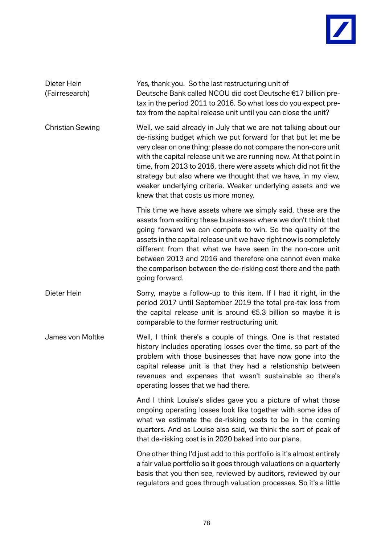

| Dieter Hein<br>(Fairresearch) | Yes, thank you. So the last restructuring unit of<br>Deutsche Bank called NCOU did cost Deutsche €17 billion pre-<br>tax in the period 2011 to 2016. So what loss do you expect pre-<br>tax from the capital release unit until you can close the unit?                                                                                                                                                                                                                                                              |
|-------------------------------|----------------------------------------------------------------------------------------------------------------------------------------------------------------------------------------------------------------------------------------------------------------------------------------------------------------------------------------------------------------------------------------------------------------------------------------------------------------------------------------------------------------------|
| <b>Christian Sewing</b>       | Well, we said already in July that we are not talking about our<br>de-risking budget which we put forward for that but let me be<br>very clear on one thing; please do not compare the non-core unit<br>with the capital release unit we are running now. At that point in<br>time, from 2013 to 2016, there were assets which did not fit the<br>strategy but also where we thought that we have, in my view,<br>weaker underlying criteria. Weaker underlying assets and we<br>knew that that costs us more money. |
|                               | This time we have assets where we simply said, these are the<br>assets from exiting these businesses where we don't think that<br>going forward we can compete to win. So the quality of the<br>assets in the capital release unit we have right now is completely<br>different from that what we have seen in the non-core unit<br>between 2013 and 2016 and therefore one cannot even make<br>the comparison between the de-risking cost there and the path<br>going forward.                                      |
| Dieter Hein                   | Sorry, maybe a follow-up to this item. If I had it right, in the<br>period 2017 until September 2019 the total pre-tax loss from<br>the capital release unit is around $65.3$ billion so maybe it is<br>comparable to the former restructuring unit.                                                                                                                                                                                                                                                                 |
| James von Moltke              | Well, I think there's a couple of things. One is that restated<br>history includes operating losses over the time, so part of the<br>problem with those businesses that have now gone into the<br>capital release unit is that they had a relationship between<br>revenues and expenses that wasn't sustainable so there's<br>operating losses that we had there.                                                                                                                                                    |
|                               | And I think Louise's slides gave you a picture of what those<br>ongoing operating losses look like together with some idea of<br>what we estimate the de-risking costs to be in the coming<br>quarters. And as Louise also said, we think the sort of peak of<br>that de-risking cost is in 2020 baked into our plans.                                                                                                                                                                                               |
|                               | One other thing I'd just add to this portfolio is it's almost entirely<br>a fair value portfolio so it goes through valuations on a quarterly<br>basis that you then see, reviewed by auditors, reviewed by our<br>regulators and goes through valuation processes. So it's a little                                                                                                                                                                                                                                 |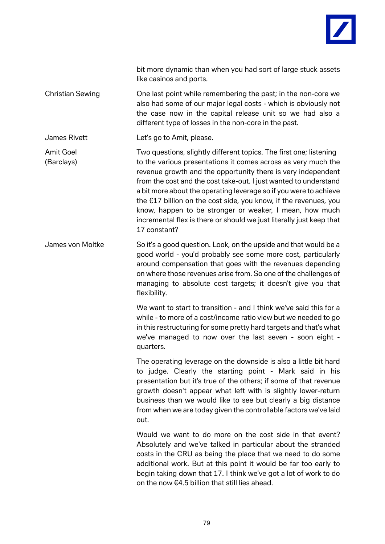

bit more dynamic than when you had sort of large stuck assets like casinos and ports.

Christian Sewing One last point while remembering the past; in the non-core we also had some of our major legal costs - which is obviously not the case now in the capital release unit so we had also a different type of losses in the non-core in the past.

James Rivett Let's go to Amit, please.

Amit Goel Two questions, slightly different topics. The first one; listening (Barclays) to the various presentations it comes across as very much the revenue growth and the opportunity there is very independent from the cost and the cost take-out. I just wanted to understand a bit more about the operating leverage so if you were to achieve the €17 billion on the cost side, you know, if the revenues, you know, happen to be stronger or weaker, I mean, how much incremental flex is there or should we just literally just keep that 17 constant?

James von Moltke So it's a good question. Look, on the upside and that would be a good world - you'd probably see some more cost, particularly around compensation that goes with the revenues depending on where those revenues arise from. So one of the challenges of managing to absolute cost targets; it doesn't give you that flexibility.

> We want to start to transition - and I think we've said this for a while - to more of a cost/income ratio view but we needed to go in this restructuring for some pretty hard targets and that's what we've managed to now over the last seven - soon eight quarters.

> The operating leverage on the downside is also a little bit hard to judge. Clearly the starting point - Mark said in his presentation but it's true of the others; if some of that revenue growth doesn't appear what left with is slightly lower-return business than we would like to see but clearly a big distance from when we are today given the controllable factors we've laid out.

> Would we want to do more on the cost side in that event? Absolutely and we've talked in particular about the stranded costs in the CRU as being the place that we need to do some additional work. But at this point it would be far too early to begin taking down that 17. I think we've got a lot of work to do on the now €4.5 billion that still lies ahead.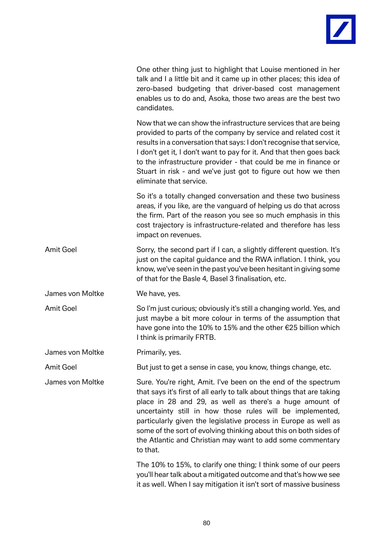

|                  | One other thing just to highlight that Louise mentioned in her<br>talk and I a little bit and it came up in other places; this idea of<br>zero-based budgeting that driver-based cost management<br>enables us to do and, Asoka, those two areas are the best two<br>candidates.                                                                                                                                                                                                   |
|------------------|------------------------------------------------------------------------------------------------------------------------------------------------------------------------------------------------------------------------------------------------------------------------------------------------------------------------------------------------------------------------------------------------------------------------------------------------------------------------------------|
|                  | Now that we can show the infrastructure services that are being<br>provided to parts of the company by service and related cost it<br>results in a conversation that says: I don't recognise that service,<br>I don't get it, I don't want to pay for it. And that then goes back<br>to the infrastructure provider - that could be me in finance or<br>Stuart in risk - and we've just got to figure out how we then<br>eliminate that service.                                   |
|                  | So it's a totally changed conversation and these two business<br>areas, if you like, are the vanguard of helping us do that across<br>the firm. Part of the reason you see so much emphasis in this<br>cost trajectory is infrastructure-related and therefore has less<br>impact on revenues.                                                                                                                                                                                     |
| <b>Amit Goel</b> | Sorry, the second part if I can, a slightly different question. It's<br>just on the capital guidance and the RWA inflation. I think, you<br>know, we've seen in the past you've been hesitant in giving some<br>of that for the Basle 4, Basel 3 finalisation, etc.                                                                                                                                                                                                                |
| James von Moltke | We have, yes.                                                                                                                                                                                                                                                                                                                                                                                                                                                                      |
| <b>Amit Goel</b> | So I'm just curious; obviously it's still a changing world. Yes, and<br>just maybe a bit more colour in terms of the assumption that<br>have gone into the 10% to 15% and the other €25 billion which<br>I think is primarily FRTB.                                                                                                                                                                                                                                                |
| James von Moltke | Primarily, yes.                                                                                                                                                                                                                                                                                                                                                                                                                                                                    |
| <b>Amit Goel</b> | But just to get a sense in case, you know, things change, etc.                                                                                                                                                                                                                                                                                                                                                                                                                     |
| James von Moltke | Sure. You're right, Amit. I've been on the end of the spectrum<br>that says it's first of all early to talk about things that are taking<br>place in 28 and 29, as well as there's a huge amount of<br>uncertainty still in how those rules will be implemented,<br>particularly given the legislative process in Europe as well as<br>some of the sort of evolving thinking about this on both sides of<br>the Atlantic and Christian may want to add some commentary<br>to that. |
|                  | The 10% to 15%, to clarify one thing; I think some of our peers<br>you'll hear talk about a mitigated outcome and that's how we see<br>it as well. When I say mitigation it isn't sort of massive business                                                                                                                                                                                                                                                                         |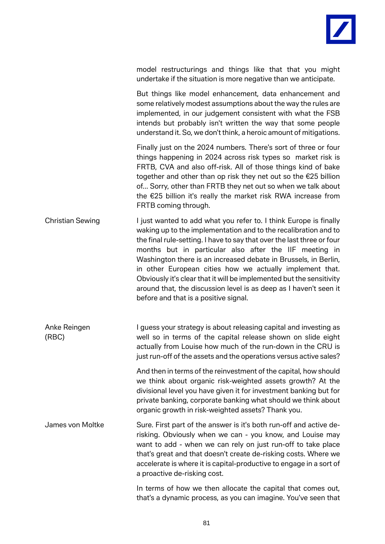

model restructurings and things like that that you might undertake if the situation is more negative than we anticipate.

But things like model enhancement, data enhancement and some relatively modest assumptions about the way the rules are implemented, in our judgement consistent with what the FSB intends but probably isn't written the way that some people understand it. So, we don't think, a heroic amount of mitigations.

Finally just on the 2024 numbers. There's sort of three or four things happening in 2024 across risk types so market risk is FRTB, CVA and also off-risk. All of those things kind of bake together and other than op risk they net out so the €25 billion of... Sorry, other than FRTB they net out so when we talk about the €25 billion it's really the market risk RWA increase from FRTB coming through.

Christian Sewing I just wanted to add what you refer to. I think Europe is finally waking up to the implementation and to the recalibration and to the final rule-setting. I have to say that over the last three or four months but in particular also after the IIF meeting in Washington there is an increased debate in Brussels, in Berlin, in other European cities how we actually implement that. Obviously it's clear that it will be implemented but the sensitivity around that, the discussion level is as deep as I haven't seen it before and that is a positive signal.

Anke Reingen **I** guess your strategy is about releasing capital and investing as (RBC) well so in terms of the capital release shown on slide eight actually from Louise how much of the run-down in the CRU is just run-off of the assets and the operations versus active sales?

> And then in terms of the reinvestment of the capital, how should we think about organic risk-weighted assets growth? At the divisional level you have given it for investment banking but for private banking, corporate banking what should we think about organic growth in risk-weighted assets? Thank you.

James von Moltke Sure. First part of the answer is it's both run-off and active derisking. Obviously when we can - you know, and Louise may want to add - when we can rely on just run-off to take place that's great and that doesn't create de-risking costs. Where we accelerate is where it is capital-productive to engage in a sort of a proactive de-risking cost.

> In terms of how we then allocate the capital that comes out, that's a dynamic process, as you can imagine. You've seen that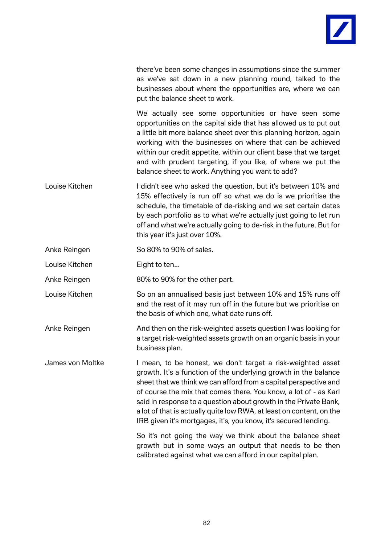

there've been some changes in assumptions since the summer as we've sat down in a new planning round, talked to the businesses about where the opportunities are, where we can put the balance sheet to work.

We actually see some opportunities or have seen some opportunities on the capital side that has allowed us to put out a little bit more balance sheet over this planning horizon, again working with the businesses on where that can be achieved within our credit appetite, within our client base that we target and with prudent targeting, if you like, of where we put the balance sheet to work. Anything you want to add?

Louise Kitchen **I** didn't see who asked the question, but it's between 10% and 15% effectively is run off so what we do is we prioritise the schedule, the timetable of de-risking and we set certain dates by each portfolio as to what we're actually just going to let run off and what we're actually going to de-risk in the future. But for this year it's just over 10%.

Anke Reingen So 80% to 90% of sales.

Louise Kitchen **Eight to ten...** 

Anke Reingen 80% to 90% for the other part.

- Louise Kitchen So on an annualised basis just between 10% and 15% runs off and the rest of it may run off in the future but we prioritise on the basis of which one, what date runs off.
- Anke Reingen And then on the risk-weighted assets question I was looking for a target risk-weighted assets growth on an organic basis in your business plan.

James von Moltke I mean, to be honest, we don't target a risk-weighted asset growth. It's a function of the underlying growth in the balance sheet that we think we can afford from a capital perspective and of course the mix that comes there. You know, a lot of - as Karl said in response to a question about growth in the Private Bank, a lot of that is actually quite low RWA, at least on content, on the IRB given it's mortgages, it's, you know, it's secured lending.

> So it's not going the way we think about the balance sheet growth but in some ways an output that needs to be then calibrated against what we can afford in our capital plan.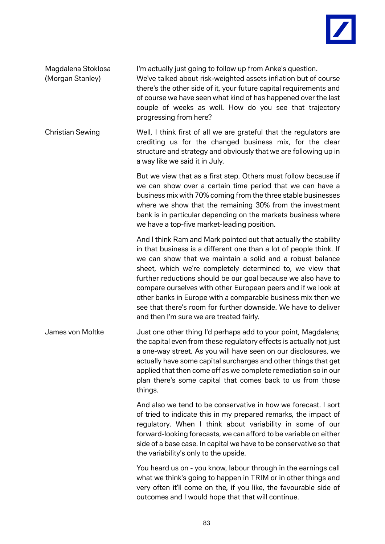

Magdalena Stoklosa I'm actually just going to follow up from Anke's question. (Morgan Stanley) We've talked about risk-weighted assets inflation but of course there's the other side of it, your future capital requirements and of course we have seen what kind of has happened over the last couple of weeks as well. How do you see that trajectory progressing from here? Christian Sewing Well, I think first of all we are grateful that the regulators are crediting us for the changed business mix, for the clear structure and strategy and obviously that we are following up in a way like we said it in July. But we view that as a first step. Others must follow because if we can show over a certain time period that we can have a business mix with 70% coming from the three stable businesses where we show that the remaining 30% from the investment bank is in particular depending on the markets business where we have a top-five market-leading position.

And I think Ram and Mark pointed out that actually the stability in that business is a different one than a lot of people think. If we can show that we maintain a solid and a robust balance sheet, which we're completely determined to, we view that further reductions should be our goal because we also have to compare ourselves with other European peers and if we look at other banks in Europe with a comparable business mix then we see that there's room for further downside. We have to deliver and then I'm sure we are treated fairly.

James von Moltke Just one other thing I'd perhaps add to your point, Magdalena; the capital even from these regulatory effects is actually not just a one-way street. As you will have seen on our disclosures, we actually have some capital surcharges and other things that get applied that then come off as we complete remediation so in our plan there's some capital that comes back to us from those things.

> And also we tend to be conservative in how we forecast. I sort of tried to indicate this in my prepared remarks, the impact of regulatory. When I think about variability in some of our forward-looking forecasts, we can afford to be variable on either side of a base case. In capital we have to be conservative so that the variability's only to the upside.

> You heard us on - you know, labour through in the earnings call what we think's going to happen in TRIM or in other things and very often it'll come on the, if you like, the favourable side of outcomes and I would hope that that will continue.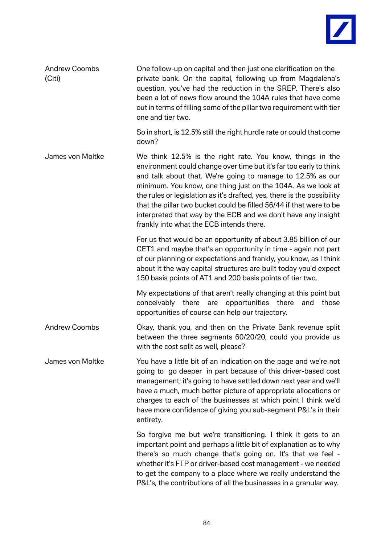

| <b>Andrew Coombs</b><br>(Citi) | One follow-up on capital and then just one clarification on the<br>private bank. On the capital, following up from Magdalena's<br>question, you've had the reduction in the SREP. There's also<br>been a lot of news flow around the 104A rules that have come<br>out in terms of filling some of the pillar two requirement with tier<br>one and tier two.                                                                                                                                                                  |
|--------------------------------|------------------------------------------------------------------------------------------------------------------------------------------------------------------------------------------------------------------------------------------------------------------------------------------------------------------------------------------------------------------------------------------------------------------------------------------------------------------------------------------------------------------------------|
|                                | So in short, is 12.5% still the right hurdle rate or could that come<br>down?                                                                                                                                                                                                                                                                                                                                                                                                                                                |
| James von Moltke               | We think 12.5% is the right rate. You know, things in the<br>environment could change over time but it's far too early to think<br>and talk about that. We're going to manage to 12.5% as our<br>minimum. You know, one thing just on the 104A. As we look at<br>the rules or legislation as it's drafted, yes, there is the possibility<br>that the pillar two bucket could be filled 56/44 if that were to be<br>interpreted that way by the ECB and we don't have any insight<br>frankly into what the ECB intends there. |
|                                | For us that would be an opportunity of about 3.85 billion of our<br>CET1 and maybe that's an opportunity in time - again not part<br>of our planning or expectations and frankly, you know, as I think<br>about it the way capital structures are built today you'd expect<br>150 basis points of AT1 and 200 basis points of tier two.                                                                                                                                                                                      |
|                                | My expectations of that aren't really changing at this point but<br>conceivably there<br>opportunities there<br>those<br>are<br>and<br>opportunities of course can help our trajectory.                                                                                                                                                                                                                                                                                                                                      |
| <b>Andrew Coombs</b>           | Okay, thank you, and then on the Private Bank revenue split<br>between the three segments 60/20/20, could you provide us<br>with the cost split as well, please?                                                                                                                                                                                                                                                                                                                                                             |
| James von Moltke               | You have a little bit of an indication on the page and we're not<br>going to go deeper in part because of this driver-based cost<br>management; it's going to have settled down next year and we'll<br>have a much, much better picture of appropriate allocations or<br>charges to each of the businesses at which point I think we'd<br>have more confidence of giving you sub-segment P&L's in their<br>entirety.                                                                                                         |
|                                | So forgive me but we're transitioning. I think it gets to an<br>important point and perhaps a little bit of explanation as to why<br>there's so much change that's going on. It's that we feel -<br>whether it's FTP or driver-based cost management - we needed<br>to get the company to a place where we really understand the<br>P&L's, the contributions of all the businesses in a granular way.                                                                                                                        |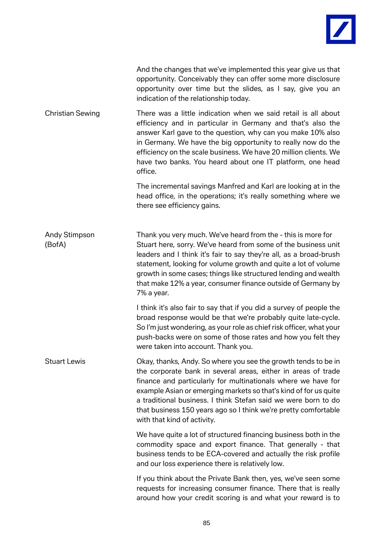

|                         | And the changes that we've implemented this year give us that<br>opportunity. Conceivably they can offer some more disclosure<br>opportunity over time but the slides, as I say, give you an<br>indication of the relationship today.                                                                                                                                                                                                    |
|-------------------------|------------------------------------------------------------------------------------------------------------------------------------------------------------------------------------------------------------------------------------------------------------------------------------------------------------------------------------------------------------------------------------------------------------------------------------------|
| <b>Christian Sewing</b> | There was a little indication when we said retail is all about<br>efficiency and in particular in Germany and that's also the<br>answer Karl gave to the question, why can you make 10% also<br>in Germany. We have the big opportunity to really now do the<br>efficiency on the scale business. We have 20 million clients. We<br>have two banks. You heard about one IT platform, one head<br>office.                                 |
|                         | The incremental savings Manfred and Karl are looking at in the<br>head office, in the operations; it's really something where we<br>there see efficiency gains.                                                                                                                                                                                                                                                                          |
| Andy Stimpson<br>(BofA) | Thank you very much. We've heard from the - this is more for<br>Stuart here, sorry. We've heard from some of the business unit<br>leaders and I think it's fair to say they're all, as a broad-brush<br>statement, looking for volume growth and quite a lot of volume<br>growth in some cases; things like structured lending and wealth<br>that make 12% a year, consumer finance outside of Germany by<br>7% a year.                  |
|                         | I think it's also fair to say that if you did a survey of people the<br>broad response would be that we're probably quite late-cycle.<br>So I'm just wondering, as your role as chief risk officer, what your<br>push-backs were on some of those rates and how you felt they<br>were taken into account. Thank you.                                                                                                                     |
| <b>Stuart Lewis</b>     | Okay, thanks, Andy. So where you see the growth tends to be in<br>the corporate bank in several areas, either in areas of trade<br>finance and particularly for multinationals where we have for<br>example Asian or emerging markets so that's kind of for us quite<br>a traditional business. I think Stefan said we were born to do<br>that business 150 years ago so I think we're pretty comfortable<br>with that kind of activity. |
|                         | We have quite a lot of structured financing business both in the<br>commodity space and export finance. That generally - that<br>business tends to be ECA-covered and actually the risk profile<br>and our loss experience there is relatively low.                                                                                                                                                                                      |
|                         | If you think about the Private Bank then, yes, we've seen some<br>requests for increasing consumer finance. There that is really<br>around how your credit scoring is and what your reward is to                                                                                                                                                                                                                                         |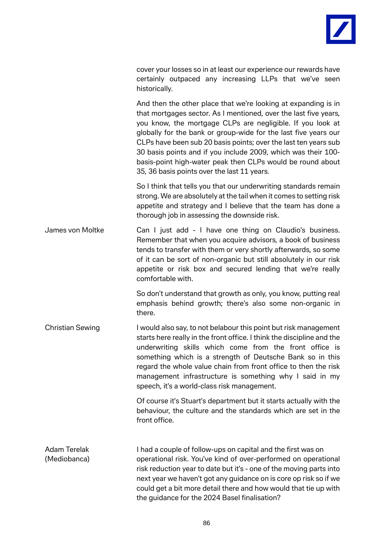

|               |  | cover your losses so in at least our experience our rewards have |  |  |
|---------------|--|------------------------------------------------------------------|--|--|
|               |  | certainly outpaced any increasing LLPs that we've seen           |  |  |
| historically. |  |                                                                  |  |  |

And then the other place that we're looking at expanding is in that mortgages sector. As I mentioned, over the last five years, you know, the mortgage CLPs are negligible. If you look at globally for the bank or group-wide for the last five years our CLPs have been sub 20 basis points; over the last ten years sub 30 basis points and if you include 2009, which was their 100 basis-point high-water peak then CLPs would be round about 35, 36 basis points over the last 11 years.

So I think that tells you that our underwriting standards remain strong. We are absolutely at the tail when it comes to setting risk appetite and strategy and I believe that the team has done a thorough job in assessing the downside risk.

James von Moltke Can I just add - I have one thing on Claudio's business. Remember that when you acquire advisors, a book of business tends to transfer with them or very shortly afterwards, so some of it can be sort of non-organic but still absolutely in our risk appetite or risk box and secured lending that we're really comfortable with.

> So don't understand that growth as only, you know, putting real emphasis behind growth; there's also some non-organic in there.

Christian Sewing I would also say, to not belabour this point but risk management starts here really in the front office. I think the discipline and the underwriting skills which come from the front office is something which is a strength of Deutsche Bank so in this regard the whole value chain from front office to then the risk management infrastructure is something why I said in my speech, it's a world-class risk management.

> Of course it's Stuart's department but it starts actually with the behaviour, the culture and the standards which are set in the front office.

Adam Terelak I had a couple of follow-ups on capital and the first was on (Mediobanca) operational risk. You've kind of over-performed on operational risk reduction year to date but it's - one of the moving parts into next year we haven't got any guidance on is core op risk so if we could get a bit more detail there and how would that tie up with the guidance for the 2024 Basel finalisation?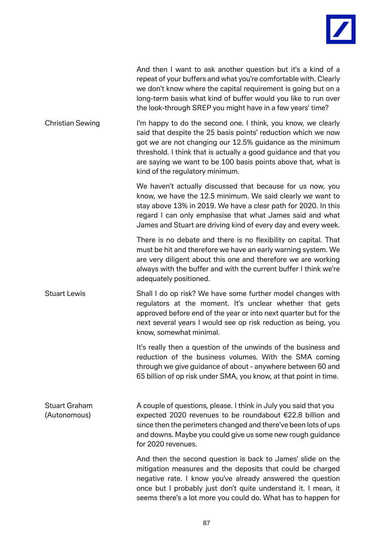

| And then I want to ask another question but it's a kind of a     |
|------------------------------------------------------------------|
| repeat of your buffers and what you're comfortable with. Clearly |
| we don't know where the capital requirement is going but on a    |
| long-term basis what kind of buffer would you like to run over   |
| the look-through SREP you might have in a few years' time?       |

Christian Sewing I'm happy to do the second one. I think, you know, we clearly said that despite the 25 basis points' reduction which we now got we are not changing our 12.5% guidance as the minimum threshold. I think that is actually a good guidance and that you are saying we want to be 100 basis points above that, what is kind of the regulatory minimum.

> We haven't actually discussed that because for us now, you know, we have the 12.5 minimum. We said clearly we want to stay above 13% in 2019. We have a clear path for 2020. In this regard I can only emphasise that what James said and what James and Stuart are driving kind of every day and every week.

> There is no debate and there is no flexibility on capital. That must be hit and therefore we have an early warning system. We are very diligent about this one and therefore we are working always with the buffer and with the current buffer I think we're adequately positioned.

Stuart Lewis Shall I do op risk? We have some further model changes with regulators at the moment. It's unclear whether that gets approved before end of the year or into next quarter but for the next several years I would see op risk reduction as being, you know, somewhat minimal.

> It's really then a question of the unwinds of the business and reduction of the business volumes. With the SMA coming through we give guidance of about - anywhere between 60 and 65 billion of op risk under SMA, you know, at that point in time.

Stuart Graham A couple of questions, please. I think in July you said that you (Autonomous) expected 2020 revenues to be roundabout  $\epsilon$ 22.8 billion and since then the perimeters changed and there've been lots of ups and downs. Maybe you could give us some new rough guidance for 2020 revenues.

> And then the second question is back to James' slide on the mitigation measures and the deposits that could be charged negative rate. I know you've already answered the question once but I probably just don't quite understand it. I mean, it seems there's a lot more you could do. What has to happen for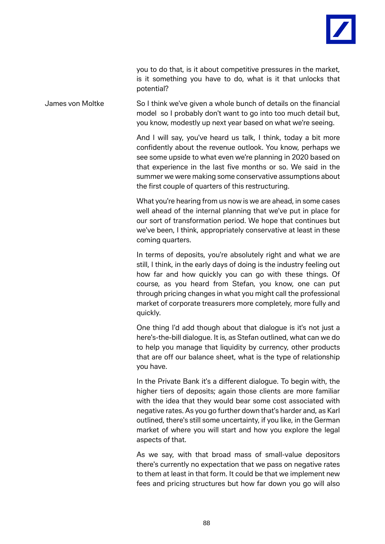

you to do that, is it about competitive pressures in the market, is it something you have to do, what is it that unlocks that potential?

James von Moltke So I think we've given a whole bunch of details on the financial model so I probably don't want to go into too much detail but, you know, modestly up next year based on what we're seeing.

> And I will say, you've heard us talk, I think, today a bit more confidently about the revenue outlook. You know, perhaps we see some upside to what even we're planning in 2020 based on that experience in the last five months or so. We said in the summer we were making some conservative assumptions about the first couple of quarters of this restructuring.

> What you're hearing from us now is we are ahead, in some cases well ahead of the internal planning that we've put in place for our sort of transformation period. We hope that continues but we've been, I think, appropriately conservative at least in these coming quarters.

> In terms of deposits, you're absolutely right and what we are still, I think, in the early days of doing is the industry feeling out how far and how quickly you can go with these things. Of course, as you heard from Stefan, you know, one can put through pricing changes in what you might call the professional market of corporate treasurers more completely, more fully and quickly.

> One thing I'd add though about that dialogue is it's not just a here's-the-bill dialogue. It is, as Stefan outlined, what can we do to help you manage that liquidity by currency, other products that are off our balance sheet, what is the type of relationship you have.

> In the Private Bank it's a different dialogue. To begin with, the higher tiers of deposits; again those clients are more familiar with the idea that they would bear some cost associated with negative rates. As you go further down that's harder and, as Karl outlined, there's still some uncertainty, if you like, in the German market of where you will start and how you explore the legal aspects of that.

> As we say, with that broad mass of small-value depositors there's currently no expectation that we pass on negative rates to them at least in that form. It could be that we implement new fees and pricing structures but how far down you go will also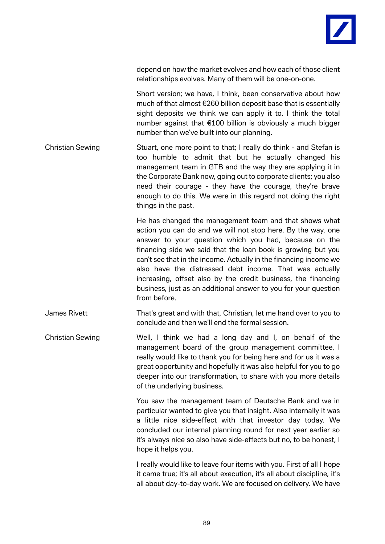

depend on how the market evolves and how each of those client relationships evolves. Many of them will be one-on-one.

Short version; we have, I think, been conservative about how much of that almost €260 billion deposit base that is essentially sight deposits we think we can apply it to. I think the total number against that €100 billion is obviously a much bigger number than we've built into our planning.

Christian Sewing Stuart, one more point to that; I really do think - and Stefan is too humble to admit that but he actually changed his management team in GTB and the way they are applying it in the Corporate Bank now, going out to corporate clients; you also need their courage - they have the courage, they're brave enough to do this. We were in this regard not doing the right things in the past.

> He has changed the management team and that shows what action you can do and we will not stop here. By the way, one answer to your question which you had, because on the financing side we said that the loan book is growing but you can't see that in the income. Actually in the financing income we also have the distressed debt income. That was actually increasing, offset also by the credit business, the financing business, just as an additional answer to you for your question from before.

- James Rivett That's great and with that, Christian, let me hand over to you to conclude and then we'll end the formal session.
- Christian Sewing Well, I think we had a long day and I, on behalf of the management board of the group management committee, I really would like to thank you for being here and for us it was a great opportunity and hopefully it was also helpful for you to go deeper into our transformation, to share with you more details of the underlying business.

You saw the management team of Deutsche Bank and we in particular wanted to give you that insight. Also internally it was a little nice side-effect with that investor day today. We concluded our internal planning round for next year earlier so it's always nice so also have side-effects but no, to be honest, I hope it helps you.

I really would like to leave four items with you. First of all I hope it came true; it's all about execution, it's all about discipline, it's all about day-to-day work. We are focused on delivery. We have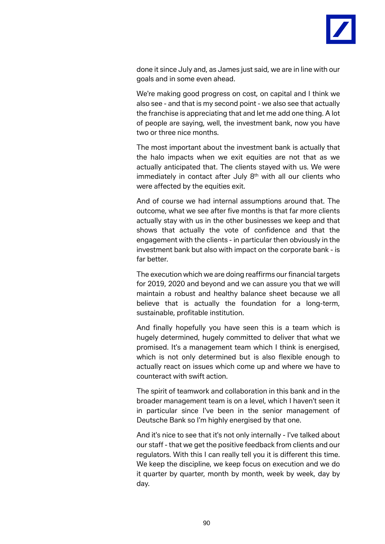

done it since July and, as James just said, we are in line with our goals and in some even ahead.

We're making good progress on cost, on capital and I think we also see - and that is my second point - we also see that actually the franchise is appreciating that and let me add one thing. A lot of people are saying, well, the investment bank, now you have two or three nice months.

The most important about the investment bank is actually that the halo impacts when we exit equities are not that as we actually anticipated that. The clients stayed with us. We were immediately in contact after July 8<sup>th</sup> with all our clients who were affected by the equities exit.

And of course we had internal assumptions around that. The outcome, what we see after five months is that far more clients actually stay with us in the other businesses we keep and that shows that actually the vote of confidence and that the engagement with the clients - in particular then obviously in the investment bank but also with impact on the corporate bank - is far better.

The execution which we are doing reaffirms our financial targets for 2019, 2020 and beyond and we can assure you that we will maintain a robust and healthy balance sheet because we all believe that is actually the foundation for a long-term, sustainable, profitable institution.

And finally hopefully you have seen this is a team which is hugely determined, hugely committed to deliver that what we promised. It's a management team which I think is energised, which is not only determined but is also flexible enough to actually react on issues which come up and where we have to counteract with swift action.

The spirit of teamwork and collaboration in this bank and in the broader management team is on a level, which I haven't seen it in particular since I've been in the senior management of Deutsche Bank so I'm highly energised by that one.

And it's nice to see that it's not only internally - I've talked about our staff - that we get the positive feedback from clients and our regulators. With this I can really tell you it is different this time. We keep the discipline, we keep focus on execution and we do it quarter by quarter, month by month, week by week, day by day.